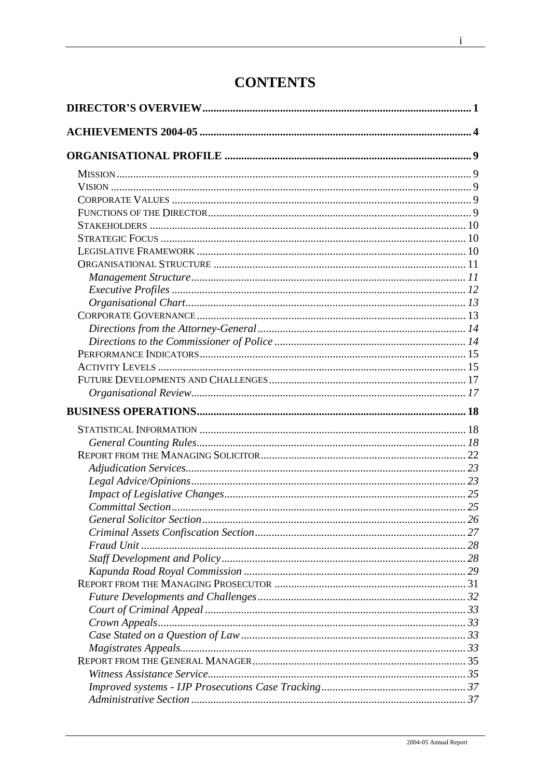# **CONTENTS**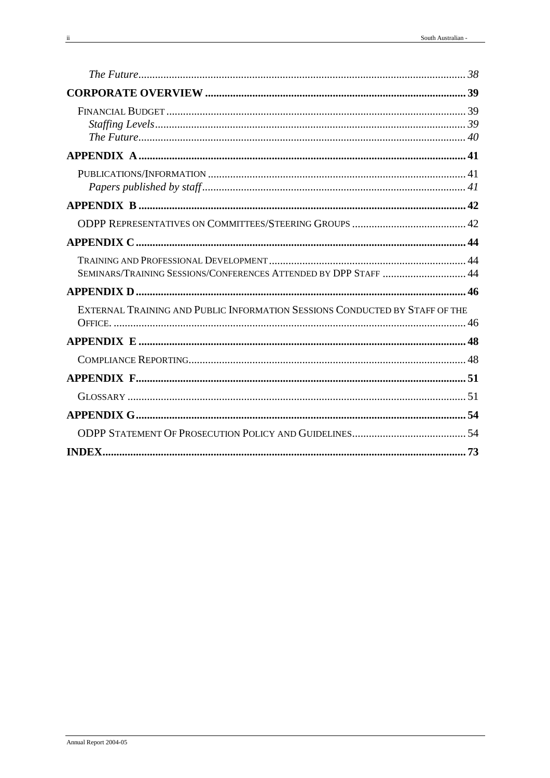| SEMINARS/TRAINING SESSIONS/CONFERENCES ATTENDED BY DPP STAFF  44            |  |
|-----------------------------------------------------------------------------|--|
|                                                                             |  |
| EXTERNAL TRAINING AND PUBLIC INFORMATION SESSIONS CONDUCTED BY STAFF OF THE |  |
|                                                                             |  |
|                                                                             |  |
|                                                                             |  |
|                                                                             |  |
|                                                                             |  |
|                                                                             |  |
|                                                                             |  |
|                                                                             |  |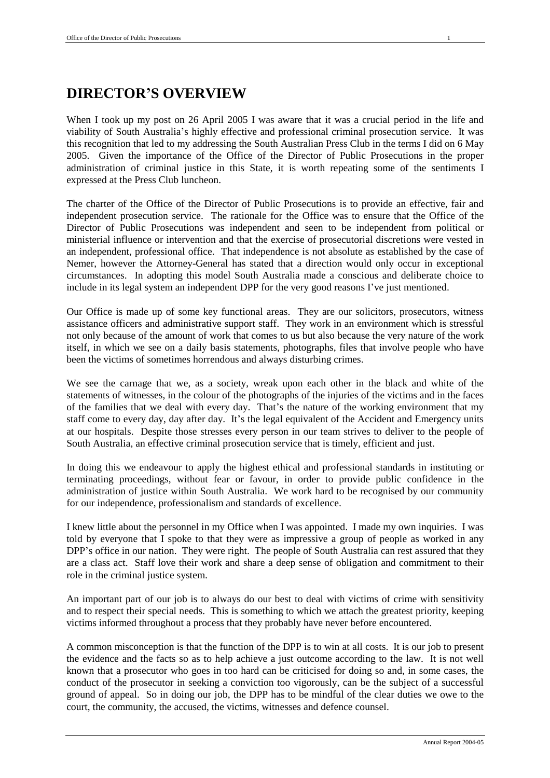When I took up my post on 26 April 2005 I was aware that it was a crucial period in the life and viability of South Australia's highly effective and professional criminal prosecution service. It was this recognition that led to my addressing the South Australian Press Club in the terms I did on 6 May 2005. Given the importance of the Office of the Director of Public Prosecutions in the proper administration of criminal justice in this State, it is worth repeating some of the sentiments I expressed at the Press Club luncheon.

The charter of the Office of the Director of Public Prosecutions is to provide an effective, fair and independent prosecution service. The rationale for the Office was to ensure that the Office of the Director of Public Prosecutions was independent and seen to be independent from political or ministerial influence or intervention and that the exercise of prosecutorial discretions were vested in an independent, professional office. That independence is not absolute as established by the case of Nemer, however the Attorney-General has stated that a direction would only occur in exceptional circumstances. In adopting this model South Australia made a conscious and deliberate choice to include in its legal system an independent DPP for the very good reasons I've just mentioned.

Our Office is made up of some key functional areas. They are our solicitors, prosecutors, witness assistance officers and administrative support staff. They work in an environment which is stressful not only because of the amount of work that comes to us but also because the very nature of the work itself, in which we see on a daily basis statements, photographs, files that involve people who have been the victims of sometimes horrendous and always disturbing crimes.

We see the carnage that we, as a society, wreak upon each other in the black and white of the statements of witnesses, in the colour of the photographs of the injuries of the victims and in the faces of the families that we deal with every day. That's the nature of the working environment that my staff come to every day, day after day. It's the legal equivalent of the Accident and Emergency units at our hospitals. Despite those stresses every person in our team strives to deliver to the people of South Australia, an effective criminal prosecution service that is timely, efficient and just.

In doing this we endeavour to apply the highest ethical and professional standards in instituting or terminating proceedings, without fear or favour, in order to provide public confidence in the administration of justice within South Australia. We work hard to be recognised by our community for our independence, professionalism and standards of excellence.

I knew little about the personnel in my Office when I was appointed. I made my own inquiries. I was told by everyone that I spoke to that they were as impressive a group of people as worked in any DPP's office in our nation. They were right. The people of South Australia can rest assured that they are a class act. Staff love their work and share a deep sense of obligation and commitment to their role in the criminal justice system.

An important part of our job is to always do our best to deal with victims of crime with sensitivity and to respect their special needs. This is something to which we attach the greatest priority, keeping victims informed throughout a process that they probably have never before encountered.

A common misconception is that the function of the DPP is to win at all costs. It is our job to present the evidence and the facts so as to help achieve a just outcome according to the law. It is not well known that a prosecutor who goes in too hard can be criticised for doing so and, in some cases, the conduct of the prosecutor in seeking a conviction too vigorously, can be the subject of a successful ground of appeal. So in doing our job, the DPP has to be mindful of the clear duties we owe to the court, the community, the accused, the victims, witnesses and defence counsel.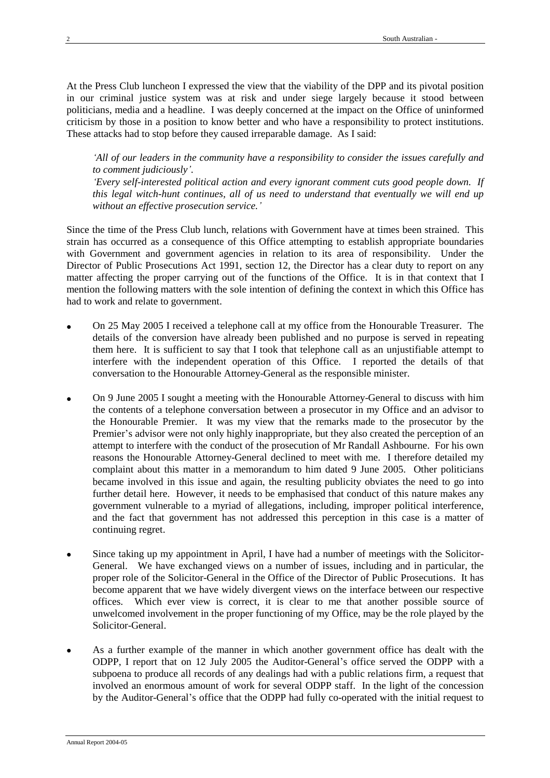At the Press Club luncheon I expressed the view that the viability of the DPP and its pivotal position in our criminal justice system was at risk and under siege largely because it stood between politicians, media and a headline. I was deeply concerned at the impact on the Office of uninformed criticism by those in a position to know better and who have a responsibility to protect institutions. These attacks had to stop before they caused irreparable damage. As I said:

*'All of our leaders in the community have a responsibility to consider the issues carefully and to comment judiciously'. 'Every self-interested political action and every ignorant comment cuts good people down. If this legal witch-hunt continues, all of us need to understand that eventually we will end up without an effective prosecution service.'*

Since the time of the Press Club lunch, relations with Government have at times been strained. This strain has occurred as a consequence of this Office attempting to establish appropriate boundaries with Government and government agencies in relation to its area of responsibility. Under the Director of Public Prosecutions Act 1991, section 12, the Director has a clear duty to report on any matter affecting the proper carrying out of the functions of the Office. It is in that context that I mention the following matters with the sole intention of defining the context in which this Office has had to work and relate to government.

- On 25 May 2005 I received a telephone call at my office from the Honourable Treasurer. The details of the conversion have already been published and no purpose is served in repeating them here. It is sufficient to say that I took that telephone call as an unjustifiable attempt to interfere with the independent operation of this Office. I reported the details of that conversation to the Honourable Attorney-General as the responsible minister.
- On 9 June 2005 I sought a meeting with the Honourable Attorney-General to discuss with him the contents of a telephone conversation between a prosecutor in my Office and an advisor to the Honourable Premier. It was my view that the remarks made to the prosecutor by the Premier's advisor were not only highly inappropriate, but they also created the perception of an attempt to interfere with the conduct of the prosecution of Mr Randall Ashbourne. For his own reasons the Honourable Attorney-General declined to meet with me. I therefore detailed my complaint about this matter in a memorandum to him dated 9 June 2005. Other politicians became involved in this issue and again, the resulting publicity obviates the need to go into further detail here. However, it needs to be emphasised that conduct of this nature makes any government vulnerable to a myriad of allegations, including, improper political interference, and the fact that government has not addressed this perception in this case is a matter of continuing regret.
- Since taking up my appointment in April, I have had a number of meetings with the Solicitor-General. We have exchanged views on a number of issues, including and in particular, the proper role of the Solicitor-General in the Office of the Director of Public Prosecutions. It has become apparent that we have widely divergent views on the interface between our respective offices. Which ever view is correct, it is clear to me that another possible source of unwelcomed involvement in the proper functioning of my Office, may be the role played by the Solicitor-General.
- As a further example of the manner in which another government office has dealt with the ODPP, I report that on 12 July 2005 the Auditor-General's office served the ODPP with a subpoena to produce all records of any dealings had with a public relations firm, a request that involved an enormous amount of work for several ODPP staff. In the light of the concession by the Auditor-General's office that the ODPP had fully co-operated with the initial request to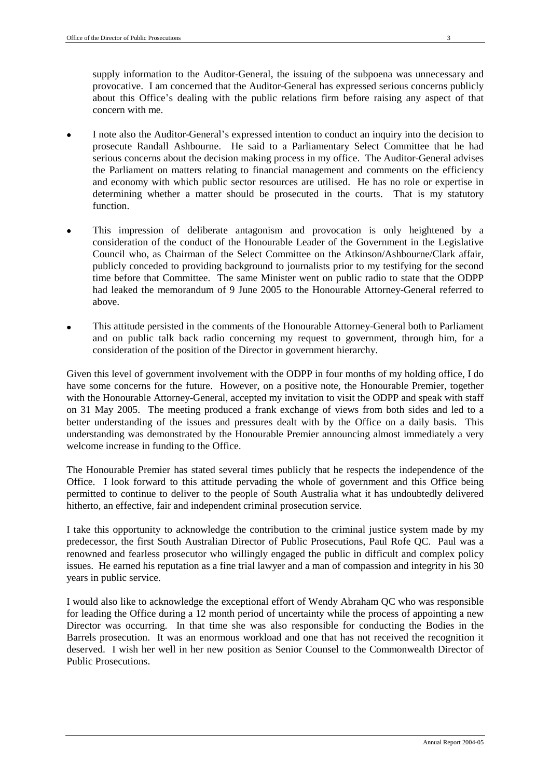supply information to the Auditor-General, the issuing of the subpoena was unnecessary and provocative. I am concerned that the Auditor-General has expressed serious concerns publicly about this Office's dealing with the public relations firm before raising any aspect of that concern with me.

- I note also the Auditor-General's expressed intention to conduct an inquiry into the decision to prosecute Randall Ashbourne. He said to a Parliamentary Select Committee that he had serious concerns about the decision making process in my office. The Auditor-General advises the Parliament on matters relating to financial management and comments on the efficiency and economy with which public sector resources are utilised. He has no role or expertise in determining whether a matter should be prosecuted in the courts. That is my statutory function.
- This impression of deliberate antagonism and provocation is only heightened by a consideration of the conduct of the Honourable Leader of the Government in the Legislative Council who, as Chairman of the Select Committee on the Atkinson/Ashbourne/Clark affair, publicly conceded to providing background to journalists prior to my testifying for the second time before that Committee. The same Minister went on public radio to state that the ODPP had leaked the memorandum of 9 June 2005 to the Honourable Attorney-General referred to above.
- This attitude persisted in the comments of the Honourable Attorney-General both to Parliament and on public talk back radio concerning my request to government, through him, for a consideration of the position of the Director in government hierarchy.

Given this level of government involvement with the ODPP in four months of my holding office, I do have some concerns for the future. However, on a positive note, the Honourable Premier, together with the Honourable Attorney-General, accepted my invitation to visit the ODPP and speak with staff on 31 May 2005. The meeting produced a frank exchange of views from both sides and led to a better understanding of the issues and pressures dealt with by the Office on a daily basis. This understanding was demonstrated by the Honourable Premier announcing almost immediately a very welcome increase in funding to the Office.

The Honourable Premier has stated several times publicly that he respects the independence of the Office. I look forward to this attitude pervading the whole of government and this Office being permitted to continue to deliver to the people of South Australia what it has undoubtedly delivered hitherto, an effective, fair and independent criminal prosecution service.

I take this opportunity to acknowledge the contribution to the criminal justice system made by my predecessor, the first South Australian Director of Public Prosecutions, Paul Rofe QC. Paul was a renowned and fearless prosecutor who willingly engaged the public in difficult and complex policy issues. He earned his reputation as a fine trial lawyer and a man of compassion and integrity in his 30 years in public service.

I would also like to acknowledge the exceptional effort of Wendy Abraham QC who was responsible for leading the Office during a 12 month period of uncertainty while the process of appointing a new Director was occurring. In that time she was also responsible for conducting the Bodies in the Barrels prosecution. It was an enormous workload and one that has not received the recognition it deserved. I wish her well in her new position as Senior Counsel to the Commonwealth Director of Public Prosecutions.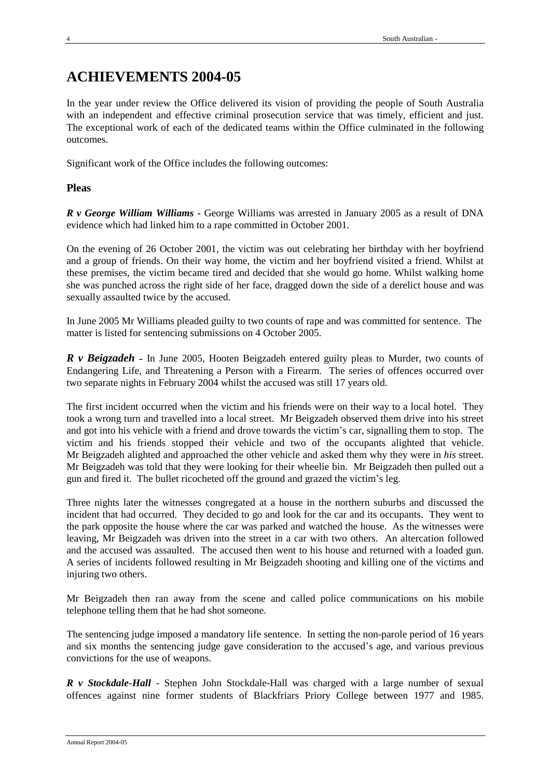# **ACHIEVEMENTS 2004-05**

In the year under review the Office delivered its vision of providing the people of South Australia with an independent and effective criminal prosecution service that was timely, efficient and just. The exceptional work of each of the dedicated teams within the Office culminated in the following outcomes.

Significant work of the Office includes the following outcomes:

# **Pleas**

*R v George William Williams -* George Williams was arrested in January 2005 as a result of DNA evidence which had linked him to a rape committed in October 2001.

On the evening of 26 October 2001, the victim was out celebrating her birthday with her boyfriend and a group of friends. On their way home, the victim and her boyfriend visited a friend. Whilst at these premises, the victim became tired and decided that she would go home. Whilst walking home she was punched across the right side of her face, dragged down the side of a derelict house and was sexually assaulted twice by the accused.

In June 2005 Mr Williams pleaded guilty to two counts of rape and was committed for sentence. The matter is listed for sentencing submissions on 4 October 2005.

*R v Beigzadeh* - In June 2005, Hooten Beigzadeh entered guilty pleas to Murder, two counts of Endangering Life, and Threatening a Person with a Firearm. The series of offences occurred over two separate nights in February 2004 whilst the accused was still 17 years old.

The first incident occurred when the victim and his friends were on their way to a local hotel. They took a wrong turn and travelled into a local street. Mr Beigzadeh observed them drive into his street and got into his vehicle with a friend and drove towards the victim's car, signalling them to stop. The victim and his friends stopped their vehicle and two of the occupants alighted that vehicle. Mr Beigzadeh alighted and approached the other vehicle and asked them why they were in *his* street. Mr Beigzadeh was told that they were looking for their wheelie bin. Mr Beigzadeh then pulled out a gun and fired it. The bullet ricocheted off the ground and grazed the victim's leg.

Three nights later the witnesses congregated at a house in the northern suburbs and discussed the incident that had occurred. They decided to go and look for the car and its occupants. They went to the park opposite the house where the car was parked and watched the house. As the witnesses were leaving, Mr Beigzadeh was driven into the street in a car with two others. An altercation followed and the accused was assaulted. The accused then went to his house and returned with a loaded gun. A series of incidents followed resulting in Mr Beigzadeh shooting and killing one of the victims and injuring two others.

Mr Beigzadeh then ran away from the scene and called police communications on his mobile telephone telling them that he had shot someone.

The sentencing judge imposed a mandatory life sentence. In setting the non-parole period of 16 years and six months the sentencing judge gave consideration to the accused's age, and various previous convictions for the use of weapons.

*R v Stockdale-Hall* - Stephen John Stockdale-Hall was charged with a large number of sexual offences against nine former students of Blackfriars Priory College between 1977 and 1985.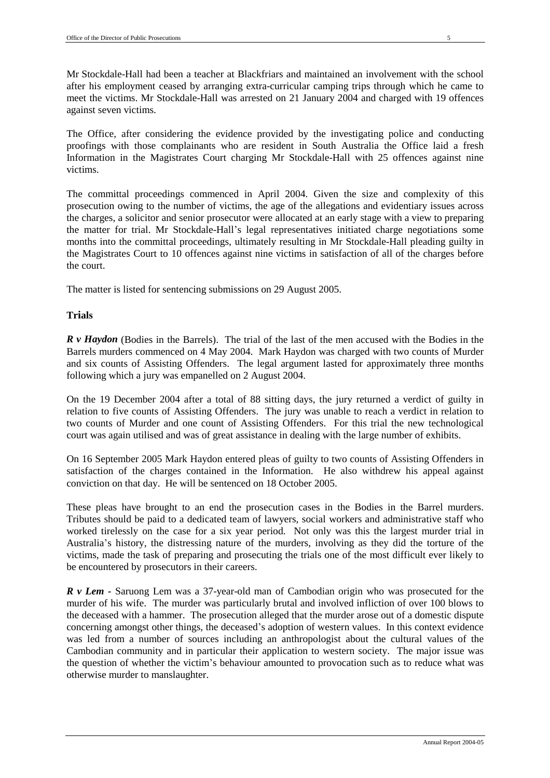Mr Stockdale-Hall had been a teacher at Blackfriars and maintained an involvement with the school after his employment ceased by arranging extra-curricular camping trips through which he came to meet the victims. Mr Stockdale-Hall was arrested on 21 January 2004 and charged with 19 offences against seven victims.

The Office, after considering the evidence provided by the investigating police and conducting proofings with those complainants who are resident in South Australia the Office laid a fresh Information in the Magistrates Court charging Mr Stockdale-Hall with 25 offences against nine victims.

The committal proceedings commenced in April 2004. Given the size and complexity of this prosecution owing to the number of victims, the age of the allegations and evidentiary issues across the charges, a solicitor and senior prosecutor were allocated at an early stage with a view to preparing the matter for trial. Mr Stockdale-Hall's legal representatives initiated charge negotiations some months into the committal proceedings, ultimately resulting in Mr Stockdale-Hall pleading guilty in the Magistrates Court to 10 offences against nine victims in satisfaction of all of the charges before the court.

The matter is listed for sentencing submissions on 29 August 2005.

# **Trials**

*R v Haydon* (Bodies in the Barrels). The trial of the last of the men accused with the Bodies in the Barrels murders commenced on 4 May 2004. Mark Haydon was charged with two counts of Murder and six counts of Assisting Offenders. The legal argument lasted for approximately three months following which a jury was empanelled on 2 August 2004.

On the 19 December 2004 after a total of 88 sitting days, the jury returned a verdict of guilty in relation to five counts of Assisting Offenders. The jury was unable to reach a verdict in relation to two counts of Murder and one count of Assisting Offenders. For this trial the new technological court was again utilised and was of great assistance in dealing with the large number of exhibits.

On 16 September 2005 Mark Haydon entered pleas of guilty to two counts of Assisting Offenders in satisfaction of the charges contained in the Information. He also withdrew his appeal against conviction on that day. He will be sentenced on 18 October 2005.

These pleas have brought to an end the prosecution cases in the Bodies in the Barrel murders. Tributes should be paid to a dedicated team of lawyers, social workers and administrative staff who worked tirelessly on the case for a six year period. Not only was this the largest murder trial in Australia's history, the distressing nature of the murders, involving as they did the torture of the victims, made the task of preparing and prosecuting the trials one of the most difficult ever likely to be encountered by prosecutors in their careers.

*R v Lem -* Saruong Lem was a 37-year-old man of Cambodian origin who was prosecuted for the murder of his wife. The murder was particularly brutal and involved infliction of over 100 blows to the deceased with a hammer. The prosecution alleged that the murder arose out of a domestic dispute concerning amongst other things, the deceased's adoption of western values. In this context evidence was led from a number of sources including an anthropologist about the cultural values of the Cambodian community and in particular their application to western society. The major issue was the question of whether the victim's behaviour amounted to provocation such as to reduce what was otherwise murder to manslaughter.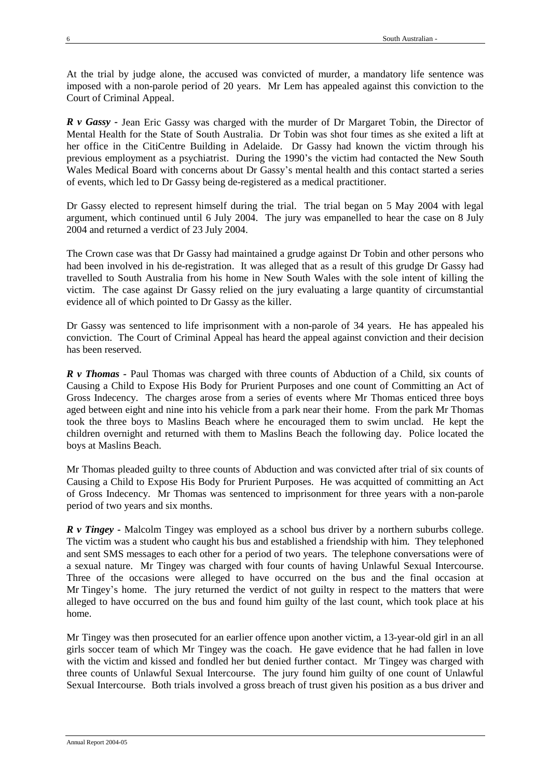At the trial by judge alone, the accused was convicted of murder, a mandatory life sentence was imposed with a non-parole period of 20 years. Mr Lem has appealed against this conviction to the Court of Criminal Appeal.

*R v Gassy -* Jean Eric Gassy was charged with the murder of Dr Margaret Tobin, the Director of Mental Health for the State of South Australia. Dr Tobin was shot four times as she exited a lift at her office in the CitiCentre Building in Adelaide. Dr Gassy had known the victim through his previous employment as a psychiatrist. During the 1990's the victim had contacted the New South Wales Medical Board with concerns about Dr Gassy's mental health and this contact started a series of events, which led to Dr Gassy being de-registered as a medical practitioner.

Dr Gassy elected to represent himself during the trial. The trial began on 5 May 2004 with legal argument, which continued until 6 July 2004. The jury was empanelled to hear the case on 8 July 2004 and returned a verdict of 23 July 2004.

The Crown case was that Dr Gassy had maintained a grudge against Dr Tobin and other persons who had been involved in his de-registration. It was alleged that as a result of this grudge Dr Gassy had travelled to South Australia from his home in New South Wales with the sole intent of killing the victim. The case against Dr Gassy relied on the jury evaluating a large quantity of circumstantial evidence all of which pointed to Dr Gassy as the killer.

Dr Gassy was sentenced to life imprisonment with a non-parole of 34 years. He has appealed his conviction. The Court of Criminal Appeal has heard the appeal against conviction and their decision has been reserved.

*R v Thomas -* Paul Thomas was charged with three counts of Abduction of a Child, six counts of Causing a Child to Expose His Body for Prurient Purposes and one count of Committing an Act of Gross Indecency. The charges arose from a series of events where Mr Thomas enticed three boys aged between eight and nine into his vehicle from a park near their home. From the park Mr Thomas took the three boys to Maslins Beach where he encouraged them to swim unclad. He kept the children overnight and returned with them to Maslins Beach the following day. Police located the boys at Maslins Beach.

Mr Thomas pleaded guilty to three counts of Abduction and was convicted after trial of six counts of Causing a Child to Expose His Body for Prurient Purposes. He was acquitted of committing an Act of Gross Indecency. Mr Thomas was sentenced to imprisonment for three years with a non-parole period of two years and six months.

*R v Tingey -* Malcolm Tingey was employed as a school bus driver by a northern suburbs college. The victim was a student who caught his bus and established a friendship with him. They telephoned and sent SMS messages to each other for a period of two years. The telephone conversations were of a sexual nature. Mr Tingey was charged with four counts of having Unlawful Sexual Intercourse. Three of the occasions were alleged to have occurred on the bus and the final occasion at Mr Tingey's home. The jury returned the verdict of not guilty in respect to the matters that were alleged to have occurred on the bus and found him guilty of the last count, which took place at his home.

Mr Tingey was then prosecuted for an earlier offence upon another victim, a 13-year-old girl in an all girls soccer team of which Mr Tingey was the coach. He gave evidence that he had fallen in love with the victim and kissed and fondled her but denied further contact. Mr Tingey was charged with three counts of Unlawful Sexual Intercourse. The jury found him guilty of one count of Unlawful Sexual Intercourse. Both trials involved a gross breach of trust given his position as a bus driver and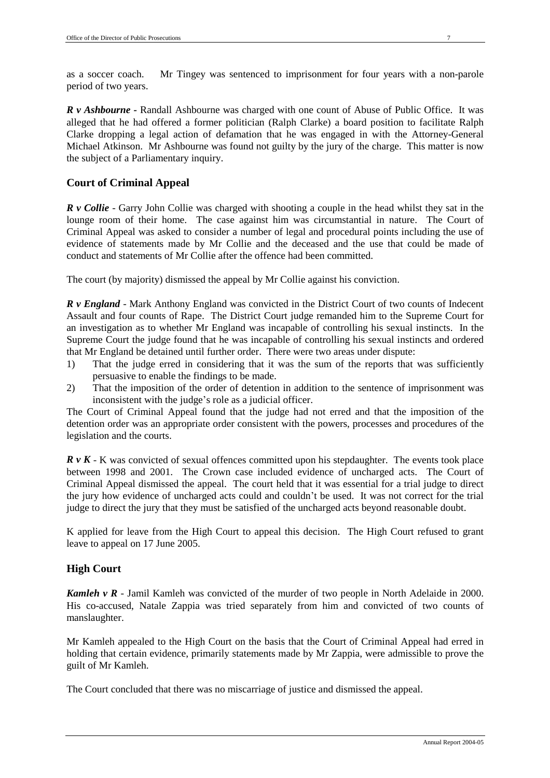*R v Ashbourne -* Randall Ashbourne was charged with one count of Abuse of Public Office. It was alleged that he had offered a former politician (Ralph Clarke) a board position to facilitate Ralph Clarke dropping a legal action of defamation that he was engaged in with the Attorney-General Michael Atkinson. Mr Ashbourne was found not guilty by the jury of the charge. This matter is now the subject of a Parliamentary inquiry.

# **Court of Criminal Appeal**

*R v Collie* - Garry John Collie was charged with shooting a couple in the head whilst they sat in the lounge room of their home. The case against him was circumstantial in nature. The Court of Criminal Appeal was asked to consider a number of legal and procedural points including the use of evidence of statements made by Mr Collie and the deceased and the use that could be made of conduct and statements of Mr Collie after the offence had been committed.

The court (by majority) dismissed the appeal by Mr Collie against his conviction.

*R v England* - Mark Anthony England was convicted in the District Court of two counts of Indecent Assault and four counts of Rape. The District Court judge remanded him to the Supreme Court for an investigation as to whether Mr England was incapable of controlling his sexual instincts. In the Supreme Court the judge found that he was incapable of controlling his sexual instincts and ordered that Mr England be detained until further order. There were two areas under dispute:

- 1) That the judge erred in considering that it was the sum of the reports that was sufficiently persuasive to enable the findings to be made.
- 2) That the imposition of the order of detention in addition to the sentence of imprisonment was inconsistent with the judge's role as a judicial officer.

The Court of Criminal Appeal found that the judge had not erred and that the imposition of the detention order was an appropriate order consistent with the powers, processes and procedures of the legislation and the courts.

*R v K* - K was convicted of sexual offences committed upon his stepdaughter. The events took place between 1998 and 2001. The Crown case included evidence of uncharged acts. The Court of Criminal Appeal dismissed the appeal. The court held that it was essential for a trial judge to direct the jury how evidence of uncharged acts could and couldn't be used. It was not correct for the trial judge to direct the jury that they must be satisfied of the uncharged acts beyond reasonable doubt.

K applied for leave from the High Court to appeal this decision. The High Court refused to grant leave to appeal on 17 June 2005.

# **High Court**

*Kamleh v R -* Jamil Kamleh was convicted of the murder of two people in North Adelaide in 2000. His co-accused, Natale Zappia was tried separately from him and convicted of two counts of manslaughter.

Mr Kamleh appealed to the High Court on the basis that the Court of Criminal Appeal had erred in holding that certain evidence, primarily statements made by Mr Zappia, were admissible to prove the guilt of Mr Kamleh.

The Court concluded that there was no miscarriage of justice and dismissed the appeal.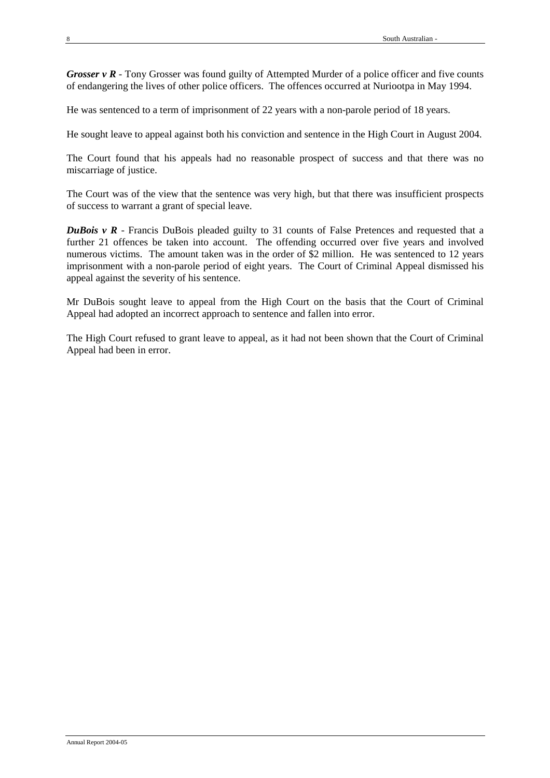*Grosser v R* - Tony Grosser was found guilty of Attempted Murder of a police officer and five counts of endangering the lives of other police officers. The offences occurred at Nuriootpa in May 1994.

He was sentenced to a term of imprisonment of 22 years with a non-parole period of 18 years.

He sought leave to appeal against both his conviction and sentence in the High Court in August 2004.

The Court found that his appeals had no reasonable prospect of success and that there was no miscarriage of justice.

The Court was of the view that the sentence was very high, but that there was insufficient prospects of success to warrant a grant of special leave.

*DuBois v R* - Francis DuBois pleaded guilty to 31 counts of False Pretences and requested that a further 21 offences be taken into account. The offending occurred over five years and involved numerous victims. The amount taken was in the order of \$2 million. He was sentenced to 12 years imprisonment with a non-parole period of eight years. The Court of Criminal Appeal dismissed his appeal against the severity of his sentence.

Mr DuBois sought leave to appeal from the High Court on the basis that the Court of Criminal Appeal had adopted an incorrect approach to sentence and fallen into error.

The High Court refused to grant leave to appeal, as it had not been shown that the Court of Criminal Appeal had been in error.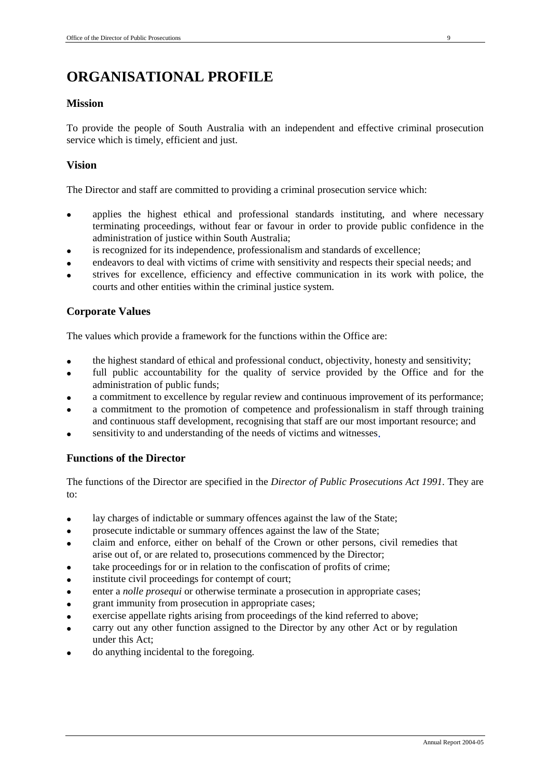# **ORGANISATIONAL PROFILE**

# **Mission**

To provide the people of South Australia with an independent and effective criminal prosecution service which is timely, efficient and just.

# **Vision**

The Director and staff are committed to providing a criminal prosecution service which:

- applies the highest ethical and professional standards instituting, and where necessary terminating proceedings, without fear or favour in order to provide public confidence in the administration of justice within South Australia;
- is recognized for its independence, professionalism and standards of excellence;
- endeavors to deal with victims of crime with sensitivity and respects their special needs; and
- strives for excellence, efficiency and effective communication in its work with police, the courts and other entities within the criminal justice system.

# **Corporate Values**

The values which provide a framework for the functions within the Office are:

- the highest standard of ethical and professional conduct, objectivity, honesty and sensitivity;
- full public accountability for the quality of service provided by the Office and for the administration of public funds;
- a commitment to excellence by regular review and continuous improvement of its performance;
- a commitment to the promotion of competence and professionalism in staff through training and continuous staff development, recognising that staff are our most important resource; and
- sensitivity to and understanding of the needs of victims and witnesses.

# **Functions of the Director**

The functions of the Director are specified in the *Director of Public Prosecutions Act 1991.* They are  $t\Omega$ :

- lay charges of indictable or summary offences against the law of the State;
- prosecute indictable or summary offences against the law of the State;
- claim and enforce, either on behalf of the Crown or other persons, civil remedies that arise out of, or are related to, prosecutions commenced by the Director;
- take proceedings for or in relation to the confiscation of profits of crime;
- institute civil proceedings for contempt of court;
- enter a *nolle prosequi* or otherwise terminate a prosecution in appropriate cases;
- grant immunity from prosecution in appropriate cases;
- exercise appellate rights arising from proceedings of the kind referred to above;
- carry out any other function assigned to the Director by any other Act or by regulation under this Act;
- do anything incidental to the foregoing.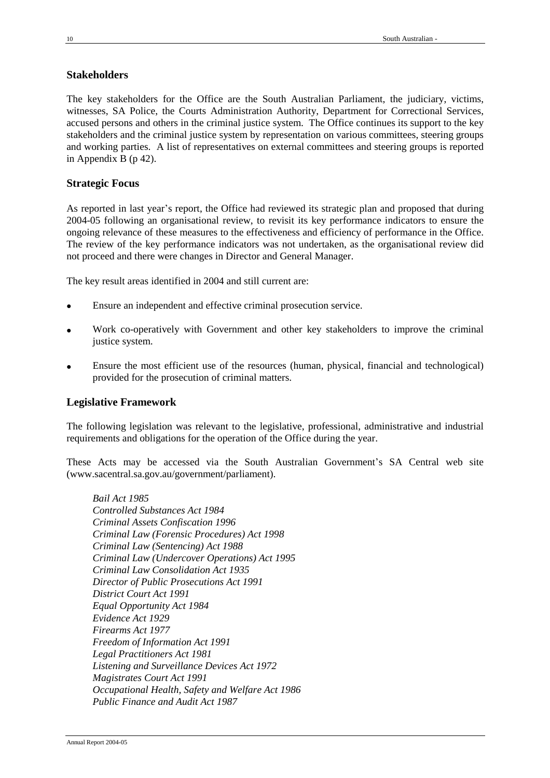# **Stakeholders**

The key stakeholders for the Office are the South Australian Parliament, the judiciary, victims, witnesses, SA Police, the Courts Administration Authority, Department for Correctional Services, accused persons and others in the criminal justice system. The Office continues its support to the key stakeholders and the criminal justice system by representation on various committees, steering groups and working parties. A list of representatives on external committees and steering groups is reported in Appendix B (p 42).

# **Strategic Focus**

As reported in last year's report, the Office had reviewed its strategic plan and proposed that during 2004-05 following an organisational review, to revisit its key performance indicators to ensure the ongoing relevance of these measures to the effectiveness and efficiency of performance in the Office. The review of the key performance indicators was not undertaken, as the organisational review did not proceed and there were changes in Director and General Manager.

The key result areas identified in 2004 and still current are:

- Ensure an independent and effective criminal prosecution service.
- Work co-operatively with Government and other key stakeholders to improve the criminal justice system.
- Ensure the most efficient use of the resources (human, physical, financial and technological) provided for the prosecution of criminal matters.

# **Legislative Framework**

The following legislation was relevant to the legislative, professional, administrative and industrial requirements and obligations for the operation of the Office during the year.

These Acts may be accessed via the South Australian Government's SA Central web site (www.sacentral.sa.gov.au/government/parliament).

*Bail Act 1985 Controlled Substances Act 1984 Criminal Assets Confiscation 1996 Criminal Law (Forensic Procedures) Act 1998 Criminal Law (Sentencing) Act 1988 Criminal Law (Undercover Operations) Act 1995 Criminal Law Consolidation Act 1935 Director of Public Prosecutions Act 1991 District Court Act 1991 Equal Opportunity Act 1984 Evidence Act 1929 Firearms Act 1977 Freedom of Information Act 1991 Legal Practitioners Act 1981 Listening and Surveillance Devices Act 1972 Magistrates Court Act 1991 Occupational Health, Safety and Welfare Act 1986 Public Finance and Audit Act 1987*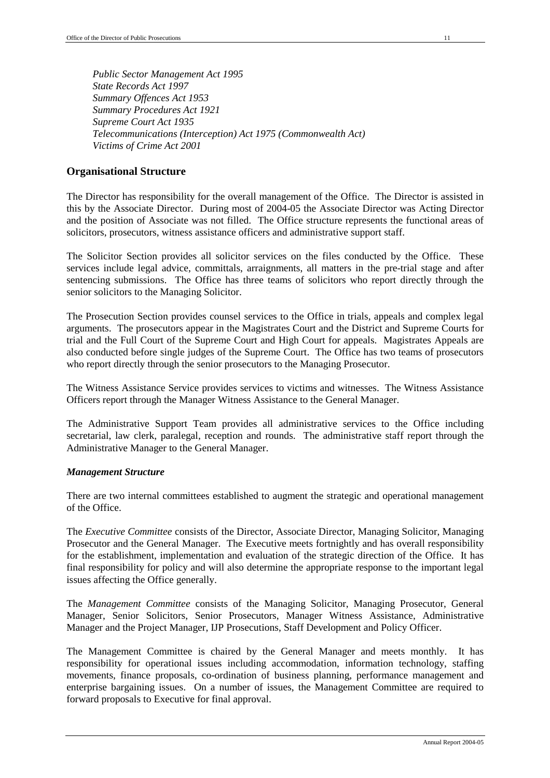*Public Sector Management Act 1995 State Records Act 1997 Summary Offences Act 1953 Summary Procedures Act 1921 Supreme Court Act 1935 Telecommunications (Interception) Act 1975 (Commonwealth Act) Victims of Crime Act 2001*

# **Organisational Structure**

The Director has responsibility for the overall management of the Office. The Director is assisted in this by the Associate Director. During most of 2004-05 the Associate Director was Acting Director and the position of Associate was not filled. The Office structure represents the functional areas of solicitors, prosecutors, witness assistance officers and administrative support staff.

The Solicitor Section provides all solicitor services on the files conducted by the Office. These services include legal advice, committals, arraignments, all matters in the pre-trial stage and after sentencing submissions. The Office has three teams of solicitors who report directly through the senior solicitors to the Managing Solicitor.

The Prosecution Section provides counsel services to the Office in trials, appeals and complex legal arguments. The prosecutors appear in the Magistrates Court and the District and Supreme Courts for trial and the Full Court of the Supreme Court and High Court for appeals. Magistrates Appeals are also conducted before single judges of the Supreme Court. The Office has two teams of prosecutors who report directly through the senior prosecutors to the Managing Prosecutor.

The Witness Assistance Service provides services to victims and witnesses. The Witness Assistance Officers report through the Manager Witness Assistance to the General Manager.

The Administrative Support Team provides all administrative services to the Office including secretarial, law clerk, paralegal, reception and rounds. The administrative staff report through the Administrative Manager to the General Manager.

## *Management Structure*

There are two internal committees established to augment the strategic and operational management of the Office.

The *Executive Committee* consists of the Director, Associate Director, Managing Solicitor, Managing Prosecutor and the General Manager. The Executive meets fortnightly and has overall responsibility for the establishment, implementation and evaluation of the strategic direction of the Office. It has final responsibility for policy and will also determine the appropriate response to the important legal issues affecting the Office generally.

The *Management Committee* consists of the Managing Solicitor, Managing Prosecutor, General Manager, Senior Solicitors, Senior Prosecutors, Manager Witness Assistance, Administrative Manager and the Project Manager, IJP Prosecutions, Staff Development and Policy Officer.

The Management Committee is chaired by the General Manager and meets monthly. It has responsibility for operational issues including accommodation, information technology, staffing movements, finance proposals, co-ordination of business planning, performance management and enterprise bargaining issues. On a number of issues, the Management Committee are required to forward proposals to Executive for final approval.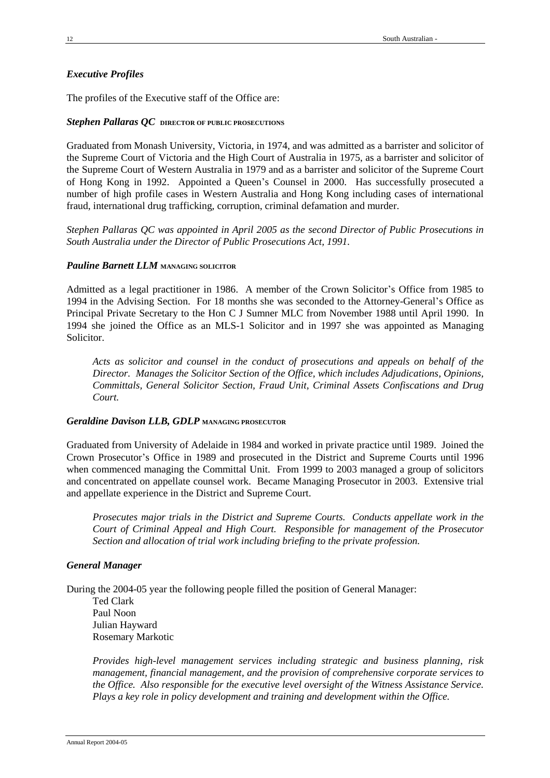## *Executive Profiles*

The profiles of the Executive staff of the Office are:

#### *Stephen Pallaras QC* **DIRECTOR OF PUBLIC PROSECUTIONS**

Graduated from Monash University, Victoria, in 1974, and was admitted as a barrister and solicitor of the Supreme Court of Victoria and the High Court of Australia in 1975, as a barrister and solicitor of the Supreme Court of Western Australia in 1979 and as a barrister and solicitor of the Supreme Court of Hong Kong in 1992. Appointed a Queen's Counsel in 2000. Has successfully prosecuted a number of high profile cases in Western Australia and Hong Kong including cases of international fraud, international drug trafficking, corruption, criminal defamation and murder.

*Stephen Pallaras QC was appointed in April 2005 as the second Director of Public Prosecutions in South Australia under the Director of Public Prosecutions Act, 1991.*

#### *Pauline Barnett LLM* **MANAGING SOLICITOR**

Admitted as a legal practitioner in 1986. A member of the Crown Solicitor's Office from 1985 to 1994 in the Advising Section. For 18 months she was seconded to the Attorney-General's Office as Principal Private Secretary to the Hon C J Sumner MLC from November 1988 until April 1990. In 1994 she joined the Office as an MLS-1 Solicitor and in 1997 she was appointed as Managing Solicitor.

*Acts as solicitor and counsel in the conduct of prosecutions and appeals on behalf of the Director. Manages the Solicitor Section of the Office, which includes Adjudications, Opinions, Committals, General Solicitor Section, Fraud Unit, Criminal Assets Confiscations and Drug Court.*

#### *Geraldine Davison LLB, GDLP* **MANAGING PROSECUTOR**

Graduated from University of Adelaide in 1984 and worked in private practice until 1989. Joined the Crown Prosecutor's Office in 1989 and prosecuted in the District and Supreme Courts until 1996 when commenced managing the Committal Unit. From 1999 to 2003 managed a group of solicitors and concentrated on appellate counsel work. Became Managing Prosecutor in 2003. Extensive trial and appellate experience in the District and Supreme Court.

*Prosecutes major trials in the District and Supreme Courts. Conducts appellate work in the Court of Criminal Appeal and High Court. Responsible for management of the Prosecutor Section and allocation of trial work including briefing to the private profession.*

#### *General Manager*

During the 2004-05 year the following people filled the position of General Manager:

Ted Clark Paul Noon Julian Hayward Rosemary Markotic

*Provides high-level management services including strategic and business planning, risk management, financial management, and the provision of comprehensive corporate services to the Office. Also responsible for the executive level oversight of the Witness Assistance Service. Plays a key role in policy development and training and development within the Office.*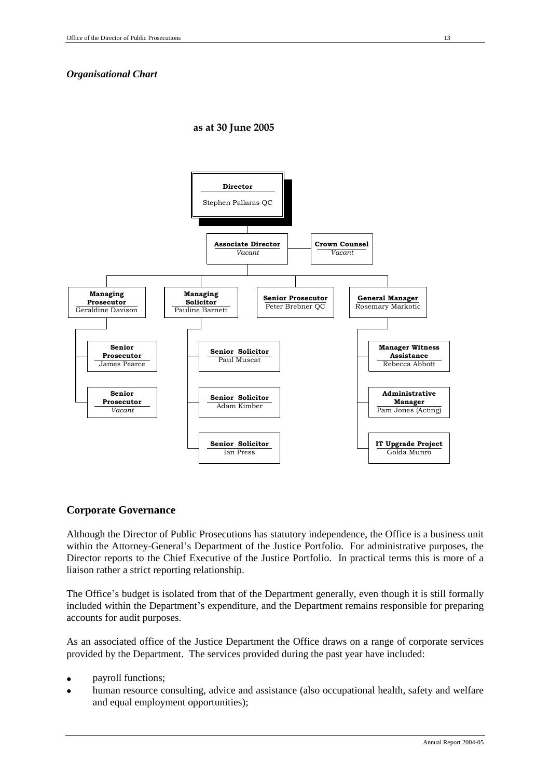# *Organisational Chart*

#### **as at 30 June 2005**



## **Corporate Governance**

Although the Director of Public Prosecutions has statutory independence, the Office is a business unit within the Attorney-General's Department of the Justice Portfolio. For administrative purposes, the Director reports to the Chief Executive of the Justice Portfolio. In practical terms this is more of a liaison rather a strict reporting relationship.

The Office's budget is isolated from that of the Department generally, even though it is still formally included within the Department's expenditure, and the Department remains responsible for preparing accounts for audit purposes.

As an associated office of the Justice Department the Office draws on a range of corporate services provided by the Department. The services provided during the past year have included:

- payroll functions;
- human resource consulting, advice and assistance (also occupational health, safety and welfare and equal employment opportunities);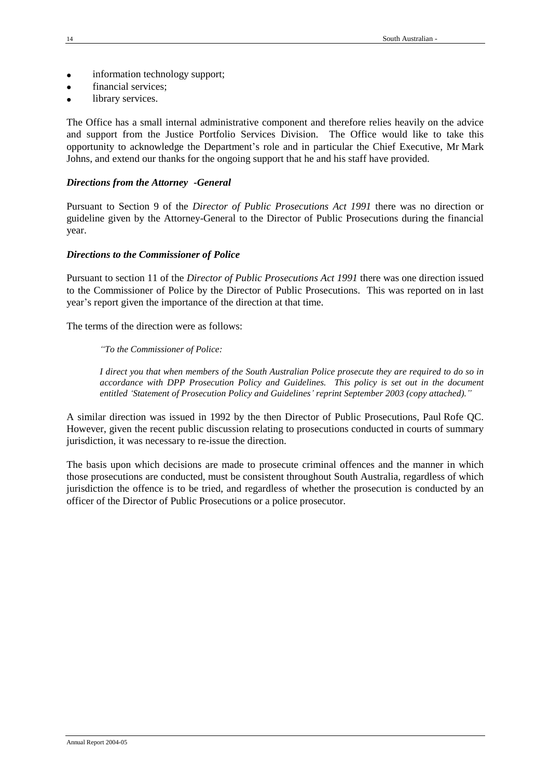- information technology support;
- financial services;
- library services.

The Office has a small internal administrative component and therefore relies heavily on the advice and support from the Justice Portfolio Services Division. The Office would like to take this opportunity to acknowledge the Department's role and in particular the Chief Executive, Mr Mark Johns, and extend our thanks for the ongoing support that he and his staff have provided.

## *Directions from the Attorney -General*

Pursuant to Section 9 of the *Director of Public Prosecutions Act 1991* there was no direction or guideline given by the Attorney-General to the Director of Public Prosecutions during the financial year.

## *Directions to the Commissioner of Police*

Pursuant to section 11 of the *Director of Public Prosecutions Act 1991* there was one direction issued to the Commissioner of Police by the Director of Public Prosecutions. This was reported on in last year's report given the importance of the direction at that time.

The terms of the direction were as follows:

#### *"To the Commissioner of Police:*

*I direct you that when members of the South Australian Police prosecute they are required to do so in accordance with DPP Prosecution Policy and Guidelines. This policy is set out in the document entitled 'Statement of Prosecution Policy and Guidelines' reprint September 2003 (copy attached)."*

A similar direction was issued in 1992 by the then Director of Public Prosecutions, Paul Rofe QC. However, given the recent public discussion relating to prosecutions conducted in courts of summary jurisdiction, it was necessary to re-issue the direction.

The basis upon which decisions are made to prosecute criminal offences and the manner in which those prosecutions are conducted, must be consistent throughout South Australia, regardless of which jurisdiction the offence is to be tried, and regardless of whether the prosecution is conducted by an officer of the Director of Public Prosecutions or a police prosecutor.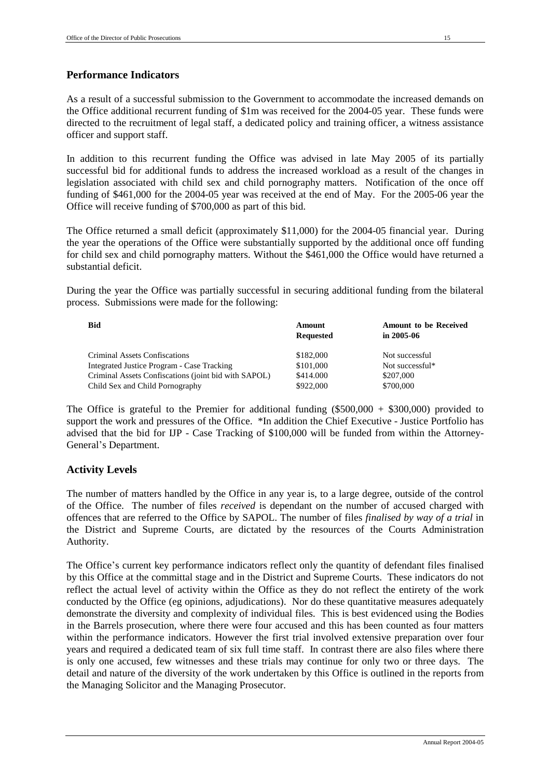As a result of a successful submission to the Government to accommodate the increased demands on the Office additional recurrent funding of \$1m was received for the 2004-05 year. These funds were directed to the recruitment of legal staff, a dedicated policy and training officer, a witness assistance officer and support staff.

In addition to this recurrent funding the Office was advised in late May 2005 of its partially successful bid for additional funds to address the increased workload as a result of the changes in legislation associated with child sex and child pornography matters. Notification of the once off funding of \$461,000 for the 2004-05 year was received at the end of May. For the 2005-06 year the Office will receive funding of \$700,000 as part of this bid.

The Office returned a small deficit (approximately \$11,000) for the 2004-05 financial year. During the year the operations of the Office were substantially supported by the additional once off funding for child sex and child pornography matters. Without the \$461,000 the Office would have returned a substantial deficit.

During the year the Office was partially successful in securing additional funding from the bilateral process. Submissions were made for the following:

| <b>Bid</b>                                           | Amount           | <b>Amount to be Received</b> |
|------------------------------------------------------|------------------|------------------------------|
|                                                      | <b>Requested</b> | in $2005 - 06$               |
| Criminal Assets Confiscations                        | \$182,000        | Not successful               |
| Integrated Justice Program - Case Tracking           | \$101,000        | Not successful*              |
| Criminal Assets Confiscations (joint bid with SAPOL) | \$414,000        | \$207,000                    |
| Child Sex and Child Pornography                      | \$922,000        | \$700,000                    |

The Office is grateful to the Premier for additional funding  $(\$500,000 + \$300,000)$  provided to support the work and pressures of the Office. \*In addition the Chief Executive - Justice Portfolio has advised that the bid for IJP - Case Tracking of \$100,000 will be funded from within the Attorney-General's Department.

# **Activity Levels**

The number of matters handled by the Office in any year is, to a large degree, outside of the control of the Office. The number of files *received* is dependant on the number of accused charged with offences that are referred to the Office by SAPOL. The number of files *finalised by way of a trial* in the District and Supreme Courts, are dictated by the resources of the Courts Administration Authority.

The Office's current key performance indicators reflect only the quantity of defendant files finalised by this Office at the committal stage and in the District and Supreme Courts. These indicators do not reflect the actual level of activity within the Office as they do not reflect the entirety of the work conducted by the Office (eg opinions, adjudications). Nor do these quantitative measures adequately demonstrate the diversity and complexity of individual files. This is best evidenced using the Bodies in the Barrels prosecution, where there were four accused and this has been counted as four matters within the performance indicators. However the first trial involved extensive preparation over four years and required a dedicated team of six full time staff. In contrast there are also files where there is only one accused, few witnesses and these trials may continue for only two or three days. The detail and nature of the diversity of the work undertaken by this Office is outlined in the reports from the Managing Solicitor and the Managing Prosecutor.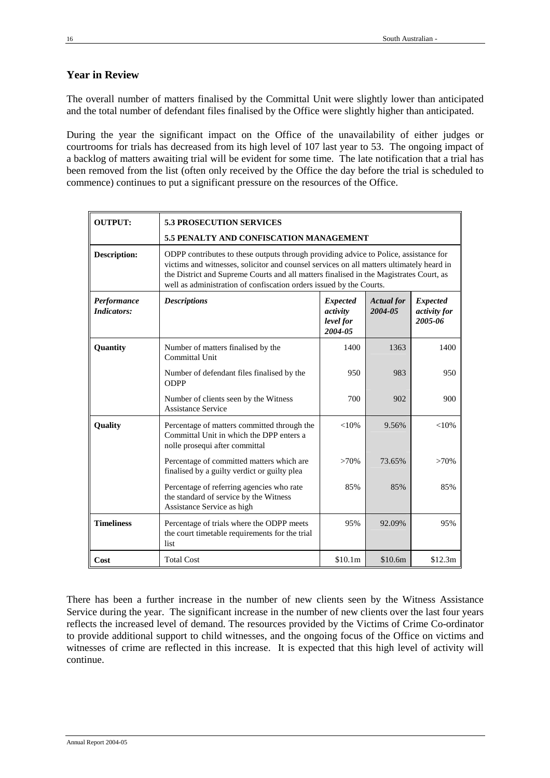# **Year in Review**

The overall number of matters finalised by the Committal Unit were slightly lower than anticipated and the total number of defendant files finalised by the Office were slightly higher than anticipated.

During the year the significant impact on the Office of the unavailability of either judges or courtrooms for trials has decreased from its high level of 107 last year to 53. The ongoing impact of a backlog of matters awaiting trial will be evident for some time. The late notification that a trial has been removed from the list (often only received by the Office the day before the trial is scheduled to commence) continues to put a significant pressure on the resources of the Office.

| <b>OUTPUT:</b>                    | <b>5.3 PROSECUTION SERVICES</b>                                                                                                                                                                                                                                                                                                                   |                                                     |                              |                                            |  |  |  |  |
|-----------------------------------|---------------------------------------------------------------------------------------------------------------------------------------------------------------------------------------------------------------------------------------------------------------------------------------------------------------------------------------------------|-----------------------------------------------------|------------------------------|--------------------------------------------|--|--|--|--|
|                                   | 5.5 PENALTY AND CONFISCATION MANAGEMENT                                                                                                                                                                                                                                                                                                           |                                                     |                              |                                            |  |  |  |  |
| <b>Description:</b>               | ODPP contributes to these outputs through providing advice to Police, assistance for<br>victims and witnesses, solicitor and counsel services on all matters ultimately heard in<br>the District and Supreme Courts and all matters finalised in the Magistrates Court, as<br>well as administration of confiscation orders issued by the Courts. |                                                     |                              |                                            |  |  |  |  |
| Performance<br><b>Indicators:</b> | <b>Descriptions</b>                                                                                                                                                                                                                                                                                                                               | <b>Expected</b><br>activity<br>level for<br>2004-05 | <b>Actual</b> for<br>2004-05 | <b>Expected</b><br>activity for<br>2005-06 |  |  |  |  |
| Quantity                          | Number of matters finalised by the<br>Committal Unit                                                                                                                                                                                                                                                                                              | 1400                                                | 1363                         | 1400                                       |  |  |  |  |
|                                   | Number of defendant files finalised by the<br><b>ODPP</b>                                                                                                                                                                                                                                                                                         | 950                                                 | 983                          | 950                                        |  |  |  |  |
|                                   | Number of clients seen by the Witness<br><b>Assistance Service</b>                                                                                                                                                                                                                                                                                | 700                                                 | 902                          | 900                                        |  |  |  |  |
| Quality                           | Percentage of matters committed through the<br>Committal Unit in which the DPP enters a<br>nolle prosequi after committal                                                                                                                                                                                                                         | ${<}10%$                                            | 9.56%                        | $< 10\%$                                   |  |  |  |  |
|                                   | Percentage of committed matters which are<br>finalised by a guilty verdict or guilty plea                                                                                                                                                                                                                                                         | $>70\%$                                             | 73.65%                       | $>70\%$                                    |  |  |  |  |
|                                   | Percentage of referring agencies who rate<br>the standard of service by the Witness<br>Assistance Service as high                                                                                                                                                                                                                                 | 85%                                                 | 85%                          | 85%                                        |  |  |  |  |
| <b>Timeliness</b>                 | Percentage of trials where the ODPP meets<br>the court timetable requirements for the trial<br>list                                                                                                                                                                                                                                               | 95%                                                 | 92.09%                       | 95%                                        |  |  |  |  |
| Cost                              | <b>Total Cost</b>                                                                                                                                                                                                                                                                                                                                 | \$10.1m                                             | \$10.6m                      | \$12.3m                                    |  |  |  |  |

There has been a further increase in the number of new clients seen by the Witness Assistance Service during the year. The significant increase in the number of new clients over the last four years reflects the increased level of demand. The resources provided by the Victims of Crime Co-ordinator to provide additional support to child witnesses, and the ongoing focus of the Office on victims and witnesses of crime are reflected in this increase. It is expected that this high level of activity will continue.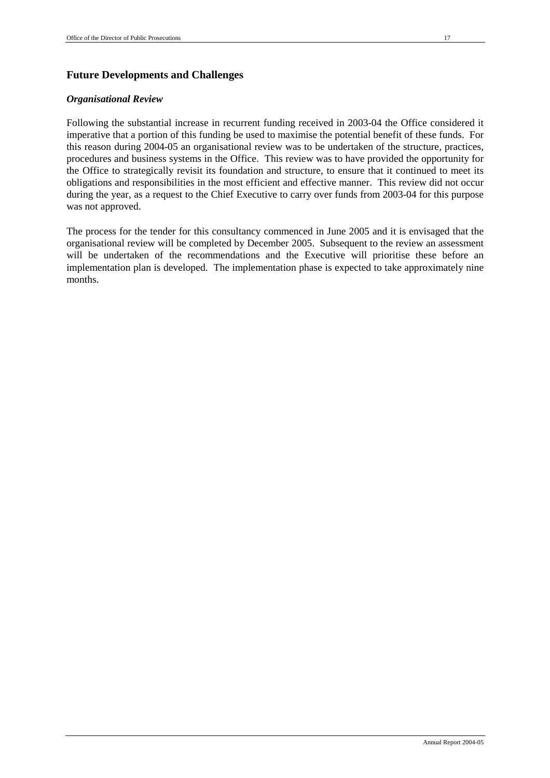# **Future Developments and Challenges**

#### *Organisational Review*

Following the substantial increase in recurrent funding received in 2003-04 the Office considered it imperative that a portion of this funding be used to maximise the potential benefit of these funds. For this reason during 2004-05 an organisational review was to be undertaken of the structure, practices, procedures and business systems in the Office. This review was to have provided the opportunity for the Office to strategically revisit its foundation and structure, to ensure that it continued to meet its obligations and responsibilities in the most efficient and effective manner. This review did not occur during the year, as a request to the Chief Executive to carry over funds from 2003-04 for this purpose was not approved.

The process for the tender for this consultancy commenced in June 2005 and it is envisaged that the organisational review will be completed by December 2005. Subsequent to the review an assessment will be undertaken of the recommendations and the Executive will prioritise these before an implementation plan is developed. The implementation phase is expected to take approximately nine months.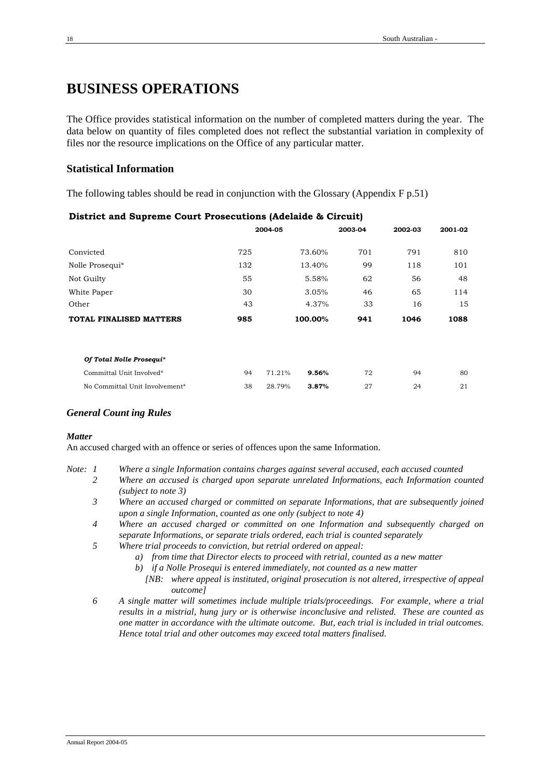# **BUSINESS OPERATIONS**

The Office provides statistical information on the number of completed matters during the year. The data below on quantity of files completed does not reflect the substantial variation in complexity of files nor the resource implications on the Office of any particular matter.

# **Statistical Information**

The following tables should be read in conjunction with the Glossary (Appendix F p.51)

| -                              |     |         |         |         |         |         |
|--------------------------------|-----|---------|---------|---------|---------|---------|
|                                |     | 2004-05 |         | 2003-04 | 2002-03 | 2001-02 |
| Convicted                      | 725 |         | 73.60%  | 701     | 791     | 810     |
| Nolle Prosequi*                | 132 |         | 13.40%  | 99      | 118     | 101     |
| Not Guilty                     | 55  |         | 5.58%   | 62      | 56      | 48      |
| White Paper                    | 30  |         | 3.05%   | 46      | 65      | 114     |
| Other                          | 43  |         | 4.37%   | 33      | 16      | 15      |
| <b>TOTAL FINALISED MATTERS</b> | 985 |         | 100.00% | 941     | 1046    | 1088    |
| Of Total Nolle Prosequi*       |     |         |         |         |         |         |
| Committal Unit Involved*       | 94  | 71.21%  | 9.56%   | 72      | 94      | 80      |
| No Committal Unit Involvement* | 38  | 28.79%  | 3.87%   | 27      | 24      | 21      |

# **District and Supreme Court Prosecutions (Adelaide & Circuit)**

# *General Count ing Rules*

## *Matter*

An accused charged with an offence or series of offences upon the same Information.

- *Note: 1 Where a single Information contains charges against several accused, each accused counted*
	- *2 Where an accused is charged upon separate unrelated Informations, each Information counted (subject to note 3)*
		- *3 Where an accused charged or committed on separate Informations, that are subsequently joined upon a single Information, counted as one only (subject to note 4)*
		- *4 Where an accused charged or committed on one Information and subsequently charged on separate Informations, or separate trials ordered, each trial is counted separately*
		- *5 Where trial proceeds to conviction, but retrial ordered on appeal:*
			- *a) from time that Director elects to proceed with retrial, counted as a new matter*
			- *b) if a Nolle Prosequi is entered immediately, not counted as a new matter*
			- *[NB: where appeal is instituted, original prosecution is not altered, irrespective of appeal outcome]*
		- *6 A single matter will sometimes include multiple trials/proceedings. For example, where a trial results in a mistrial, hung jury or is otherwise inconclusive and relisted. These are counted as one matter in accordance with the ultimate outcome. But, each trial is included in trial outcomes. Hence total trial and other outcomes may exceed total matters finalised.*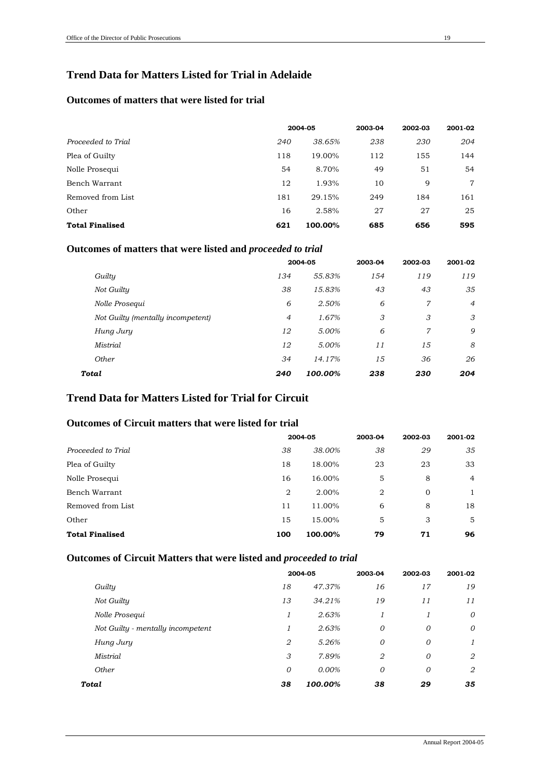# **Trend Data for Matters Listed for Trial in Adelaide**

# **Outcomes of matters that were listed for trial**

|                        |     | 2004-05 | 2003-04 | 2002-03 | 2001-02 |
|------------------------|-----|---------|---------|---------|---------|
| Proceeded to Trial     | 240 | 38.65%  | 238     | 230     | 204     |
| Plea of Guilty         | 118 | 19.00%  | 112     | 155     | 144     |
| Nolle Prosegui         | 54  | 8.70%   | 49      | 51      | 54      |
| Bench Warrant          | 12  | 1.93%   | 10      | 9       | $\tau$  |
| Removed from List      | 181 | 29.15%  | 249     | 184     | 161     |
| Other                  | 16  | 2.58%   | 27      | 27      | 25      |
| <b>Total Finalised</b> | 621 | 100.00% | 685     | 656     | 595     |

# **Outcomes of matters that were listed and** *proceeded to trial*

|                                   |                | 2004-05 |     | 2002-03 | 2001-02        |
|-----------------------------------|----------------|---------|-----|---------|----------------|
| Guilty                            | 134            | 55.83%  | 154 | 119     | 119            |
| Not Guilty                        | 38             | 15.83%  | 43  | 43      | 35             |
| Nolle Prosequi                    | 6              | 2.50%   | 6   | 7       | $\overline{4}$ |
| Not Guilty (mentally incompetent) | $\overline{4}$ | 1.67%   | 3   | 3       | 3              |
| Hung Jury                         | 12             | 5.00%   | 6   | 7       | 9              |
| <b>Mistrial</b>                   | 12             | 5.00%   | 11  | 15      | 8              |
| Other                             | 34             | 14.17%  | 15  | 36      | 26             |
| Total                             | 240            | 100.00% | 238 | 230     | 204            |

# **Trend Data for Matters Listed for Trial for Circuit**

## **Outcomes of Circuit matters that were listed for trial**

|                        |                | 2004-05 |                | 2002-03     | 2001-02        |
|------------------------|----------------|---------|----------------|-------------|----------------|
| Proceeded to Trial     | 38             | 38.00%  | 38             | 29          | 35             |
| Plea of Guilty         | 18             | 18.00%  | 23             | 23          | 33             |
| Nolle Prosequi         | 16             | 16.00%  | 5              | 8           | $\overline{4}$ |
| Bench Warrant          | $\overline{2}$ | 2.00%   | $\overline{2}$ | $\mathbf 0$ | $\mathbf{1}$   |
| Removed from List      | 11             | 11.00%  | 6              | 8           | 18             |
| Other                  | 15             | 15.00%  | 5              | 3           | 5              |
| <b>Total Finalised</b> | 100            | 100.00% | 79             | 71          | 96             |

# **Outcomes of Circuit Matters that were listed and** *proceeded to trial*

|                                   |    | 2004-05 | 2003-04 | 2002-03 | 2001-02        |
|-----------------------------------|----|---------|---------|---------|----------------|
| Guilty                            | 18 | 47.37%  | 16      | 17      | 19             |
| Not Guilty                        | 13 | 34.21%  | 19      | 11      | 11             |
| Nolle Prosequi                    | 1  | 2.63%   | 1       |         | 0              |
| Not Guilty - mentally incompetent | 1  | 2.63%   | 0       | 0       | 0              |
| Hung Jury                         | 2  | 5.26%   | 0       | 0       | $\mathfrak{1}$ |
| Mistrial                          | 3  | 7.89%   | 2       | 0       | 2              |
| Other                             | 0  | 0.00%   | 0       | 0       | 2              |
| Total                             | 38 | 100.00% | 38      | 29      | 35             |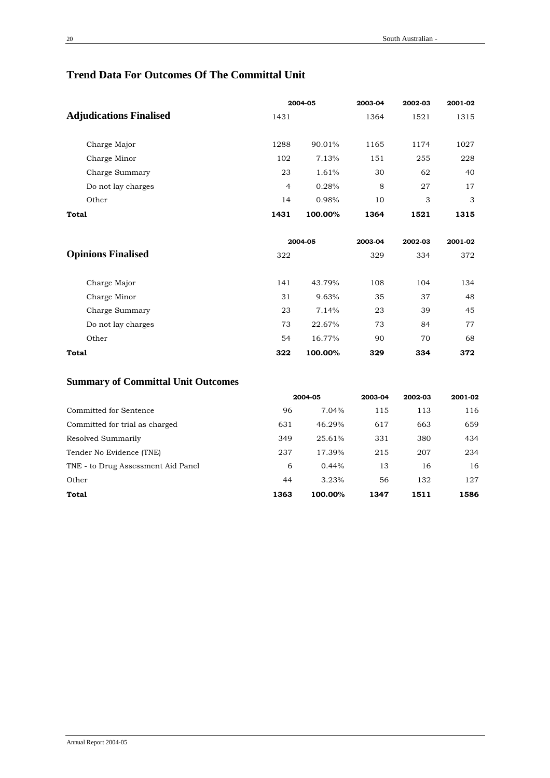# **Trend Data For Outcomes Of The Committal Unit**

|                                |                | 2004-05 |         | 2002-03 | 2001-02 |
|--------------------------------|----------------|---------|---------|---------|---------|
| <b>Adjudications Finalised</b> | 1431           |         | 1364    | 1521    | 1315    |
| Charge Major                   | 1288           | 90.01%  | 1165    | 1174    | 1027    |
| Charge Minor                   | 102            | 7.13%   | 151     | 255     | 228     |
| Charge Summary                 | 23             | 1.61%   | 30      | 62      | 40      |
| Do not lay charges             | $\overline{4}$ | 0.28%   | 8       | 27      | 17      |
| Other                          | 14             | 0.98%   | 10      | 3       | 3       |
| <b>Total</b>                   | 1431           | 100.00% | 1364    | 1521    | 1315    |
|                                |                | 2004-05 | 2003-04 | 2002-03 | 2001-02 |
| <b>Opinions Finalised</b>      | 322            |         | 329     | 334     | 372     |
| Charge Major                   | 141            | 43.79%  | 108     | 104     | 134     |
| Charge Minor                   | 31             | 9.63%   | 35      | 37      | 48      |
| Charge Summary                 | 23             | 7.14%   | 23      | 39      | 45      |
| Do not lay charges             | 73             | 22.67%  | 73      | 84      | 77      |
| Other                          | 54             | 16.77%  | 90      | 70      | 68      |
| <b>Total</b>                   | 322            | 100.00% | 329     | 334     | 372     |

# **Summary of Committal Unit Outcomes**

|                                    |      | 2004-05  | 2003-04 | 2002-03 | 2001-02 |
|------------------------------------|------|----------|---------|---------|---------|
| Committed for Sentence             | 96   | 7.04%    | 115     | 113     | 116     |
| Committed for trial as charged     | 631  | 46.29%   | 617     | 663     | 659     |
| Resolved Summarily                 | 349  | 25.61%   | 331     | 380     | 434     |
| Tender No Evidence (TNE)           | 237  | 17.39%   | 215     | 207     | 234     |
| TNE - to Drug Assessment Aid Panel | 6    | $0.44\%$ | 13      | 16      | 16      |
| Other                              | 44   | 3.23%    | 56      | 132     | 127     |
| Total                              | 1363 | 100.00%  | 1347    | 1511    | 1586    |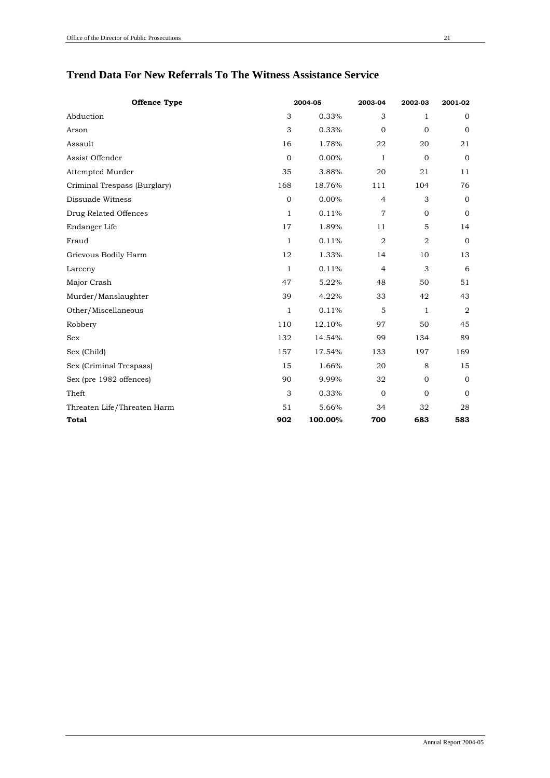# **Trend Data For New Referrals To The Witness Assistance Service**

| <b>Offence Type</b>          |              | 2004-05 | 2003-04        | 2002-03        | 2001-02      |
|------------------------------|--------------|---------|----------------|----------------|--------------|
| Abduction                    | 3            | 0.33%   | 3              | $\mathbf{1}$   | $\mathbf 0$  |
| Arson                        | 3            | 0.33%   | $\mathbf{0}$   | $\mathbf 0$    | $\mathbf 0$  |
| Assault                      | 16           | 1.78%   | 22             | 20             | 21           |
| Assist Offender              | $\mathbf 0$  | 0.00%   | $\mathbf{1}$   | $\mathbf 0$    | $\mathbf 0$  |
| Attempted Murder             | 35           | 3.88%   | 20             | 21             | 11           |
| Criminal Trespass (Burglary) | 168          | 18.76%  | 111            | 104            | 76           |
| Dissuade Witness             | $\mathbf{0}$ | 0.00%   | $\overline{4}$ | 3              | $\mathbf 0$  |
| Drug Related Offences        | $\mathbf{1}$ | 0.11%   | $\overline{7}$ | $\mathbf 0$    | $\mathbf 0$  |
| Endanger Life                | 17           | 1.89%   | 11             | 5              | 14           |
| Fraud                        | $\mathbf{1}$ | 0.11%   | $\overline{2}$ | $\overline{2}$ | $\mathbf{0}$ |
| Grievous Bodily Harm         | 12           | 1.33%   | 14             | 10             | 13           |
| Larceny                      | $\mathbf{1}$ | 0.11%   | $\overline{4}$ | 3              | 6            |
| Major Crash                  | 47           | 5.22%   | 48             | 50             | 51           |
| Murder/Manslaughter          | 39           | 4.22%   | 33             | 42             | 43           |
| Other/Miscellaneous          | $\mathbf{1}$ | 0.11%   | 5              | $\mathbf{1}$   | $\sqrt{2}$   |
| Robbery                      | 110          | 12.10%  | 97             | 50             | 45           |
| <b>Sex</b>                   | 132          | 14.54%  | 99             | 134            | 89           |
| Sex (Child)                  | 157          | 17.54%  | 133            | 197            | 169          |
| Sex (Criminal Trespass)      | 15           | 1.66%   | 20             | 8              | 15           |
| Sex (pre 1982 offences)      | 90           | 9.99%   | 32             | $\mathbf 0$    | $\mathbf 0$  |
| Theft                        | 3            | 0.33%   | $\mathbf 0$    | $\mathbf 0$    | $\mathbf 0$  |
| Threaten Life/Threaten Harm  | 51           | 5.66%   | 34             | 32             | 28           |
| <b>Total</b>                 | 902          | 100.00% | 700            | 683            | 583          |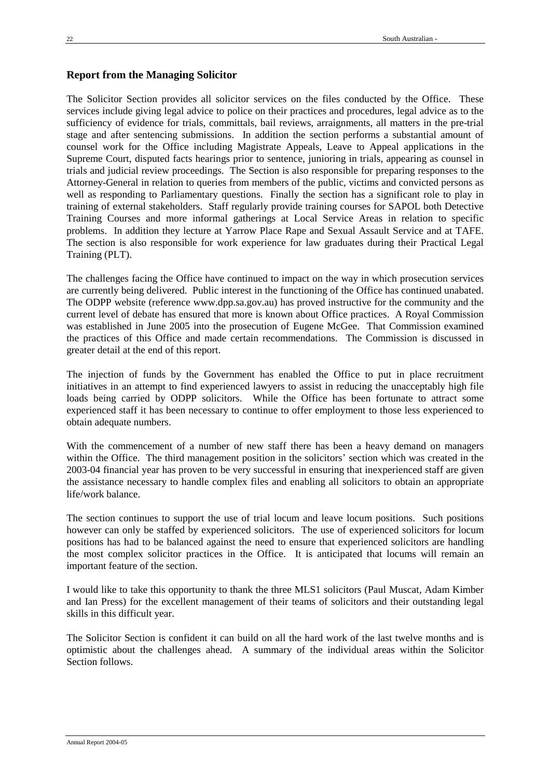#### **Report from the Managing Solicitor**

The Solicitor Section provides all solicitor services on the files conducted by the Office. These services include giving legal advice to police on their practices and procedures, legal advice as to the sufficiency of evidence for trials, committals, bail reviews, arraignments, all matters in the pre-trial stage and after sentencing submissions. In addition the section performs a substantial amount of counsel work for the Office including Magistrate Appeals, Leave to Appeal applications in the Supreme Court, disputed facts hearings prior to sentence, junioring in trials, appearing as counsel in trials and judicial review proceedings. The Section is also responsible for preparing responses to the Attorney-General in relation to queries from members of the public, victims and convicted persons as well as responding to Parliamentary questions. Finally the section has a significant role to play in training of external stakeholders. Staff regularly provide training courses for SAPOL both Detective Training Courses and more informal gatherings at Local Service Areas in relation to specific problems. In addition they lecture at Yarrow Place Rape and Sexual Assault Service and at TAFE. The section is also responsible for work experience for law graduates during their Practical Legal Training (PLT).

The challenges facing the Office have continued to impact on the way in which prosecution services are currently being delivered. Public interest in the functioning of the Office has continued unabated. The ODPP website (reference www.dpp.sa.gov.au) has proved instructive for the community and the current level of debate has ensured that more is known about Office practices. A Royal Commission was established in June 2005 into the prosecution of Eugene McGee. That Commission examined the practices of this Office and made certain recommendations. The Commission is discussed in greater detail at the end of this report.

The injection of funds by the Government has enabled the Office to put in place recruitment initiatives in an attempt to find experienced lawyers to assist in reducing the unacceptably high file loads being carried by ODPP solicitors. While the Office has been fortunate to attract some experienced staff it has been necessary to continue to offer employment to those less experienced to obtain adequate numbers.

With the commencement of a number of new staff there has been a heavy demand on managers within the Office. The third management position in the solicitors' section which was created in the 2003-04 financial year has proven to be very successful in ensuring that inexperienced staff are given the assistance necessary to handle complex files and enabling all solicitors to obtain an appropriate life/work balance.

The section continues to support the use of trial locum and leave locum positions. Such positions however can only be staffed by experienced solicitors. The use of experienced solicitors for locum positions has had to be balanced against the need to ensure that experienced solicitors are handling the most complex solicitor practices in the Office. It is anticipated that locums will remain an important feature of the section.

I would like to take this opportunity to thank the three MLS1 solicitors (Paul Muscat, Adam Kimber and Ian Press) for the excellent management of their teams of solicitors and their outstanding legal skills in this difficult year.

The Solicitor Section is confident it can build on all the hard work of the last twelve months and is optimistic about the challenges ahead. A summary of the individual areas within the Solicitor Section follows.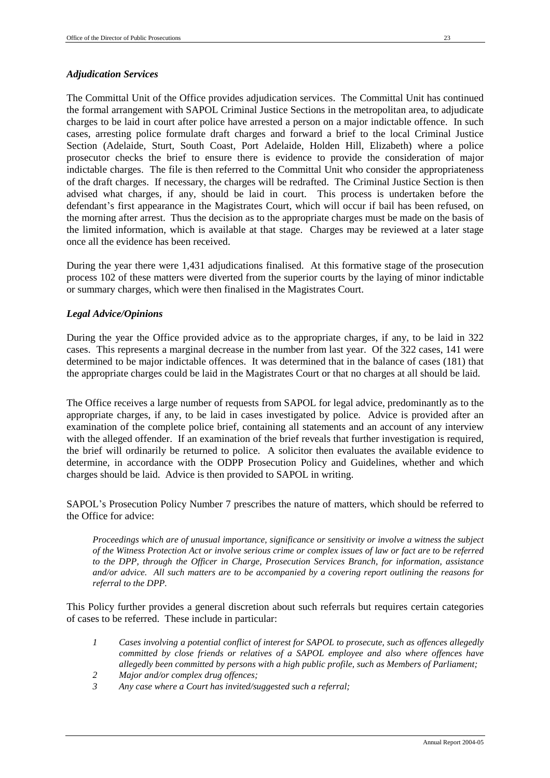## *Adjudication Services*

The Committal Unit of the Office provides adjudication services. The Committal Unit has continued the formal arrangement with SAPOL Criminal Justice Sections in the metropolitan area, to adjudicate charges to be laid in court after police have arrested a person on a major indictable offence. In such cases, arresting police formulate draft charges and forward a brief to the local Criminal Justice Section (Adelaide, Sturt, South Coast, Port Adelaide, Holden Hill, Elizabeth) where a police prosecutor checks the brief to ensure there is evidence to provide the consideration of major indictable charges. The file is then referred to the Committal Unit who consider the appropriateness of the draft charges. If necessary, the charges will be redrafted. The Criminal Justice Section is then advised what charges, if any, should be laid in court. This process is undertaken before the defendant's first appearance in the Magistrates Court, which will occur if bail has been refused, on the morning after arrest. Thus the decision as to the appropriate charges must be made on the basis of the limited information, which is available at that stage. Charges may be reviewed at a later stage once all the evidence has been received.

During the year there were 1,431 adjudications finalised. At this formative stage of the prosecution process 102 of these matters were diverted from the superior courts by the laying of minor indictable or summary charges, which were then finalised in the Magistrates Court.

## *Legal Advice/Opinions*

During the year the Office provided advice as to the appropriate charges, if any, to be laid in 322 cases. This represents a marginal decrease in the number from last year. Of the 322 cases, 141 were determined to be major indictable offences. It was determined that in the balance of cases (181) that the appropriate charges could be laid in the Magistrates Court or that no charges at all should be laid.

The Office receives a large number of requests from SAPOL for legal advice, predominantly as to the appropriate charges, if any, to be laid in cases investigated by police. Advice is provided after an examination of the complete police brief, containing all statements and an account of any interview with the alleged offender. If an examination of the brief reveals that further investigation is required, the brief will ordinarily be returned to police. A solicitor then evaluates the available evidence to determine, in accordance with the ODPP Prosecution Policy and Guidelines, whether and which charges should be laid. Advice is then provided to SAPOL in writing.

SAPOL's Prosecution Policy Number 7 prescribes the nature of matters, which should be referred to the Office for advice:

*Proceedings which are of unusual importance, significance or sensitivity or involve a witness the subject of the Witness Protection Act or involve serious crime or complex issues of law or fact are to be referred to the DPP, through the Officer in Charge, Prosecution Services Branch, for information, assistance and/or advice. All such matters are to be accompanied by a covering report outlining the reasons for referral to the DPP.*

This Policy further provides a general discretion about such referrals but requires certain categories of cases to be referred. These include in particular:

- *1 Cases involving a potential conflict of interest for SAPOL to prosecute, such as offences allegedly committed by close friends or relatives of a SAPOL employee and also where offences have allegedly been committed by persons with a high public profile, such as Members of Parliament;*
- *2 Major and/or complex drug offences;*
- *3 Any case where a Court has invited/suggested such a referral;*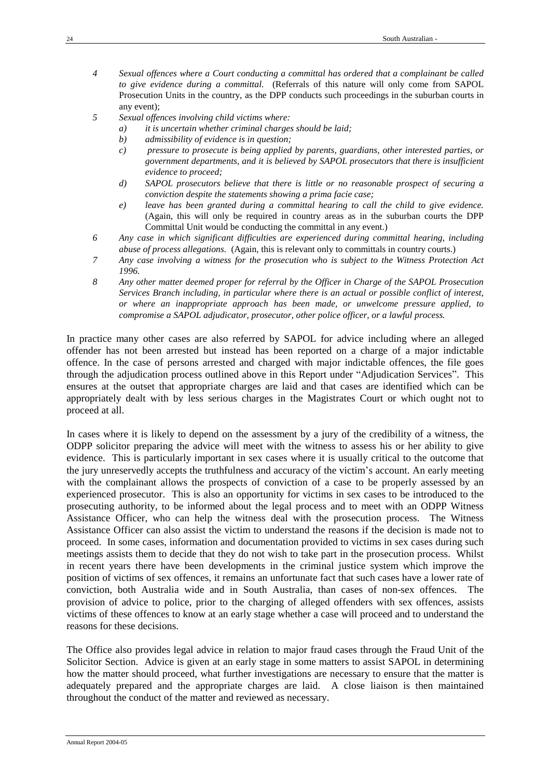- *4 Sexual offences where a Court conducting a committal has ordered that a complainant be called to give evidence during a committal.* (Referrals of this nature will only come from SAPOL Prosecution Units in the country, as the DPP conducts such proceedings in the suburban courts in any event);
- *5 Sexual offences involving child victims where:*
	- *a) it is uncertain whether criminal charges should be laid;*
	- *b) admissibility of evidence is in question;*
	- *c) pressure to prosecute is being applied by parents, guardians, other interested parties, or government departments, and it is believed by SAPOL prosecutors that there is insufficient evidence to proceed;*
	- *d) SAPOL prosecutors believe that there is little or no reasonable prospect of securing a conviction despite the statements showing a prima facie case;*
	- *e) leave has been granted during a committal hearing to call the child to give evidence.*  (Again, this will only be required in country areas as in the suburban courts the DPP Committal Unit would be conducting the committal in any event.)
- *6 Any case in which significant difficulties are experienced during committal hearing, including abuse of process allegations.* (Again, this is relevant only to committals in country courts.)
- *7 Any case involving a witness for the prosecution who is subject to the Witness Protection Act 1996.*
- *8 Any other matter deemed proper for referral by the Officer in Charge of the SAPOL Prosecution Services Branch including, in particular where there is an actual or possible conflict of interest, or where an inappropriate approach has been made, or unwelcome pressure applied, to compromise a SAPOL adjudicator, prosecutor, other police officer, or a lawful process.*

In practice many other cases are also referred by SAPOL for advice including where an alleged offender has not been arrested but instead has been reported on a charge of a major indictable offence. In the case of persons arrested and charged with major indictable offences, the file goes through the adjudication process outlined above in this Report under "Adjudication Services". This ensures at the outset that appropriate charges are laid and that cases are identified which can be appropriately dealt with by less serious charges in the Magistrates Court or which ought not to proceed at all.

In cases where it is likely to depend on the assessment by a jury of the credibility of a witness, the ODPP solicitor preparing the advice will meet with the witness to assess his or her ability to give evidence. This is particularly important in sex cases where it is usually critical to the outcome that the jury unreservedly accepts the truthfulness and accuracy of the victim's account. An early meeting with the complainant allows the prospects of conviction of a case to be properly assessed by an experienced prosecutor. This is also an opportunity for victims in sex cases to be introduced to the prosecuting authority, to be informed about the legal process and to meet with an ODPP Witness Assistance Officer, who can help the witness deal with the prosecution process. The Witness Assistance Officer can also assist the victim to understand the reasons if the decision is made not to proceed. In some cases, information and documentation provided to victims in sex cases during such meetings assists them to decide that they do not wish to take part in the prosecution process. Whilst in recent years there have been developments in the criminal justice system which improve the position of victims of sex offences, it remains an unfortunate fact that such cases have a lower rate of conviction, both Australia wide and in South Australia, than cases of non-sex offences. The provision of advice to police, prior to the charging of alleged offenders with sex offences, assists victims of these offences to know at an early stage whether a case will proceed and to understand the reasons for these decisions.

The Office also provides legal advice in relation to major fraud cases through the Fraud Unit of the Solicitor Section. Advice is given at an early stage in some matters to assist SAPOL in determining how the matter should proceed, what further investigations are necessary to ensure that the matter is adequately prepared and the appropriate charges are laid. A close liaison is then maintained throughout the conduct of the matter and reviewed as necessary.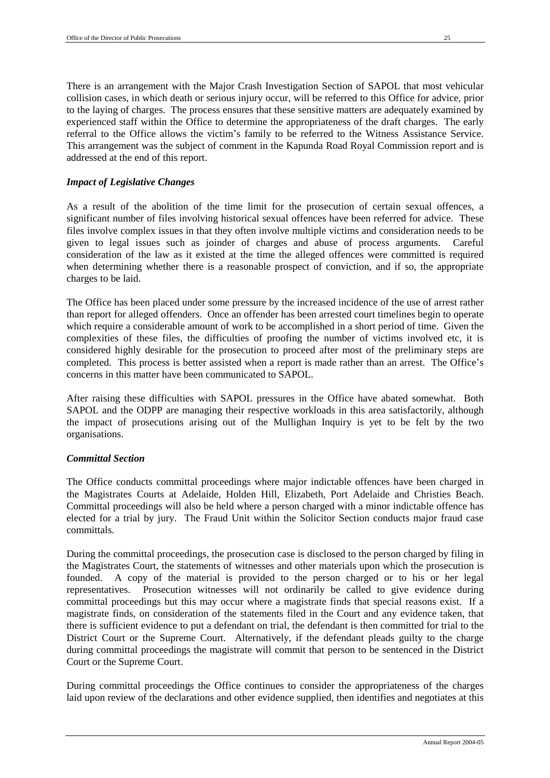There is an arrangement with the Major Crash Investigation Section of SAPOL that most vehicular collision cases, in which death or serious injury occur, will be referred to this Office for advice, prior to the laying of charges. The process ensures that these sensitive matters are adequately examined by experienced staff within the Office to determine the appropriateness of the draft charges. The early referral to the Office allows the victim's family to be referred to the Witness Assistance Service. This arrangement was the subject of comment in the Kapunda Road Royal Commission report and is addressed at the end of this report.

#### *Impact of Legislative Changes*

As a result of the abolition of the time limit for the prosecution of certain sexual offences, a significant number of files involving historical sexual offences have been referred for advice. These files involve complex issues in that they often involve multiple victims and consideration needs to be given to legal issues such as joinder of charges and abuse of process arguments. Careful consideration of the law as it existed at the time the alleged offences were committed is required when determining whether there is a reasonable prospect of conviction, and if so, the appropriate charges to be laid.

The Office has been placed under some pressure by the increased incidence of the use of arrest rather than report for alleged offenders. Once an offender has been arrested court timelines begin to operate which require a considerable amount of work to be accomplished in a short period of time. Given the complexities of these files, the difficulties of proofing the number of victims involved etc, it is considered highly desirable for the prosecution to proceed after most of the preliminary steps are completed. This process is better assisted when a report is made rather than an arrest. The Office's concerns in this matter have been communicated to SAPOL.

After raising these difficulties with SAPOL pressures in the Office have abated somewhat. Both SAPOL and the ODPP are managing their respective workloads in this area satisfactorily, although the impact of prosecutions arising out of the Mullighan Inquiry is yet to be felt by the two organisations.

#### *Committal Section*

The Office conducts committal proceedings where major indictable offences have been charged in the Magistrates Courts at Adelaide, Holden Hill, Elizabeth, Port Adelaide and Christies Beach. Committal proceedings will also be held where a person charged with a minor indictable offence has elected for a trial by jury. The Fraud Unit within the Solicitor Section conducts major fraud case committals.

During the committal proceedings, the prosecution case is disclosed to the person charged by filing in the Magistrates Court, the statements of witnesses and other materials upon which the prosecution is founded. A copy of the material is provided to the person charged or to his or her legal representatives. Prosecution witnesses will not ordinarily be called to give evidence during committal proceedings but this may occur where a magistrate finds that special reasons exist. If a magistrate finds, on consideration of the statements filed in the Court and any evidence taken, that there is sufficient evidence to put a defendant on trial, the defendant is then committed for trial to the District Court or the Supreme Court. Alternatively, if the defendant pleads guilty to the charge during committal proceedings the magistrate will commit that person to be sentenced in the District Court or the Supreme Court.

During committal proceedings the Office continues to consider the appropriateness of the charges laid upon review of the declarations and other evidence supplied, then identifies and negotiates at this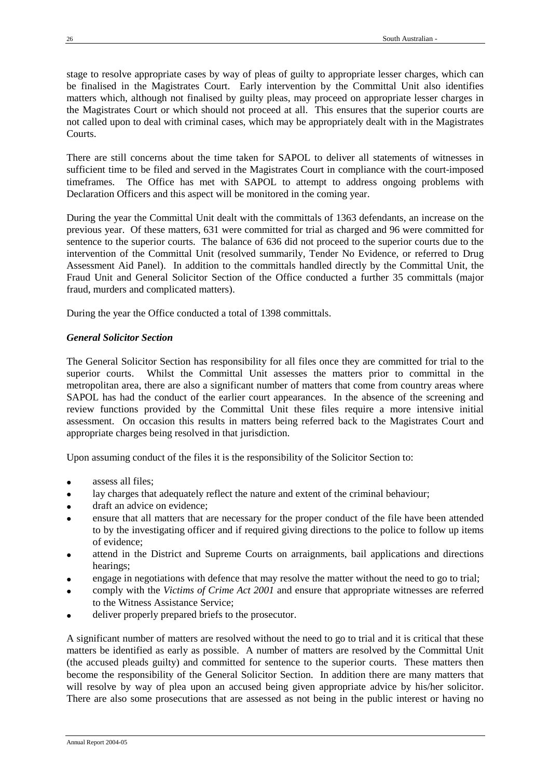stage to resolve appropriate cases by way of pleas of guilty to appropriate lesser charges, which can be finalised in the Magistrates Court. Early intervention by the Committal Unit also identifies matters which, although not finalised by guilty pleas, may proceed on appropriate lesser charges in the Magistrates Court or which should not proceed at all. This ensures that the superior courts are not called upon to deal with criminal cases, which may be appropriately dealt with in the Magistrates Courts.

There are still concerns about the time taken for SAPOL to deliver all statements of witnesses in sufficient time to be filed and served in the Magistrates Court in compliance with the court-imposed timeframes. The Office has met with SAPOL to attempt to address ongoing problems with Declaration Officers and this aspect will be monitored in the coming year.

During the year the Committal Unit dealt with the committals of 1363 defendants, an increase on the previous year. Of these matters, 631 were committed for trial as charged and 96 were committed for sentence to the superior courts. The balance of 636 did not proceed to the superior courts due to the intervention of the Committal Unit (resolved summarily, Tender No Evidence, or referred to Drug Assessment Aid Panel). In addition to the committals handled directly by the Committal Unit, the Fraud Unit and General Solicitor Section of the Office conducted a further 35 committals (major fraud, murders and complicated matters).

During the year the Office conducted a total of 1398 committals.

# *General Solicitor Section*

The General Solicitor Section has responsibility for all files once they are committed for trial to the superior courts. Whilst the Committal Unit assesses the matters prior to committal in the metropolitan area, there are also a significant number of matters that come from country areas where SAPOL has had the conduct of the earlier court appearances. In the absence of the screening and review functions provided by the Committal Unit these files require a more intensive initial assessment. On occasion this results in matters being referred back to the Magistrates Court and appropriate charges being resolved in that jurisdiction.

Upon assuming conduct of the files it is the responsibility of the Solicitor Section to:

- assess all files;
- lay charges that adequately reflect the nature and extent of the criminal behaviour;
- draft an advice on evidence;
- ensure that all matters that are necessary for the proper conduct of the file have been attended to by the investigating officer and if required giving directions to the police to follow up items of evidence;
- attend in the District and Supreme Courts on arraignments, bail applications and directions hearings;
- engage in negotiations with defence that may resolve the matter without the need to go to trial;
- comply with the *Victims of Crime Act 2001* and ensure that appropriate witnesses are referred to the Witness Assistance Service;
- deliver properly prepared briefs to the prosecutor.

A significant number of matters are resolved without the need to go to trial and it is critical that these matters be identified as early as possible. A number of matters are resolved by the Committal Unit (the accused pleads guilty) and committed for sentence to the superior courts. These matters then become the responsibility of the General Solicitor Section. In addition there are many matters that will resolve by way of plea upon an accused being given appropriate advice by his/her solicitor. There are also some prosecutions that are assessed as not being in the public interest or having no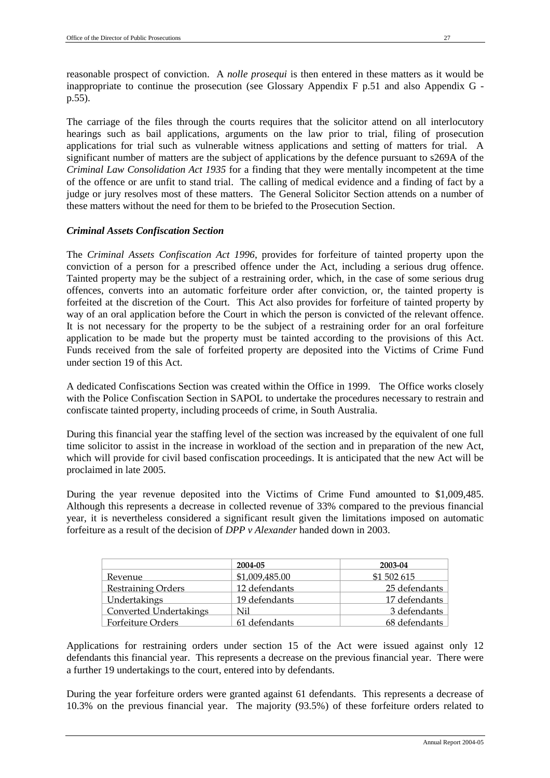reasonable prospect of conviction. A *nolle prosequi* is then entered in these matters as it would be inappropriate to continue the prosecution (see Glossary Appendix F p.51 and also Appendix G p.55).

The carriage of the files through the courts requires that the solicitor attend on all interlocutory hearings such as bail applications, arguments on the law prior to trial, filing of prosecution applications for trial such as vulnerable witness applications and setting of matters for trial. A significant number of matters are the subject of applications by the defence pursuant to s269A of the *Criminal Law Consolidation Act 1935* for a finding that they were mentally incompetent at the time of the offence or are unfit to stand trial. The calling of medical evidence and a finding of fact by a judge or jury resolves most of these matters. The General Solicitor Section attends on a number of these matters without the need for them to be briefed to the Prosecution Section.

# *Criminal Assets Confiscation Section*

The *Criminal Assets Confiscation Act 1996*, provides for forfeiture of tainted property upon the conviction of a person for a prescribed offence under the Act, including a serious drug offence. Tainted property may be the subject of a restraining order, which, in the case of some serious drug offences, converts into an automatic forfeiture order after conviction, or, the tainted property is forfeited at the discretion of the Court. This Act also provides for forfeiture of tainted property by way of an oral application before the Court in which the person is convicted of the relevant offence. It is not necessary for the property to be the subject of a restraining order for an oral forfeiture application to be made but the property must be tainted according to the provisions of this Act. Funds received from the sale of forfeited property are deposited into the Victims of Crime Fund under section 19 of this Act.

A dedicated Confiscations Section was created within the Office in 1999. The Office works closely with the Police Confiscation Section in SAPOL to undertake the procedures necessary to restrain and confiscate tainted property, including proceeds of crime, in South Australia.

During this financial year the staffing level of the section was increased by the equivalent of one full time solicitor to assist in the increase in workload of the section and in preparation of the new Act, which will provide for civil based confiscation proceedings. It is anticipated that the new Act will be proclaimed in late 2005.

During the year revenue deposited into the Victims of Crime Fund amounted to \$1,009,485. Although this represents a decrease in collected revenue of 33% compared to the previous financial year, it is nevertheless considered a significant result given the limitations imposed on automatic forfeiture as a result of the decision of *DPP v Alexander* handed down in 2003.

|                               | 2004-05        | 2003-04       |
|-------------------------------|----------------|---------------|
| Revenue                       | \$1,009,485.00 | \$1 502 615   |
| <b>Restraining Orders</b>     | 12 defendants  | 25 defendants |
| Undertakings                  | 19 defendants  | 17 defendants |
| <b>Converted Undertakings</b> | Nil            | 3 defendants  |
| Forfeiture Orders             | 61 defendants  | 68 defendants |

Applications for restraining orders under section 15 of the Act were issued against only 12 defendants this financial year. This represents a decrease on the previous financial year. There were a further 19 undertakings to the court, entered into by defendants.

During the year forfeiture orders were granted against 61 defendants. This represents a decrease of 10.3% on the previous financial year. The majority (93.5%) of these forfeiture orders related to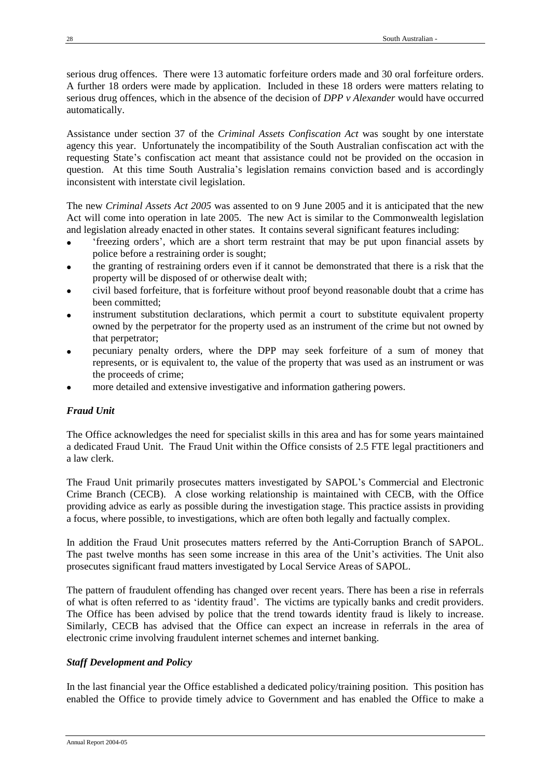serious drug offences. There were 13 automatic forfeiture orders made and 30 oral forfeiture orders. A further 18 orders were made by application. Included in these 18 orders were matters relating to serious drug offences, which in the absence of the decision of *DPP v Alexander* would have occurred automatically.

Assistance under section 37 of the *Criminal Assets Confiscation Act* was sought by one interstate agency this year. Unfortunately the incompatibility of the South Australian confiscation act with the requesting State's confiscation act meant that assistance could not be provided on the occasion in question. At this time South Australia's legislation remains conviction based and is accordingly inconsistent with interstate civil legislation.

The new *Criminal Assets Act 2005* was assented to on 9 June 2005 and it is anticipated that the new Act will come into operation in late 2005. The new Act is similar to the Commonwealth legislation and legislation already enacted in other states. It contains several significant features including:

- 'freezing orders', which are a short term restraint that may be put upon financial assets by police before a restraining order is sought;
- the granting of restraining orders even if it cannot be demonstrated that there is a risk that the property will be disposed of or otherwise dealt with;
- civil based forfeiture, that is forfeiture without proof beyond reasonable doubt that a crime has been committed;
- instrument substitution declarations, which permit a court to substitute equivalent property owned by the perpetrator for the property used as an instrument of the crime but not owned by that perpetrator;
- pecuniary penalty orders, where the DPP may seek forfeiture of a sum of money that represents, or is equivalent to, the value of the property that was used as an instrument or was the proceeds of crime;
- more detailed and extensive investigative and information gathering powers.

# *Fraud Unit*

The Office acknowledges the need for specialist skills in this area and has for some years maintained a dedicated Fraud Unit. The Fraud Unit within the Office consists of 2.5 FTE legal practitioners and a law clerk.

The Fraud Unit primarily prosecutes matters investigated by SAPOL's Commercial and Electronic Crime Branch (CECB). A close working relationship is maintained with CECB, with the Office providing advice as early as possible during the investigation stage. This practice assists in providing a focus, where possible, to investigations, which are often both legally and factually complex.

In addition the Fraud Unit prosecutes matters referred by the Anti-Corruption Branch of SAPOL. The past twelve months has seen some increase in this area of the Unit's activities. The Unit also prosecutes significant fraud matters investigated by Local Service Areas of SAPOL.

The pattern of fraudulent offending has changed over recent years. There has been a rise in referrals of what is often referred to as 'identity fraud'. The victims are typically banks and credit providers. The Office has been advised by police that the trend towards identity fraud is likely to increase. Similarly, CECB has advised that the Office can expect an increase in referrals in the area of electronic crime involving fraudulent internet schemes and internet banking.

# *Staff Development and Policy*

In the last financial year the Office established a dedicated policy/training position. This position has enabled the Office to provide timely advice to Government and has enabled the Office to make a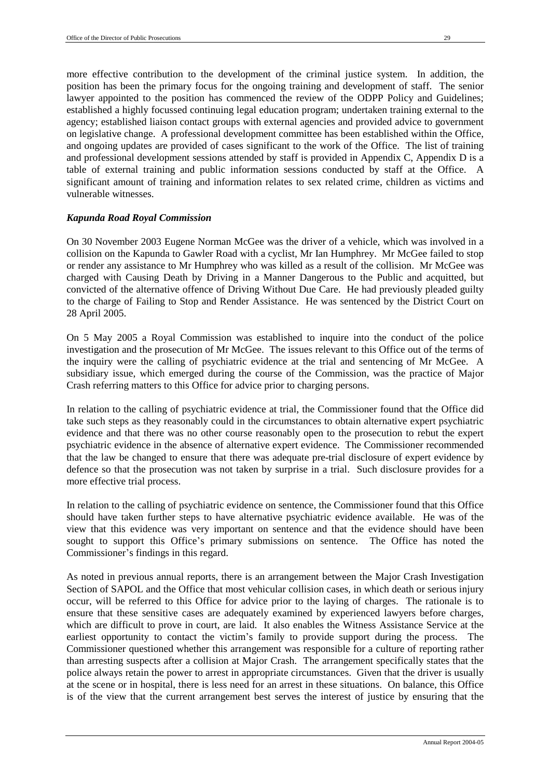more effective contribution to the development of the criminal justice system. In addition, the position has been the primary focus for the ongoing training and development of staff. The senior lawyer appointed to the position has commenced the review of the ODPP Policy and Guidelines; established a highly focussed continuing legal education program; undertaken training external to the agency; established liaison contact groups with external agencies and provided advice to government on legislative change. A professional development committee has been established within the Office, and ongoing updates are provided of cases significant to the work of the Office. The list of training and professional development sessions attended by staff is provided in Appendix C, Appendix D is a table of external training and public information sessions conducted by staff at the Office. A significant amount of training and information relates to sex related crime, children as victims and vulnerable witnesses.

#### *Kapunda Road Royal Commission*

On 30 November 2003 Eugene Norman McGee was the driver of a vehicle, which was involved in a collision on the Kapunda to Gawler Road with a cyclist, Mr Ian Humphrey. Mr McGee failed to stop or render any assistance to Mr Humphrey who was killed as a result of the collision. Mr McGee was charged with Causing Death by Driving in a Manner Dangerous to the Public and acquitted, but convicted of the alternative offence of Driving Without Due Care. He had previously pleaded guilty to the charge of Failing to Stop and Render Assistance. He was sentenced by the District Court on 28 April 2005.

On 5 May 2005 a Royal Commission was established to inquire into the conduct of the police investigation and the prosecution of Mr McGee. The issues relevant to this Office out of the terms of the inquiry were the calling of psychiatric evidence at the trial and sentencing of Mr McGee. A subsidiary issue, which emerged during the course of the Commission, was the practice of Major Crash referring matters to this Office for advice prior to charging persons.

In relation to the calling of psychiatric evidence at trial, the Commissioner found that the Office did take such steps as they reasonably could in the circumstances to obtain alternative expert psychiatric evidence and that there was no other course reasonably open to the prosecution to rebut the expert psychiatric evidence in the absence of alternative expert evidence. The Commissioner recommended that the law be changed to ensure that there was adequate pre-trial disclosure of expert evidence by defence so that the prosecution was not taken by surprise in a trial. Such disclosure provides for a more effective trial process.

In relation to the calling of psychiatric evidence on sentence, the Commissioner found that this Office should have taken further steps to have alternative psychiatric evidence available. He was of the view that this evidence was very important on sentence and that the evidence should have been sought to support this Office's primary submissions on sentence. The Office has noted the Commissioner's findings in this regard.

As noted in previous annual reports, there is an arrangement between the Major Crash Investigation Section of SAPOL and the Office that most vehicular collision cases, in which death or serious injury occur, will be referred to this Office for advice prior to the laying of charges. The rationale is to ensure that these sensitive cases are adequately examined by experienced lawyers before charges, which are difficult to prove in court, are laid. It also enables the Witness Assistance Service at the earliest opportunity to contact the victim's family to provide support during the process. The Commissioner questioned whether this arrangement was responsible for a culture of reporting rather than arresting suspects after a collision at Major Crash. The arrangement specifically states that the police always retain the power to arrest in appropriate circumstances. Given that the driver is usually at the scene or in hospital, there is less need for an arrest in these situations. On balance, this Office is of the view that the current arrangement best serves the interest of justice by ensuring that the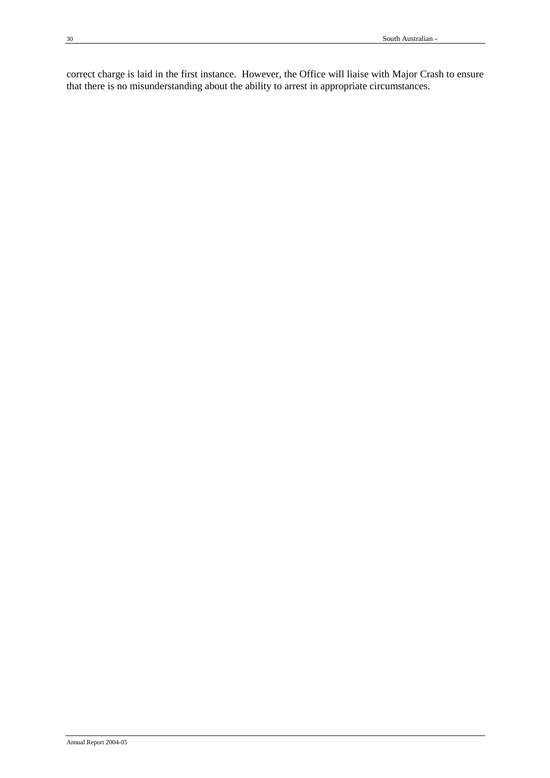correct charge is laid in the first instance. However, the Office will liaise with Major Crash to ensure that there is no misunderstanding about the ability to arrest in appropriate circumstances.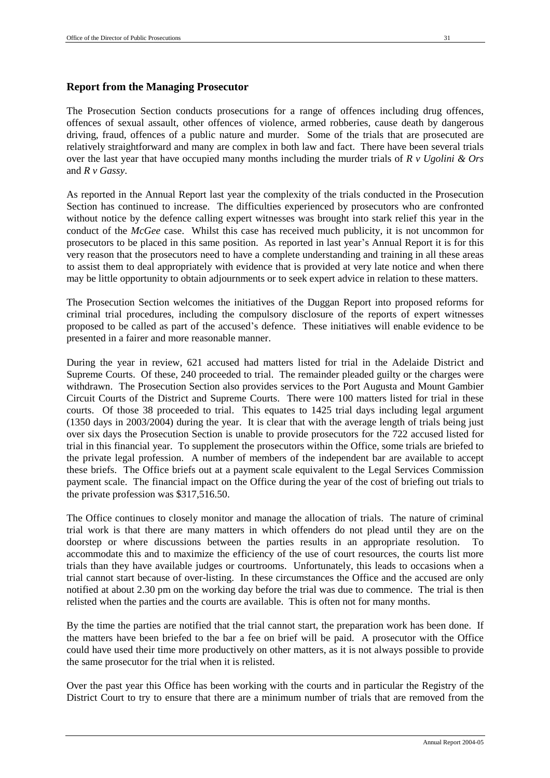#### **Report from the Managing Prosecutor**

The Prosecution Section conducts prosecutions for a range of offences including drug offences, offences of sexual assault, other offences of violence, armed robberies, cause death by dangerous driving, fraud, offences of a public nature and murder. Some of the trials that are prosecuted are relatively straightforward and many are complex in both law and fact. There have been several trials over the last year that have occupied many months including the murder trials of *R v Ugolini & Ors* and *R v Gassy*.

As reported in the Annual Report last year the complexity of the trials conducted in the Prosecution Section has continued to increase. The difficulties experienced by prosecutors who are confronted without notice by the defence calling expert witnesses was brought into stark relief this year in the conduct of the *McGee* case. Whilst this case has received much publicity, it is not uncommon for prosecutors to be placed in this same position. As reported in last year's Annual Report it is for this very reason that the prosecutors need to have a complete understanding and training in all these areas to assist them to deal appropriately with evidence that is provided at very late notice and when there may be little opportunity to obtain adjournments or to seek expert advice in relation to these matters.

The Prosecution Section welcomes the initiatives of the Duggan Report into proposed reforms for criminal trial procedures, including the compulsory disclosure of the reports of expert witnesses proposed to be called as part of the accused's defence. These initiatives will enable evidence to be presented in a fairer and more reasonable manner.

During the year in review, 621 accused had matters listed for trial in the Adelaide District and Supreme Courts. Of these, 240 proceeded to trial. The remainder pleaded guilty or the charges were withdrawn. The Prosecution Section also provides services to the Port Augusta and Mount Gambier Circuit Courts of the District and Supreme Courts. There were 100 matters listed for trial in these courts. Of those 38 proceeded to trial. This equates to 1425 trial days including legal argument (1350 days in 2003/2004) during the year. It is clear that with the average length of trials being just over six days the Prosecution Section is unable to provide prosecutors for the 722 accused listed for trial in this financial year. To supplement the prosecutors within the Office, some trials are briefed to the private legal profession. A number of members of the independent bar are available to accept these briefs. The Office briefs out at a payment scale equivalent to the Legal Services Commission payment scale. The financial impact on the Office during the year of the cost of briefing out trials to the private profession was \$317,516.50.

The Office continues to closely monitor and manage the allocation of trials. The nature of criminal trial work is that there are many matters in which offenders do not plead until they are on the doorstep or where discussions between the parties results in an appropriate resolution. accommodate this and to maximize the efficiency of the use of court resources, the courts list more trials than they have available judges or courtrooms. Unfortunately, this leads to occasions when a trial cannot start because of over-listing. In these circumstances the Office and the accused are only notified at about 2.30 pm on the working day before the trial was due to commence. The trial is then relisted when the parties and the courts are available. This is often not for many months.

By the time the parties are notified that the trial cannot start, the preparation work has been done. If the matters have been briefed to the bar a fee on brief will be paid. A prosecutor with the Office could have used their time more productively on other matters, as it is not always possible to provide the same prosecutor for the trial when it is relisted.

Over the past year this Office has been working with the courts and in particular the Registry of the District Court to try to ensure that there are a minimum number of trials that are removed from the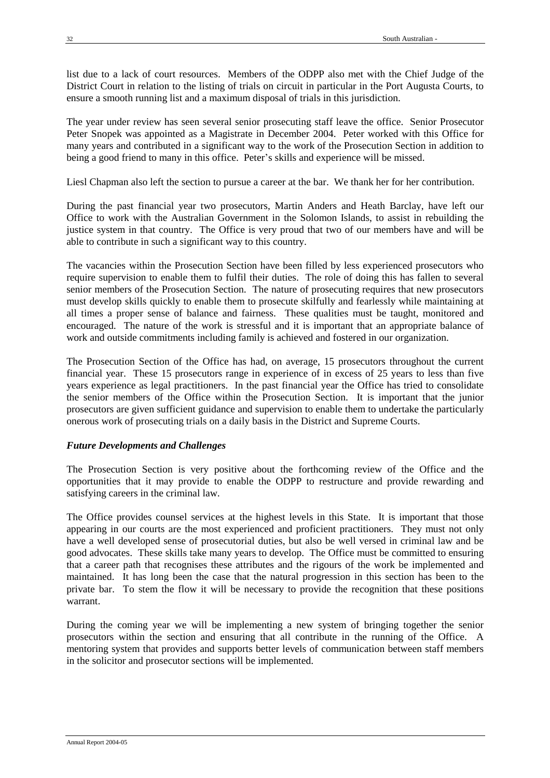list due to a lack of court resources. Members of the ODPP also met with the Chief Judge of the District Court in relation to the listing of trials on circuit in particular in the Port Augusta Courts, to ensure a smooth running list and a maximum disposal of trials in this jurisdiction.

The year under review has seen several senior prosecuting staff leave the office. Senior Prosecutor Peter Snopek was appointed as a Magistrate in December 2004. Peter worked with this Office for many years and contributed in a significant way to the work of the Prosecution Section in addition to being a good friend to many in this office. Peter's skills and experience will be missed.

Liesl Chapman also left the section to pursue a career at the bar. We thank her for her contribution.

During the past financial year two prosecutors, Martin Anders and Heath Barclay, have left our Office to work with the Australian Government in the Solomon Islands, to assist in rebuilding the justice system in that country. The Office is very proud that two of our members have and will be able to contribute in such a significant way to this country.

The vacancies within the Prosecution Section have been filled by less experienced prosecutors who require supervision to enable them to fulfil their duties. The role of doing this has fallen to several senior members of the Prosecution Section. The nature of prosecuting requires that new prosecutors must develop skills quickly to enable them to prosecute skilfully and fearlessly while maintaining at all times a proper sense of balance and fairness. These qualities must be taught, monitored and encouraged. The nature of the work is stressful and it is important that an appropriate balance of work and outside commitments including family is achieved and fostered in our organization.

The Prosecution Section of the Office has had, on average, 15 prosecutors throughout the current financial year. These 15 prosecutors range in experience of in excess of 25 years to less than five years experience as legal practitioners. In the past financial year the Office has tried to consolidate the senior members of the Office within the Prosecution Section. It is important that the junior prosecutors are given sufficient guidance and supervision to enable them to undertake the particularly onerous work of prosecuting trials on a daily basis in the District and Supreme Courts.

## *Future Developments and Challenges*

The Prosecution Section is very positive about the forthcoming review of the Office and the opportunities that it may provide to enable the ODPP to restructure and provide rewarding and satisfying careers in the criminal law.

The Office provides counsel services at the highest levels in this State. It is important that those appearing in our courts are the most experienced and proficient practitioners. They must not only have a well developed sense of prosecutorial duties, but also be well versed in criminal law and be good advocates. These skills take many years to develop. The Office must be committed to ensuring that a career path that recognises these attributes and the rigours of the work be implemented and maintained. It has long been the case that the natural progression in this section has been to the private bar. To stem the flow it will be necessary to provide the recognition that these positions warrant.

During the coming year we will be implementing a new system of bringing together the senior prosecutors within the section and ensuring that all contribute in the running of the Office. A mentoring system that provides and supports better levels of communication between staff members in the solicitor and prosecutor sections will be implemented.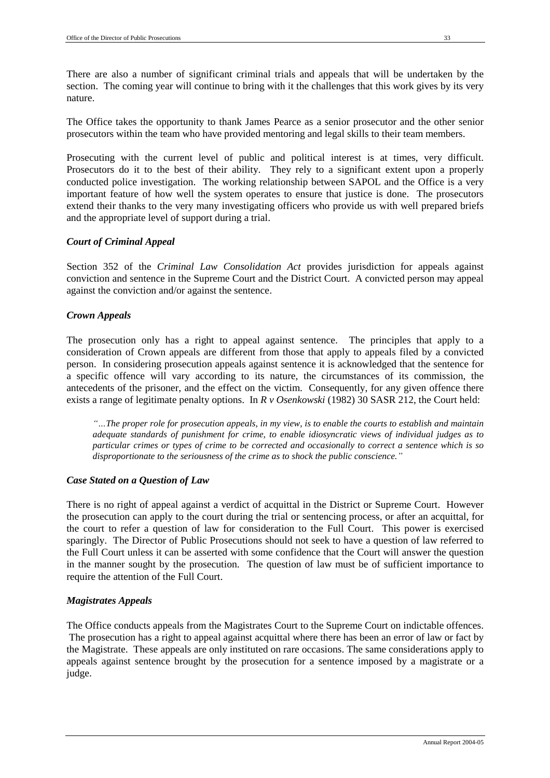There are also a number of significant criminal trials and appeals that will be undertaken by the section. The coming year will continue to bring with it the challenges that this work gives by its very nature.

The Office takes the opportunity to thank James Pearce as a senior prosecutor and the other senior prosecutors within the team who have provided mentoring and legal skills to their team members.

Prosecuting with the current level of public and political interest is at times, very difficult. Prosecutors do it to the best of their ability. They rely to a significant extent upon a properly conducted police investigation. The working relationship between SAPOL and the Office is a very important feature of how well the system operates to ensure that justice is done. The prosecutors extend their thanks to the very many investigating officers who provide us with well prepared briefs and the appropriate level of support during a trial.

## *Court of Criminal Appeal*

Section 352 of the *Criminal Law Consolidation Act* provides jurisdiction for appeals against conviction and sentence in the Supreme Court and the District Court. A convicted person may appeal against the conviction and/or against the sentence.

## *Crown Appeals*

The prosecution only has a right to appeal against sentence. The principles that apply to a consideration of Crown appeals are different from those that apply to appeals filed by a convicted person. In considering prosecution appeals against sentence it is acknowledged that the sentence for a specific offence will vary according to its nature, the circumstances of its commission, the antecedents of the prisoner, and the effect on the victim. Consequently, for any given offence there exists a range of legitimate penalty options. In *R v Osenkowski* (1982) 30 SASR 212, the Court held:

*"…The proper role for prosecution appeals, in my view, is to enable the courts to establish and maintain adequate standards of punishment for crime, to enable idiosyncratic views of individual judges as to particular crimes or types of crime to be corrected and occasionally to correct a sentence which is so disproportionate to the seriousness of the crime as to shock the public conscience."*

## *Case Stated on a Question of Law*

There is no right of appeal against a verdict of acquittal in the District or Supreme Court. However the prosecution can apply to the court during the trial or sentencing process, or after an acquittal, for the court to refer a question of law for consideration to the Full Court. This power is exercised sparingly. The Director of Public Prosecutions should not seek to have a question of law referred to the Full Court unless it can be asserted with some confidence that the Court will answer the question in the manner sought by the prosecution. The question of law must be of sufficient importance to require the attention of the Full Court.

## *Magistrates Appeals*

The Office conducts appeals from the Magistrates Court to the Supreme Court on indictable offences. The prosecution has a right to appeal against acquittal where there has been an error of law or fact by the Magistrate. These appeals are only instituted on rare occasions. The same considerations apply to appeals against sentence brought by the prosecution for a sentence imposed by a magistrate or a judge.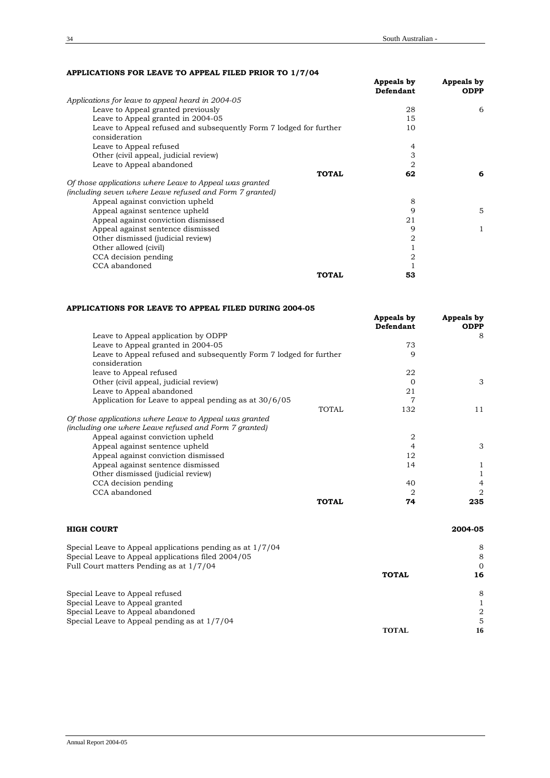#### **APPLICATIONS FOR LEAVE TO APPEAL FILED PRIOR TO 1/7/04**

|                                                                                     | Appeals by<br>Defendant | Appeals by<br><b>ODPP</b> |
|-------------------------------------------------------------------------------------|-------------------------|---------------------------|
| Applications for leave to appeal heard in 2004-05                                   |                         |                           |
| Leave to Appeal granted previously                                                  | 28                      | 6                         |
| Leave to Appeal granted in 2004-05                                                  | 15                      |                           |
| Leave to Appeal refused and subsequently Form 7 lodged for further<br>consideration | 10                      |                           |
| Leave to Appeal refused                                                             | 4                       |                           |
| Other (civil appeal, judicial review)                                               | 3                       |                           |
| Leave to Appeal abandoned                                                           | 2                       |                           |
| <b>TOTAL</b>                                                                        | 62                      | 6                         |
| Of those applications where Leave to Appeal was granted                             |                         |                           |
| (including seven where Leave refused and Form 7 granted)                            |                         |                           |
| Appeal against conviction upheld                                                    | 8                       |                           |
| Appeal against sentence upheld                                                      | 9                       | 5                         |
| Appeal against conviction dismissed                                                 | 21                      |                           |
| Appeal against sentence dismissed                                                   | 9                       |                           |
| Other dismissed (judicial review)                                                   | 2                       |                           |
| Other allowed (civil)                                                               |                         |                           |
| CCA decision pending                                                                | 2                       |                           |
| CCA abandoned                                                                       |                         |                           |
| <b>TOTAL</b>                                                                        | 53                      |                           |

#### **APPLICATIONS FOR LEAVE TO APPEAL FILED DURING 2004-05**

|                                                                                     | Appeals by<br>Defendant | Appeals by<br><b>ODPP</b> |
|-------------------------------------------------------------------------------------|-------------------------|---------------------------|
| Leave to Appeal application by ODPP                                                 |                         | 8                         |
| Leave to Appeal granted in 2004-05                                                  | 73                      |                           |
| Leave to Appeal refused and subsequently Form 7 lodged for further<br>consideration | 9                       |                           |
| leave to Appeal refused                                                             | 22                      |                           |
| Other (civil appeal, judicial review)                                               | 0                       | 3                         |
| Leave to Appeal abandoned                                                           | 21                      |                           |
| Application for Leave to appeal pending as at 30/6/05                               |                         |                           |
| <b>TOTAL</b>                                                                        | 132                     | 11                        |
| Of those applications where Leave to Appeal was granted                             |                         |                           |
| (including one where Leave refused and Form 7 granted)                              |                         |                           |
| Appeal against conviction upheld                                                    | 2                       |                           |
| Appeal against sentence upheld                                                      | 4                       | 3                         |
| Appeal against conviction dismissed                                                 | 12                      |                           |
| Appeal against sentence dismissed                                                   | 14                      |                           |
| Other dismissed (judicial review)                                                   |                         |                           |
| CCA decision pending                                                                | 40                      | 4                         |
| CCA abandoned                                                                       | 2                       | 2                         |
| <b>TOTAL</b>                                                                        | 74                      | 235                       |

| <b>HIGH COURT</b>                                         |              | 2004-05  |
|-----------------------------------------------------------|--------------|----------|
| Special Leave to Appeal applications pending as at 1/7/04 |              | 8        |
| Special Leave to Appeal applications filed 2004/05        |              | 8        |
| Full Court matters Pending as at 1/7/04                   |              | $\Omega$ |
|                                                           | <b>TOTAL</b> | 16       |
| Special Leave to Appeal refused                           |              | 8        |
| Special Leave to Appeal granted                           |              |          |
| Special Leave to Appeal abandoned                         |              | 2        |
| Special Leave to Appeal pending as at 1/7/04              |              | 5        |
|                                                           | <b>TOTAL</b> | 16       |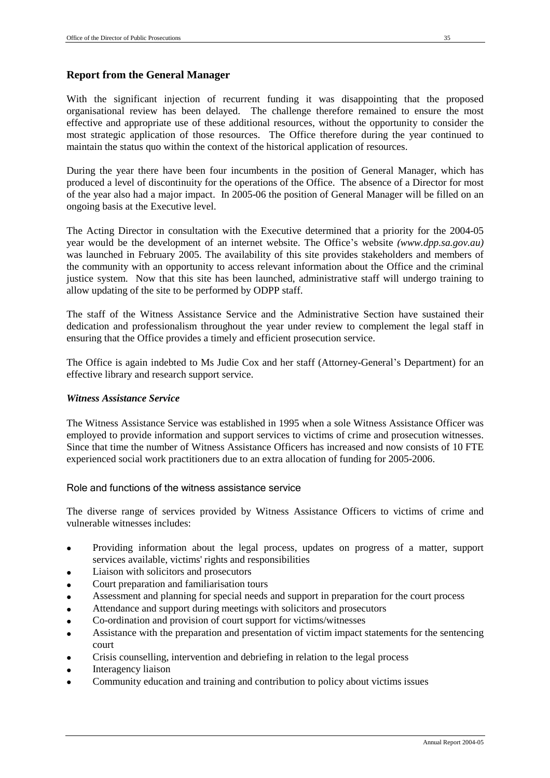# **Report from the General Manager**

effective and appropriate use of these additional resources, without the opportunity to consider the most strategic application of those resources. The Office therefore during the year continued to maintain the status quo within the context of the historical application of resources.

During the year there have been four incumbents in the position of General Manager, which has produced a level of discontinuity for the operations of the Office. The absence of a Director for most of the year also had a major impact. In 2005-06 the position of General Manager will be filled on an ongoing basis at the Executive level.

The Acting Director in consultation with the Executive determined that a priority for the 2004-05 year would be the development of an internet website. The Office's website *(www.dpp.sa.gov.au)*  was launched in February 2005. The availability of this site provides stakeholders and members of the community with an opportunity to access relevant information about the Office and the criminal justice system. Now that this site has been launched, administrative staff will undergo training to allow updating of the site to be performed by ODPP staff.

The staff of the Witness Assistance Service and the Administrative Section have sustained their dedication and professionalism throughout the year under review to complement the legal staff in ensuring that the Office provides a timely and efficient prosecution service.

The Office is again indebted to Ms Judie Cox and her staff (Attorney-General's Department) for an effective library and research support service.

# *Witness Assistance Service*

The Witness Assistance Service was established in 1995 when a sole Witness Assistance Officer was employed to provide information and support services to victims of crime and prosecution witnesses. Since that time the number of Witness Assistance Officers has increased and now consists of 10 FTE experienced social work practitioners due to an extra allocation of funding for 2005-2006.

# Role and functions of the witness assistance service

The diverse range of services provided by Witness Assistance Officers to victims of crime and vulnerable witnesses includes:

- Providing information about the legal process, updates on progress of a matter, support services available, victims' rights and responsibilities
- Liaison with solicitors and prosecutors
- Court preparation and familiarisation tours
- Assessment and planning for special needs and support in preparation for the court process
- Attendance and support during meetings with solicitors and prosecutors
- Co-ordination and provision of court support for victims/witnesses
- Assistance with the preparation and presentation of victim impact statements for the sentencing court
- Crisis counselling, intervention and debriefing in relation to the legal process
- Interagency liaison
- Community education and training and contribution to policy about victims issues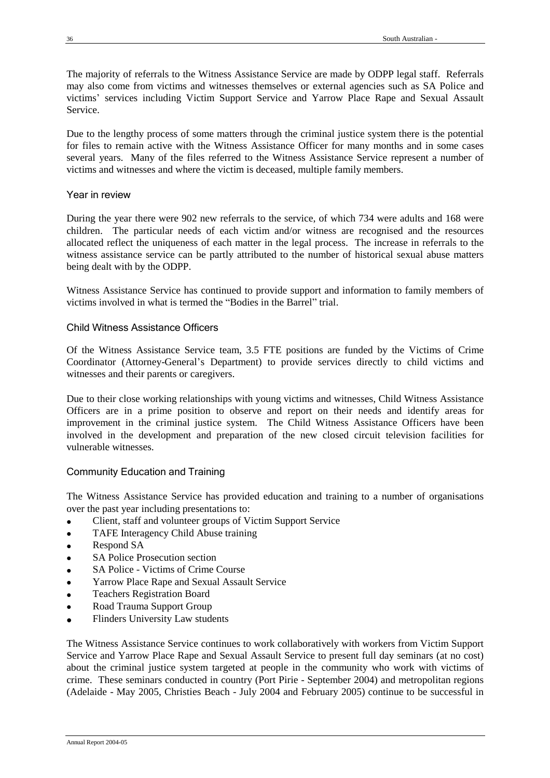The majority of referrals to the Witness Assistance Service are made by ODPP legal staff. Referrals may also come from victims and witnesses themselves or external agencies such as SA Police and victims' services including Victim Support Service and Yarrow Place Rape and Sexual Assault Service.

Due to the lengthy process of some matters through the criminal justice system there is the potential for files to remain active with the Witness Assistance Officer for many months and in some cases several years. Many of the files referred to the Witness Assistance Service represent a number of victims and witnesses and where the victim is deceased, multiple family members.

# Year in review

During the year there were 902 new referrals to the service, of which 734 were adults and 168 were children. The particular needs of each victim and/or witness are recognised and the resources allocated reflect the uniqueness of each matter in the legal process. The increase in referrals to the witness assistance service can be partly attributed to the number of historical sexual abuse matters being dealt with by the ODPP.

Witness Assistance Service has continued to provide support and information to family members of victims involved in what is termed the "Bodies in the Barrel" trial.

# Child Witness Assistance Officers

Of the Witness Assistance Service team, 3.5 FTE positions are funded by the Victims of Crime Coordinator (Attorney-General's Department) to provide services directly to child victims and witnesses and their parents or caregivers.

Due to their close working relationships with young victims and witnesses, Child Witness Assistance Officers are in a prime position to observe and report on their needs and identify areas for improvement in the criminal justice system. The Child Witness Assistance Officers have been involved in the development and preparation of the new closed circuit television facilities for vulnerable witnesses.

# Community Education and Training

The Witness Assistance Service has provided education and training to a number of organisations over the past year including presentations to:

- Client, staff and volunteer groups of Victim Support Service
- TAFE Interagency Child Abuse training
- Respond SA
- SA Police Prosecution section
- SA Police Victims of Crime Course
- Yarrow Place Rape and Sexual Assault Service
- Teachers Registration Board
- Road Trauma Support Group
- Flinders University Law students

The Witness Assistance Service continues to work collaboratively with workers from Victim Support Service and Yarrow Place Rape and Sexual Assault Service to present full day seminars (at no cost) about the criminal justice system targeted at people in the community who work with victims of crime. These seminars conducted in country (Port Pirie - September 2004) and metropolitan regions (Adelaide - May 2005, Christies Beach - July 2004 and February 2005) continue to be successful in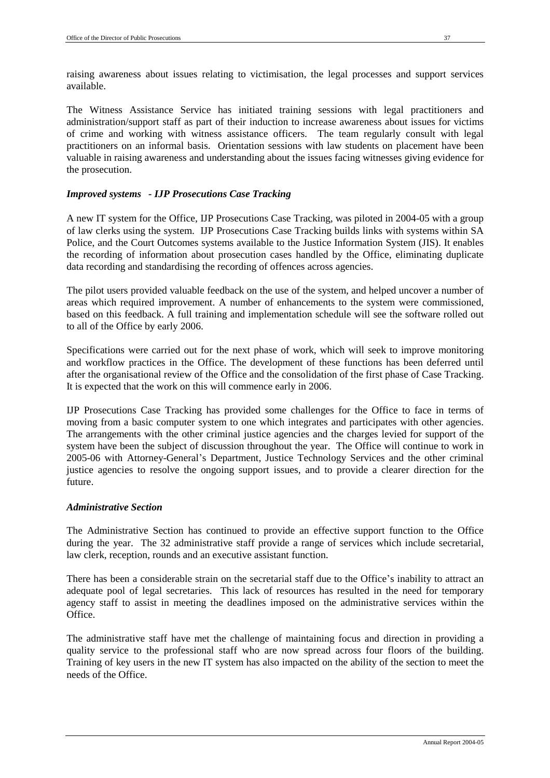raising awareness about issues relating to victimisation, the legal processes and support services available.

The Witness Assistance Service has initiated training sessions with legal practitioners and administration/support staff as part of their induction to increase awareness about issues for victims of crime and working with witness assistance officers. The team regularly consult with legal practitioners on an informal basis. Orientation sessions with law students on placement have been valuable in raising awareness and understanding about the issues facing witnesses giving evidence for the prosecution.

# *Improved systems - IJP Prosecutions Case Tracking*

A new IT system for the Office, IJP Prosecutions Case Tracking, was piloted in 2004-05 with a group of law clerks using the system. IJP Prosecutions Case Tracking builds links with systems within SA Police, and the Court Outcomes systems available to the Justice Information System (JIS). It enables the recording of information about prosecution cases handled by the Office, eliminating duplicate data recording and standardising the recording of offences across agencies.

The pilot users provided valuable feedback on the use of the system, and helped uncover a number of areas which required improvement. A number of enhancements to the system were commissioned, based on this feedback. A full training and implementation schedule will see the software rolled out to all of the Office by early 2006.

Specifications were carried out for the next phase of work, which will seek to improve monitoring and workflow practices in the Office. The development of these functions has been deferred until after the organisational review of the Office and the consolidation of the first phase of Case Tracking. It is expected that the work on this will commence early in 2006.

IJP Prosecutions Case Tracking has provided some challenges for the Office to face in terms of moving from a basic computer system to one which integrates and participates with other agencies. The arrangements with the other criminal justice agencies and the charges levied for support of the system have been the subject of discussion throughout the year. The Office will continue to work in 2005-06 with Attorney-General's Department, Justice Technology Services and the other criminal justice agencies to resolve the ongoing support issues, and to provide a clearer direction for the future.

# *Administrative Section*

The Administrative Section has continued to provide an effective support function to the Office during the year. The 32 administrative staff provide a range of services which include secretarial, law clerk, reception, rounds and an executive assistant function.

There has been a considerable strain on the secretarial staff due to the Office's inability to attract an adequate pool of legal secretaries. This lack of resources has resulted in the need for temporary agency staff to assist in meeting the deadlines imposed on the administrative services within the **Office** 

The administrative staff have met the challenge of maintaining focus and direction in providing a quality service to the professional staff who are now spread across four floors of the building. Training of key users in the new IT system has also impacted on the ability of the section to meet the needs of the Office.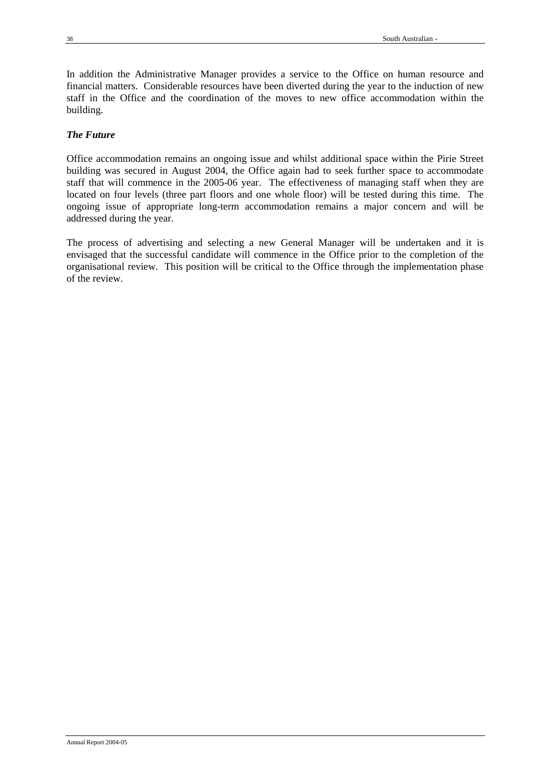In addition the Administrative Manager provides a service to the Office on human resource and financial matters. Considerable resources have been diverted during the year to the induction of new staff in the Office and the coordination of the moves to new office accommodation within the building.

# *The Future*

Office accommodation remains an ongoing issue and whilst additional space within the Pirie Street building was secured in August 2004, the Office again had to seek further space to accommodate staff that will commence in the 2005-06 year. The effectiveness of managing staff when they are located on four levels (three part floors and one whole floor) will be tested during this time. The ongoing issue of appropriate long-term accommodation remains a major concern and will be addressed during the year.

The process of advertising and selecting a new General Manager will be undertaken and it is envisaged that the successful candidate will commence in the Office prior to the completion of the organisational review. This position will be critical to the Office through the implementation phase of the review.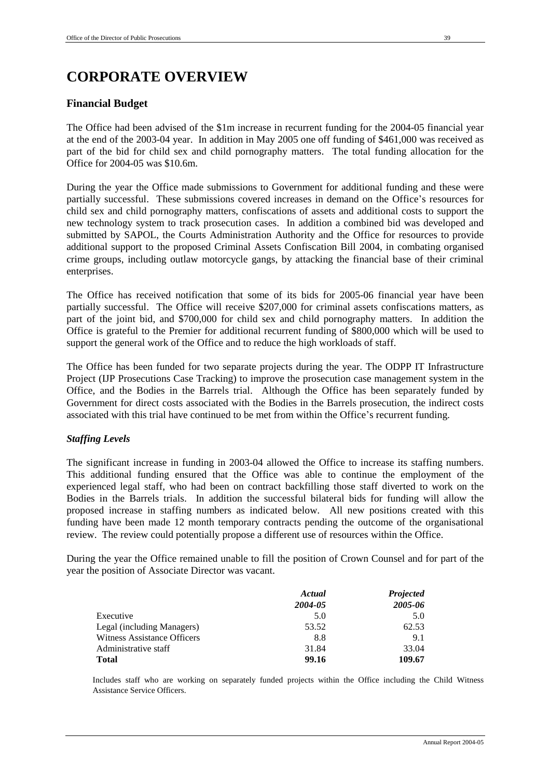# **CORPORATE OVERVIEW**

# **Financial Budget**

The Office had been advised of the \$1m increase in recurrent funding for the 2004-05 financial year at the end of the 2003-04 year. In addition in May 2005 one off funding of \$461,000 was received as part of the bid for child sex and child pornography matters. The total funding allocation for the Office for 2004-05 was \$10.6m.

During the year the Office made submissions to Government for additional funding and these were partially successful. These submissions covered increases in demand on the Office's resources for child sex and child pornography matters, confiscations of assets and additional costs to support the new technology system to track prosecution cases. In addition a combined bid was developed and submitted by SAPOL, the Courts Administration Authority and the Office for resources to provide additional support to the proposed Criminal Assets Confiscation Bill 2004, in combating organised crime groups, including outlaw motorcycle gangs, by attacking the financial base of their criminal enterprises.

The Office has received notification that some of its bids for 2005-06 financial year have been partially successful. The Office will receive \$207,000 for criminal assets confiscations matters, as part of the joint bid, and \$700,000 for child sex and child pornography matters. In addition the Office is grateful to the Premier for additional recurrent funding of \$800,000 which will be used to support the general work of the Office and to reduce the high workloads of staff.

The Office has been funded for two separate projects during the year. The ODPP IT Infrastructure Project (IJP Prosecutions Case Tracking) to improve the prosecution case management system in the Office, and the Bodies in the Barrels trial. Although the Office has been separately funded by Government for direct costs associated with the Bodies in the Barrels prosecution, the indirect costs associated with this trial have continued to be met from within the Office's recurrent funding.

# *Staffing Levels*

The significant increase in funding in 2003-04 allowed the Office to increase its staffing numbers. This additional funding ensured that the Office was able to continue the employment of the experienced legal staff, who had been on contract backfilling those staff diverted to work on the Bodies in the Barrels trials. In addition the successful bilateral bids for funding will allow the proposed increase in staffing numbers as indicated below. All new positions created with this funding have been made 12 month temporary contracts pending the outcome of the organisational review. The review could potentially propose a different use of resources within the Office.

During the year the Office remained unable to fill the position of Crown Counsel and for part of the year the position of Associate Director was vacant.

|                             | Actual  | <b>Projected</b> |
|-----------------------------|---------|------------------|
|                             | 2004-05 | 2005-06          |
| Executive                   | 5.0     | 5.0              |
| Legal (including Managers)  | 53.52   | 62.53            |
| Witness Assistance Officers | 8.8     | 9.1              |
| Administrative staff        | 31.84   | 33.04            |
| <b>Total</b>                | 99.16   | 109.67           |

Includes staff who are working on separately funded projects within the Office including the Child Witness Assistance Service Officers.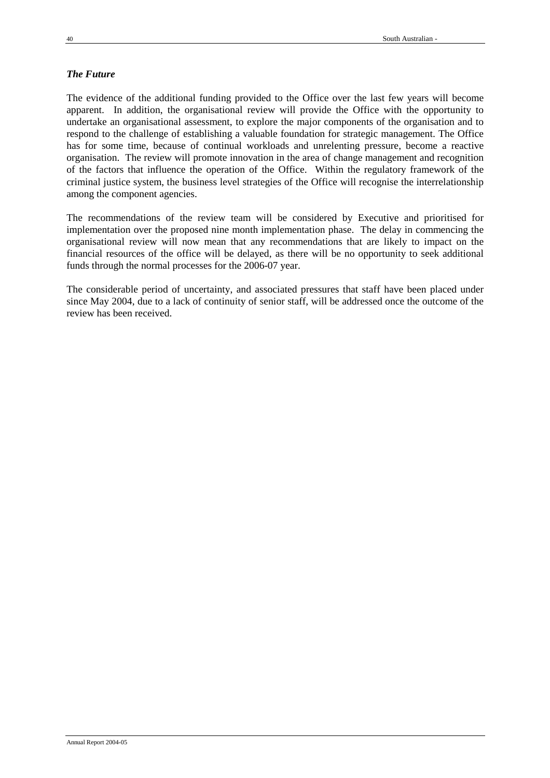# *The Future*

The evidence of the additional funding provided to the Office over the last few years will become apparent. In addition, the organisational review will provide the Office with the opportunity to undertake an organisational assessment, to explore the major components of the organisation and to respond to the challenge of establishing a valuable foundation for strategic management. The Office has for some time, because of continual workloads and unrelenting pressure, become a reactive organisation. The review will promote innovation in the area of change management and recognition of the factors that influence the operation of the Office. Within the regulatory framework of the criminal justice system, the business level strategies of the Office will recognise the interrelationship among the component agencies.

The recommendations of the review team will be considered by Executive and prioritised for implementation over the proposed nine month implementation phase. The delay in commencing the organisational review will now mean that any recommendations that are likely to impact on the financial resources of the office will be delayed, as there will be no opportunity to seek additional funds through the normal processes for the 2006-07 year.

The considerable period of uncertainty, and associated pressures that staff have been placed under since May 2004, due to a lack of continuity of senior staff, will be addressed once the outcome of the review has been received.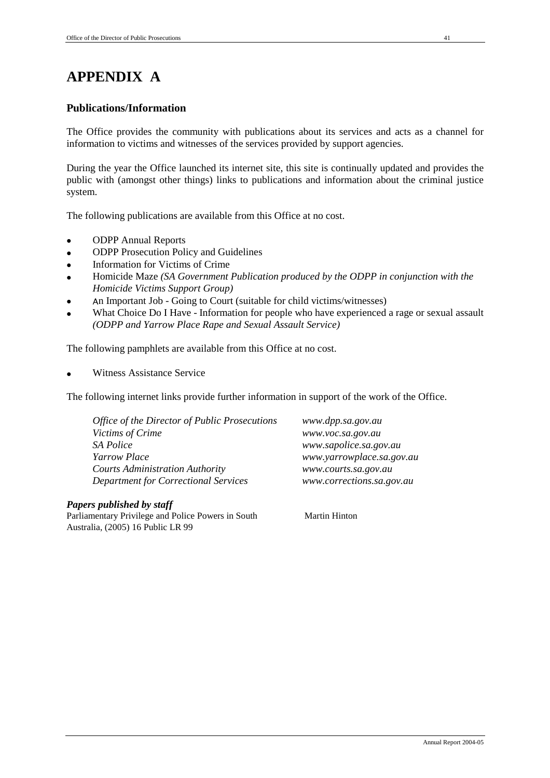# **APPENDIX A**

# **Publications/Information**

The Office provides the community with publications about its services and acts as a channel for information to victims and witnesses of the services provided by support agencies.

During the year the Office launched its internet site, this site is continually updated and provides the public with (amongst other things) links to publications and information about the criminal justice system.

The following publications are available from this Office at no cost.

- ODPP Annual Reports
- ODPP Prosecution Policy and Guidelines
- Information for Victims of Crime
- Homicide Maze *(SA Government Publication produced by the ODPP in conjunction with the Homicide Victims Support Group)*
- An Important Job Going to Court (suitable for child victims/witnesses)
- What Choice Do I Have Information for people who have experienced a rage or sexual assault *(ODPP and Yarrow Place Rape and Sexual Assault Service)*

The following pamphlets are available from this Office at no cost.

Witness Assistance Service

The following internet links provide further information in support of the work of the Office.

| www.dpp.sa.gov.au         |
|---------------------------|
| www.voc.sa.gov.au         |
| www.sapolice.sa.gov.au    |
| www.yarrowplace.sa.gov.au |
| www.courts.sa.gov.au      |
| www.corrections.sa.gov.au |
|                           |

# *Papers published by staff*

Parliamentary Privilege and Police Powers in South Australia, (2005) 16 Public LR 99

Martin Hinton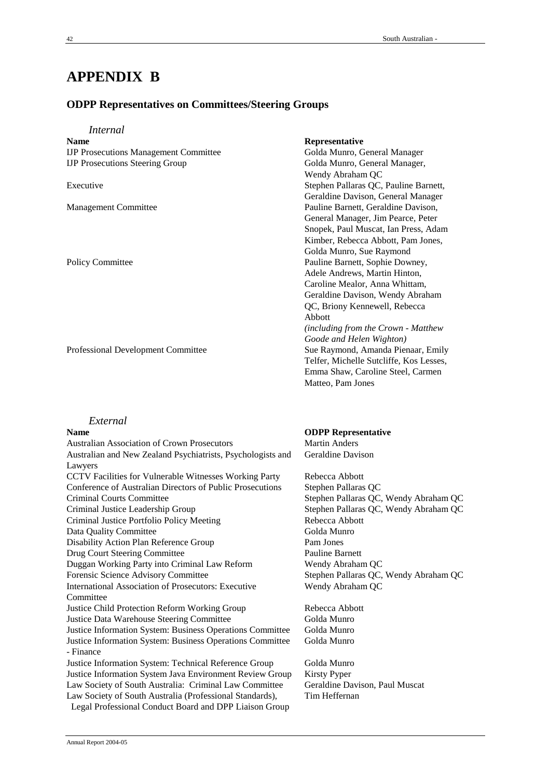# **APPENDIX B**

# **ODPP Representatives on Committees/Steering Groups**

| <i>Internal</i>                                                        |                                         |
|------------------------------------------------------------------------|-----------------------------------------|
| <b>Name</b>                                                            | Representative                          |
| <b>IJP Prosecutions Management Committee</b>                           | Golda Munro, General Manager            |
| <b>IJP Prosecutions Steering Group</b>                                 | Golda Munro, General Manager,           |
|                                                                        | Wendy Abraham QC                        |
| Executive                                                              | Stephen Pallaras QC, Pauline Barnett,   |
|                                                                        | Geraldine Davison, General Manager      |
| <b>Management Committee</b>                                            | Pauline Barnett, Geraldine Davison,     |
|                                                                        | General Manager, Jim Pearce, Peter      |
|                                                                        | Snopek, Paul Muscat, Ian Press, Adam    |
|                                                                        | Kimber, Rebecca Abbott, Pam Jones,      |
|                                                                        | Golda Munro, Sue Raymond                |
| <b>Policy Committee</b>                                                | Pauline Barnett, Sophie Downey,         |
|                                                                        | Adele Andrews, Martin Hinton,           |
|                                                                        | Caroline Mealor, Anna Whittam,          |
|                                                                        | Geraldine Davison, Wendy Abraham        |
|                                                                        | QC, Briony Kennewell, Rebecca           |
|                                                                        | Abbott                                  |
|                                                                        | (including from the Crown - Matthew     |
|                                                                        | Goode and Helen Wighton)                |
| Professional Development Committee                                     | Sue Raymond, Amanda Pienaar, Emily      |
|                                                                        | Telfer, Michelle Sutcliffe, Kos Lesses, |
|                                                                        | Emma Shaw, Caroline Steel, Carmen       |
|                                                                        | Matteo, Pam Jones                       |
|                                                                        |                                         |
| External                                                               |                                         |
| <b>Name</b>                                                            | <b>ODPP</b> Representative              |
| <b>Australian Association of Crown Prosecutors</b>                     | <b>Martin Anders</b>                    |
| Australian and New Zealand Psychiatrists, Psychologists and<br>Lawyers | <b>Geraldine Davison</b>                |
| CCTV Facilities for Vulnerable Witnesses Working Party                 | Rebecca Abbott                          |

Wendy Abraham QC

Golda Munro

Tim Heffernan

Conference of Australian Directors of Public Prosecutions Stephen Pallaras QC Criminal Courts Committee Stephen Pallaras QC, Wendy Abraham QC Criminal Justice Leadership Group<br>
Criminal Justice Portfolio Policy Meeting<br>
Stephen Pallaras QC, Wendy Abraham QC<br>
Rebecca Abbott Criminal Justice Portfolio Policy Meeting Data Quality Committee Golda Munro Disability Action Plan Reference Group Pam Jones Drug Court Steering Committee Pauline Barnett Duggan Working Party into Criminal Law Reform Wendy Abraham QC Forensic Science Advisory Committee Stephen Pallaras QC, Wendy Abraham QC International Association of Prosecutors: Executive Committee Justice Child Protection Reform Working Group Rebecca Abbott Justice Data Warehouse Steering Committee Golda Munro Justice Information System: Business Operations Committee Golda Munro Justice Information System: Business Operations Committee - Finance Justice Information System: Technical Reference Group Golda Munro Justice Information System Java Environment Review Group Kirsty Pyper Law Society of South Australia: Criminal Law Committee Geraldine Davison, Paul Muscat Law Society of South Australia (Professional Standards), Legal Professional Conduct Board and DPP Liaison Group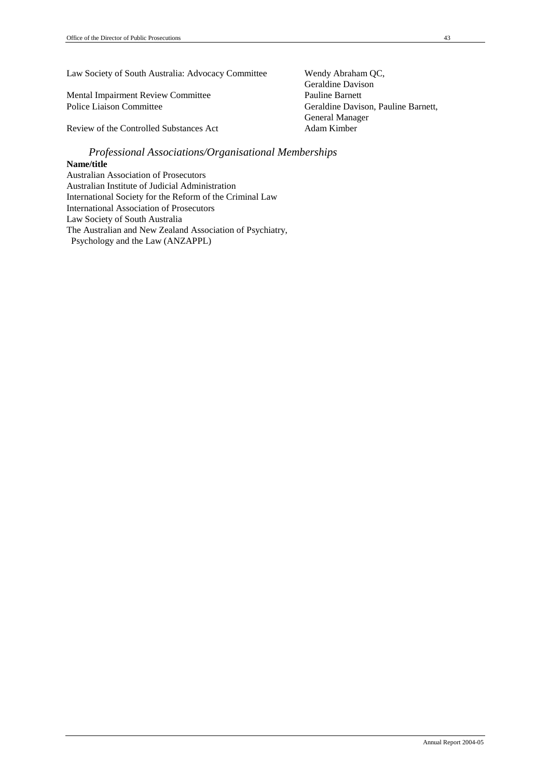Law Society of South Australia: Advocacy Committee Wendy Abraham QC,

Mental Impairment Review Committee Pauline Barnett Police Liaison Committee Geraldine Davison, Pauline Barnett,

Review of the Controlled Substances Act Adam Kimber

# *Professional Associations/Organisational Memberships*

# **Name/title**

Australian Association of Prosecutors Australian Institute of Judicial Administration International Society for the Reform of the Criminal Law International Association of Prosecutors Law Society of South Australia The Australian and New Zealand Association of Psychiatry, Psychology and the Law (ANZAPPL)

Geraldine Davison General Manager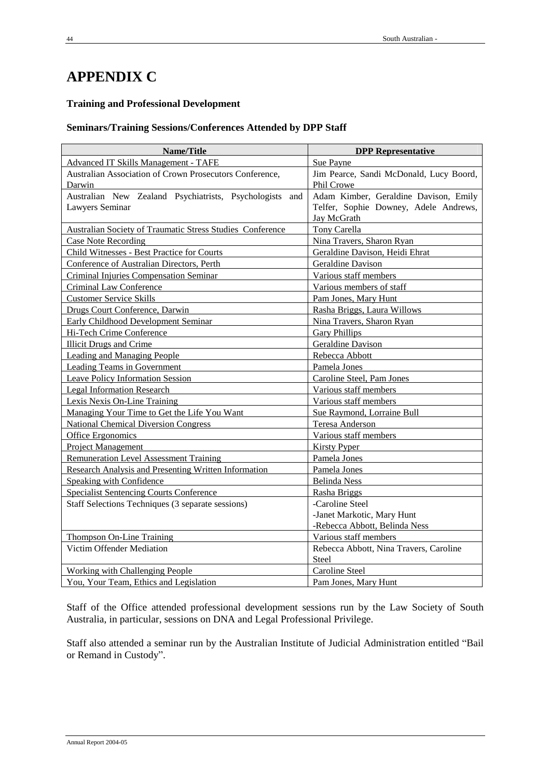# **APPENDIX C**

# **Training and Professional Development**

# **Seminars/Training Sessions/Conferences Attended by DPP Staff**

| Name/Title                                                  | <b>DPP</b> Representative               |
|-------------------------------------------------------------|-----------------------------------------|
| Advanced IT Skills Management - TAFE                        | Sue Payne                               |
| Australian Association of Crown Prosecutors Conference,     | Jim Pearce, Sandi McDonald, Lucy Boord, |
| Darwin                                                      | Phil Crowe                              |
| Australian New Zealand Psychiatrists, Psychologists<br>and  | Adam Kimber, Geraldine Davison, Emily   |
| Lawyers Seminar                                             | Telfer, Sophie Downey, Adele Andrews,   |
|                                                             | Jay McGrath                             |
| Australian Society of Traumatic Stress Studies Conference   | Tony Carella                            |
| <b>Case Note Recording</b>                                  | Nina Travers, Sharon Ryan               |
| Child Witnesses - Best Practice for Courts                  | Geraldine Davison, Heidi Ehrat          |
| Conference of Australian Directors, Perth                   | <b>Geraldine Davison</b>                |
| Criminal Injuries Compensation Seminar                      | Various staff members                   |
| Criminal Law Conference                                     | Various members of staff                |
| <b>Customer Service Skills</b>                              | Pam Jones, Mary Hunt                    |
| Drugs Court Conference, Darwin                              | Rasha Briggs, Laura Willows             |
| Early Childhood Development Seminar                         | Nina Travers, Sharon Ryan               |
| Hi-Tech Crime Conference                                    | <b>Gary Phillips</b>                    |
| <b>Illicit Drugs and Crime</b>                              | Geraldine Davison                       |
| <b>Leading and Managing People</b>                          | Rebecca Abbott                          |
| Leading Teams in Government                                 | Pamela Jones                            |
| <b>Leave Policy Information Session</b>                     | Caroline Steel, Pam Jones               |
| <b>Legal Information Research</b>                           | Various staff members                   |
| Lexis Nexis On-Line Training                                | Various staff members                   |
| Managing Your Time to Get the Life You Want                 | Sue Raymond, Lorraine Bull              |
| <b>National Chemical Diversion Congress</b>                 | Teresa Anderson                         |
| Office Ergonomics                                           | Various staff members                   |
| Project Management                                          | <b>Kirsty Pyper</b>                     |
| <b>Remuneration Level Assessment Training</b>               | Pamela Jones                            |
| <b>Research Analysis and Presenting Written Information</b> | Pamela Jones                            |
| Speaking with Confidence                                    | <b>Belinda Ness</b>                     |
| <b>Specialist Sentencing Courts Conference</b>              | Rasha Briggs                            |
| Staff Selections Techniques (3 separate sessions)           | -Caroline Steel                         |
|                                                             | -Janet Markotic, Mary Hunt              |
|                                                             | -Rebecca Abbott, Belinda Ness           |
| Thompson On-Line Training                                   | Various staff members                   |
| Victim Offender Mediation                                   | Rebecca Abbott, Nina Travers, Caroline  |
|                                                             | Steel                                   |
| Working with Challenging People                             | Caroline Steel                          |
| You, Your Team, Ethics and Legislation                      | Pam Jones, Mary Hunt                    |

Staff of the Office attended professional development sessions run by the Law Society of South Australia, in particular, sessions on DNA and Legal Professional Privilege.

Staff also attended a seminar run by the Australian Institute of Judicial Administration entitled "Bail or Remand in Custody".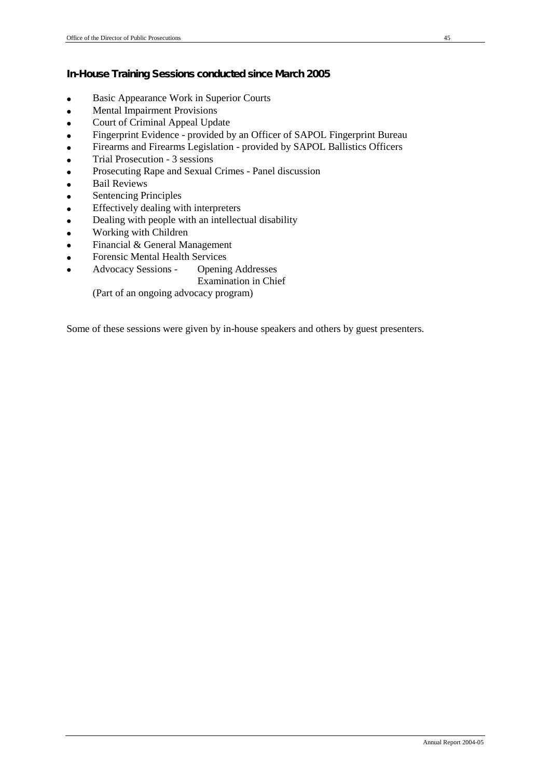**In-House Training Sessions conducted since March 2005**

- Basic Appearance Work in Superior Courts
- Mental Impairment Provisions
- Court of Criminal Appeal Update
- Fingerprint Evidence provided by an Officer of SAPOL Fingerprint Bureau
- Firearms and Firearms Legislation provided by SAPOL Ballistics Officers
- Trial Prosecution 3 sessions
- Prosecuting Rape and Sexual Crimes Panel discussion
- Bail Reviews
- Sentencing Principles
- Effectively dealing with interpreters
- Dealing with people with an intellectual disability
- Working with Children
- Financial & General Management
- Forensic Mental Health Services
- Advocacy Sessions Opening Addresses
	- Examination in Chief

(Part of an ongoing advocacy program)

Some of these sessions were given by in-house speakers and others by guest presenters.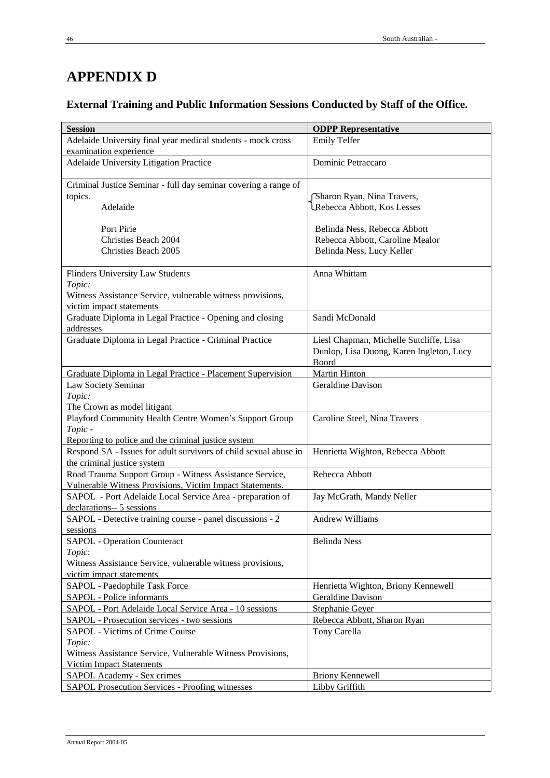# **APPENDIX D**

**External Training and Public Information Sessions Conducted by Staff of the Office.**

| <b>Session</b>                                                   | <b>ODPP Representative</b>               |
|------------------------------------------------------------------|------------------------------------------|
| Adelaide University final year medical students - mock cross     | <b>Emily Telfer</b>                      |
| examination experience                                           |                                          |
| Adelaide University Litigation Practice                          | Dominic Petraccaro                       |
|                                                                  |                                          |
| Criminal Justice Seminar - full day seminar covering a range of  |                                          |
| topics.                                                          | Sharon Ryan, Nina Travers,               |
| Adelaide                                                         | Rebecca Abbott, Kos Lesses               |
|                                                                  |                                          |
| Port Pirie                                                       | Belinda Ness, Rebecca Abbott             |
| Christies Beach 2004                                             | Rebecca Abbott, Caroline Mealor          |
| Christies Beach 2005                                             | Belinda Ness, Lucy Keller                |
|                                                                  |                                          |
| <b>Flinders University Law Students</b>                          | Anna Whittam                             |
| Topic:                                                           |                                          |
| Witness Assistance Service, vulnerable witness provisions,       |                                          |
| victim impact statements                                         |                                          |
| Graduate Diploma in Legal Practice - Opening and closing         | Sandi McDonald                           |
| addresses                                                        |                                          |
| Graduate Diploma in Legal Practice - Criminal Practice           | Liesl Chapman, Michelle Sutcliffe, Lisa  |
|                                                                  | Dunlop, Lisa Duong, Karen Ingleton, Lucy |
|                                                                  | Boord                                    |
| Graduate Diploma in Legal Practice - Placement Supervision       | <b>Martin Hinton</b>                     |
| Law Society Seminar                                              | Geraldine Davison                        |
| Topic:                                                           |                                          |
| The Crown as model litigant                                      |                                          |
| Playford Community Health Centre Women's Support Group           | Caroline Steel, Nina Travers             |
| Topic-                                                           |                                          |
| Reporting to police and the criminal justice system              |                                          |
| Respond SA - Issues for adult survivors of child sexual abuse in | Henrietta Wighton, Rebecca Abbott        |
| the criminal justice system                                      |                                          |
| Road Trauma Support Group - Witness Assistance Service,          | Rebecca Abbott                           |
| Vulnerable Witness Provisions, Victim Impact Statements.         |                                          |
| SAPOL - Port Adelaide Local Service Area - preparation of        | Jay McGrath, Mandy Neller                |
| declarations-- 5 sessions                                        |                                          |
| SAPOL - Detective training course - panel discussions - 2        | <b>Andrew Williams</b>                   |
| sessions                                                         |                                          |
| <b>SAPOL</b> - Operation Counteract                              | <b>Belinda</b> Ness                      |
| Topic:                                                           |                                          |
| Witness Assistance Service, vulnerable witness provisions,       |                                          |
| victim impact statements                                         |                                          |
| <b>SAPOL</b> - Paedophile Task Force                             | Henrietta Wighton, Briony Kennewell      |
| <b>SAPOL</b> - Police informants                                 | <b>Geraldine Davison</b>                 |
| SAPOL - Port Adelaide Local Service Area - 10 sessions           | Stephanie Geyer                          |
| SAPOL - Prosecution services - two sessions                      | Rebecca Abbott, Sharon Ryan              |
| <b>SAPOL</b> - Victims of Crime Course                           | Tony Carella                             |
| Topic:                                                           |                                          |
| Witness Assistance Service, Vulnerable Witness Provisions,       |                                          |
| <b>Victim Impact Statements</b>                                  |                                          |
| SAPOL Academy - Sex crimes                                       | <b>Briony Kennewell</b>                  |
| <b>SAPOL Prosecution Services - Proofing witnesses</b>           | <b>Libby Griffith</b>                    |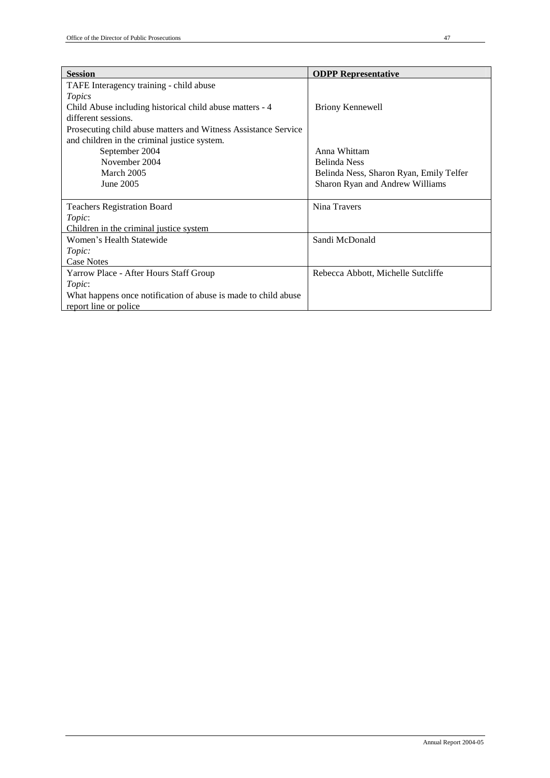| <b>Session</b>                                                 | <b>ODPP Representative</b>              |
|----------------------------------------------------------------|-----------------------------------------|
| TAFE Interagency training - child abuse                        |                                         |
| Topics                                                         |                                         |
| Child Abuse including historical child abuse matters - 4       | <b>Briony Kennewell</b>                 |
| different sessions.                                            |                                         |
| Prosecuting child abuse matters and Witness Assistance Service |                                         |
| and children in the criminal justice system.                   |                                         |
| September 2004                                                 | Anna Whittam                            |
| November 2004                                                  | <b>Belinda</b> Ness                     |
| March 2005                                                     | Belinda Ness, Sharon Ryan, Emily Telfer |
| June 2005                                                      | Sharon Ryan and Andrew Williams         |
|                                                                |                                         |
| <b>Teachers Registration Board</b>                             | Nina Travers                            |
| Topic:                                                         |                                         |
| Children in the criminal justice system                        |                                         |
| Women's Health Statewide                                       | Sandi McDonald                          |
| Topic:                                                         |                                         |
| <b>Case Notes</b>                                              |                                         |
| Yarrow Place - After Hours Staff Group                         | Rebecca Abbott, Michelle Sutcliffe      |
| Topic:                                                         |                                         |
| What happens once notification of abuse is made to child abuse |                                         |
| report line or police                                          |                                         |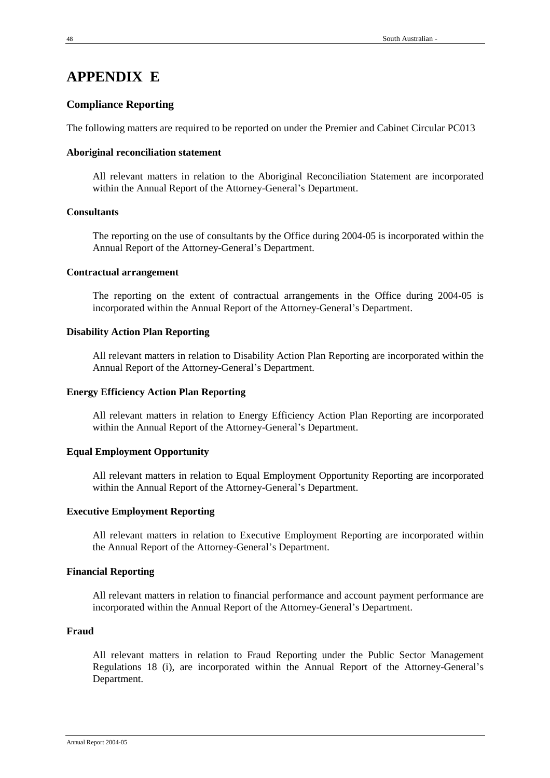# **APPENDIX E**

# **Compliance Reporting**

The following matters are required to be reported on under the Premier and Cabinet Circular PC013

# **Aboriginal reconciliation statement**

All relevant matters in relation to the Aboriginal Reconciliation Statement are incorporated within the Annual Report of the Attorney-General's Department.

# **Consultants**

The reporting on the use of consultants by the Office during 2004-05 is incorporated within the Annual Report of the Attorney-General's Department.

# **Contractual arrangement**

The reporting on the extent of contractual arrangements in the Office during 2004-05 is incorporated within the Annual Report of the Attorney-General's Department.

# **Disability Action Plan Reporting**

All relevant matters in relation to Disability Action Plan Reporting are incorporated within the Annual Report of the Attorney-General's Department.

# **Energy Efficiency Action Plan Reporting**

All relevant matters in relation to Energy Efficiency Action Plan Reporting are incorporated within the Annual Report of the Attorney-General's Department.

# **Equal Employment Opportunity**

All relevant matters in relation to Equal Employment Opportunity Reporting are incorporated within the Annual Report of the Attorney-General's Department.

# **Executive Employment Reporting**

All relevant matters in relation to Executive Employment Reporting are incorporated within the Annual Report of the Attorney-General's Department.

# **Financial Reporting**

All relevant matters in relation to financial performance and account payment performance are incorporated within the Annual Report of the Attorney-General's Department.

# **Fraud**

All relevant matters in relation to Fraud Reporting under the Public Sector Management Regulations 18 (i), are incorporated within the Annual Report of the Attorney-General's Department.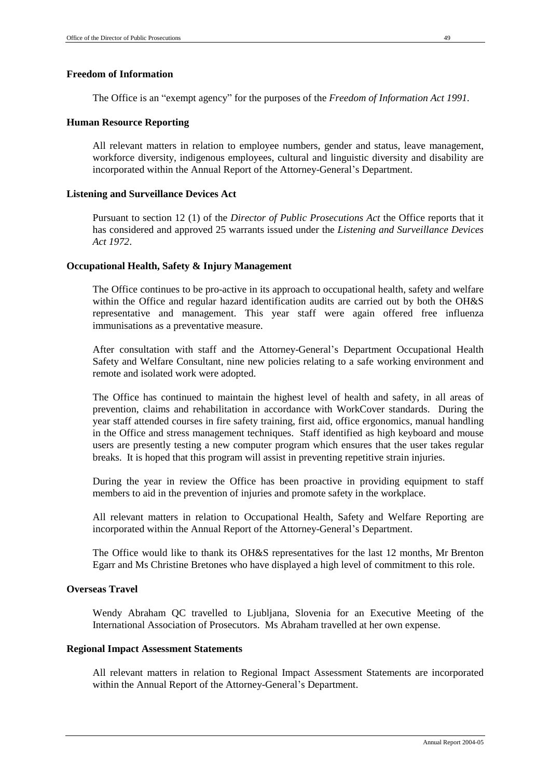# **Freedom of Information**

The Office is an "exempt agency" for the purposes of the *Freedom of Information Act 1991.*

## **Human Resource Reporting**

All relevant matters in relation to employee numbers, gender and status, leave management, workforce diversity, indigenous employees, cultural and linguistic diversity and disability are incorporated within the Annual Report of the Attorney-General's Department.

# **Listening and Surveillance Devices Act**

Pursuant to section 12 (1) of the *Director of Public Prosecutions Act* the Office reports that it has considered and approved 25 warrants issued under the *Listening and Surveillance Devices Act 1972*.

# **Occupational Health, Safety & Injury Management**

The Office continues to be pro-active in its approach to occupational health, safety and welfare within the Office and regular hazard identification audits are carried out by both the OH&S representative and management. This year staff were again offered free influenza immunisations as a preventative measure.

After consultation with staff and the Attorney-General's Department Occupational Health Safety and Welfare Consultant, nine new policies relating to a safe working environment and remote and isolated work were adopted.

The Office has continued to maintain the highest level of health and safety, in all areas of prevention, claims and rehabilitation in accordance with WorkCover standards. During the year staff attended courses in fire safety training, first aid, office ergonomics, manual handling in the Office and stress management techniques. Staff identified as high keyboard and mouse users are presently testing a new computer program which ensures that the user takes regular breaks. It is hoped that this program will assist in preventing repetitive strain injuries.

During the year in review the Office has been proactive in providing equipment to staff members to aid in the prevention of injuries and promote safety in the workplace.

All relevant matters in relation to Occupational Health, Safety and Welfare Reporting are incorporated within the Annual Report of the Attorney-General's Department.

The Office would like to thank its OH&S representatives for the last 12 months, Mr Brenton Egarr and Ms Christine Bretones who have displayed a high level of commitment to this role.

# **Overseas Travel**

Wendy Abraham QC travelled to Ljubljana, Slovenia for an Executive Meeting of the International Association of Prosecutors. Ms Abraham travelled at her own expense.

# **Regional Impact Assessment Statements**

All relevant matters in relation to Regional Impact Assessment Statements are incorporated within the Annual Report of the Attorney-General's Department.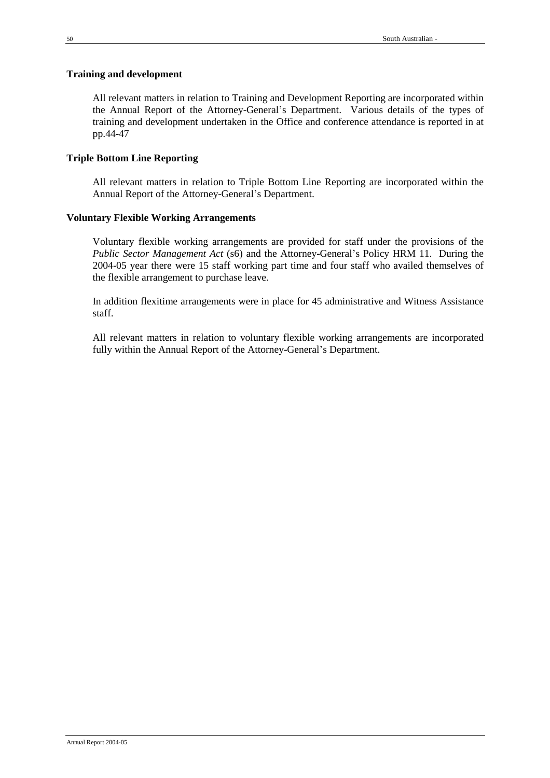# **Training and development**

All relevant matters in relation to Training and Development Reporting are incorporated within the Annual Report of the Attorney-General's Department. Various details of the types of training and development undertaken in the Office and conference attendance is reported in at pp.44-47

# **Triple Bottom Line Reporting**

All relevant matters in relation to Triple Bottom Line Reporting are incorporated within the Annual Report of the Attorney-General's Department.

# **Voluntary Flexible Working Arrangements**

Voluntary flexible working arrangements are provided for staff under the provisions of the *Public Sector Management Act* (s6) and the Attorney-General's Policy HRM 11. During the 2004-05 year there were 15 staff working part time and four staff who availed themselves of the flexible arrangement to purchase leave.

In addition flexitime arrangements were in place for 45 administrative and Witness Assistance staff.

All relevant matters in relation to voluntary flexible working arrangements are incorporated fully within the Annual Report of the Attorney-General's Department.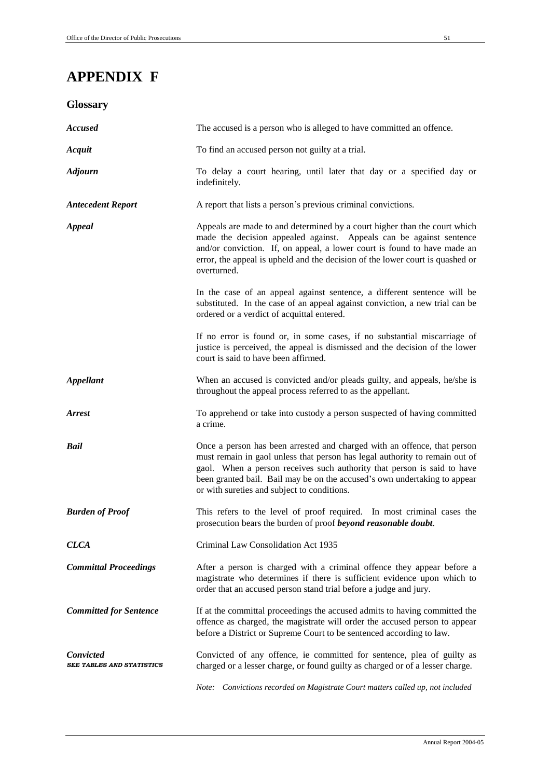# **APPENDIX F**

# **Glossary**

| <b>Accused</b>                         | The accused is a person who is alleged to have committed an offence.                                                                                                                                                                                                                                                                                           |
|----------------------------------------|----------------------------------------------------------------------------------------------------------------------------------------------------------------------------------------------------------------------------------------------------------------------------------------------------------------------------------------------------------------|
| Acquit                                 | To find an accused person not guilty at a trial.                                                                                                                                                                                                                                                                                                               |
| <b>Adjourn</b>                         | To delay a court hearing, until later that day or a specified day or<br>indefinitely.                                                                                                                                                                                                                                                                          |
| <b>Antecedent Report</b>               | A report that lists a person's previous criminal convictions.                                                                                                                                                                                                                                                                                                  |
| <b>Appeal</b>                          | Appeals are made to and determined by a court higher than the court which<br>made the decision appealed against. Appeals can be against sentence<br>and/or conviction. If, on appeal, a lower court is found to have made an<br>error, the appeal is upheld and the decision of the lower court is quashed or<br>overturned.                                   |
|                                        | In the case of an appeal against sentence, a different sentence will be<br>substituted. In the case of an appeal against conviction, a new trial can be<br>ordered or a verdict of acquittal entered.                                                                                                                                                          |
|                                        | If no error is found or, in some cases, if no substantial miscarriage of<br>justice is perceived, the appeal is dismissed and the decision of the lower<br>court is said to have been affirmed.                                                                                                                                                                |
| <b>Appellant</b>                       | When an accused is convicted and/or pleads guilty, and appeals, he/she is<br>throughout the appeal process referred to as the appellant.                                                                                                                                                                                                                       |
| <b>Arrest</b>                          | To apprehend or take into custody a person suspected of having committed<br>a crime.                                                                                                                                                                                                                                                                           |
| Bail                                   | Once a person has been arrested and charged with an offence, that person<br>must remain in gaol unless that person has legal authority to remain out of<br>gaol. When a person receives such authority that person is said to have<br>been granted bail. Bail may be on the accused's own undertaking to appear<br>or with sureties and subject to conditions. |
| <b>Burden of Proof</b>                 | This refers to the level of proof required. In most criminal cases the<br>prosecution bears the burden of proof beyond reasonable doubt.                                                                                                                                                                                                                       |
| <b>CLCA</b>                            | Criminal Law Consolidation Act 1935                                                                                                                                                                                                                                                                                                                            |
| <b>Committal Proceedings</b>           | After a person is charged with a criminal offence they appear before a<br>magistrate who determines if there is sufficient evidence upon which to<br>order that an accused person stand trial before a judge and jury.                                                                                                                                         |
| <b>Committed for Sentence</b>          | If at the committal proceedings the accused admits to having committed the<br>offence as charged, the magistrate will order the accused person to appear<br>before a District or Supreme Court to be sentenced according to law.                                                                                                                               |
| Convicted<br>SEE TABLES AND STATISTICS | Convicted of any offence, ie committed for sentence, plea of guilty as<br>charged or a lesser charge, or found guilty as charged or of a lesser charge.<br>Note: Convictions recorded on Magistrate Court matters called up, not included                                                                                                                      |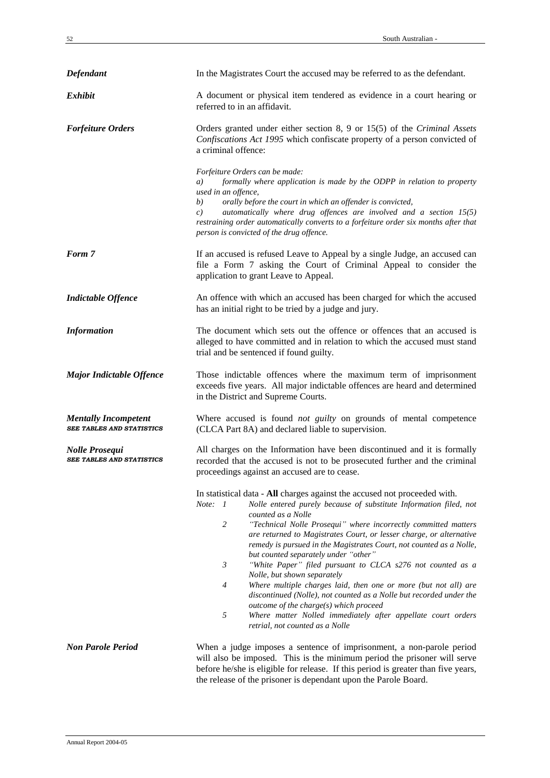| Defendant                                                       | In the Magistrates Court the accused may be referred to as the defendant.                                                                                                                                                                                                                                                                                                                                                                                                                                                                                                                                                                                                                                                                                                                                                                                                 |
|-----------------------------------------------------------------|---------------------------------------------------------------------------------------------------------------------------------------------------------------------------------------------------------------------------------------------------------------------------------------------------------------------------------------------------------------------------------------------------------------------------------------------------------------------------------------------------------------------------------------------------------------------------------------------------------------------------------------------------------------------------------------------------------------------------------------------------------------------------------------------------------------------------------------------------------------------------|
| <b>Exhibit</b>                                                  | A document or physical item tendered as evidence in a court hearing or<br>referred to in an affidavit.                                                                                                                                                                                                                                                                                                                                                                                                                                                                                                                                                                                                                                                                                                                                                                    |
| <b>Forfeiture Orders</b>                                        | Orders granted under either section 8, 9 or 15(5) of the Criminal Assets<br>Confiscations Act 1995 which confiscate property of a person convicted of<br>a criminal offence:                                                                                                                                                                                                                                                                                                                                                                                                                                                                                                                                                                                                                                                                                              |
|                                                                 | Forfeiture Orders can be made:<br>formally where application is made by the ODPP in relation to property<br>a)<br>used in an offence,<br>orally before the court in which an offender is convicted,<br>b)<br>automatically where drug offences are involved and a section 15(5)<br>c)<br>restraining order automatically converts to a forfeiture order six months after that<br>person is convicted of the drug offence.                                                                                                                                                                                                                                                                                                                                                                                                                                                 |
| Form 7                                                          | If an accused is refused Leave to Appeal by a single Judge, an accused can<br>file a Form 7 asking the Court of Criminal Appeal to consider the<br>application to grant Leave to Appeal.                                                                                                                                                                                                                                                                                                                                                                                                                                                                                                                                                                                                                                                                                  |
| <b>Indictable Offence</b>                                       | An offence with which an accused has been charged for which the accused<br>has an initial right to be tried by a judge and jury.                                                                                                                                                                                                                                                                                                                                                                                                                                                                                                                                                                                                                                                                                                                                          |
| <b>Information</b>                                              | The document which sets out the offence or offences that an accused is<br>alleged to have committed and in relation to which the accused must stand<br>trial and be sentenced if found guilty.                                                                                                                                                                                                                                                                                                                                                                                                                                                                                                                                                                                                                                                                            |
| <b>Major Indictable Offence</b>                                 | Those indictable offences where the maximum term of imprisonment<br>exceeds five years. All major indictable offences are heard and determined<br>in the District and Supreme Courts.                                                                                                                                                                                                                                                                                                                                                                                                                                                                                                                                                                                                                                                                                     |
| <b>Mentally Incompetent</b><br><b>SEE TABLES AND STATISTICS</b> | Where accused is found not guilty on grounds of mental competence<br>(CLCA Part 8A) and declared liable to supervision.                                                                                                                                                                                                                                                                                                                                                                                                                                                                                                                                                                                                                                                                                                                                                   |
| <b>Nolle Prosequi</b><br><b>SEE TABLES AND STATISTICS</b>       | All charges on the Information have been discontinued and it is formally<br>recorded that the accused is not to be prosecuted further and the criminal<br>proceedings against an accused are to cease.                                                                                                                                                                                                                                                                                                                                                                                                                                                                                                                                                                                                                                                                    |
|                                                                 | In statistical data - All charges against the accused not proceeded with.<br>Note: 1<br>Nolle entered purely because of substitute Information filed, not<br>counted as a Nolle<br>$\overline{c}$<br>"Technical Nolle Prosequi" where incorrectly committed matters<br>are returned to Magistrates Court, or lesser charge, or alternative<br>remedy is pursued in the Magistrates Court, not counted as a Nolle,<br>but counted separately under "other"<br>$\mathfrak{Z}$<br>"White Paper" filed pursuant to CLCA s276 not counted as a<br>Nolle, but shown separately<br>Where multiple charges laid, then one or more (but not all) are<br>4<br>discontinued (Nolle), not counted as a Nolle but recorded under the<br>outcome of the charge(s) which proceed<br>5<br>Where matter Nolled immediately after appellate court orders<br>retrial, not counted as a Nolle |
| <b>Non Parole Period</b>                                        | When a judge imposes a sentence of imprisonment, a non-parole period<br>will also be imposed. This is the minimum period the prisoner will serve<br>before he/she is eligible for release. If this period is greater than five years,<br>the release of the prisoner is dependant upon the Parole Board.                                                                                                                                                                                                                                                                                                                                                                                                                                                                                                                                                                  |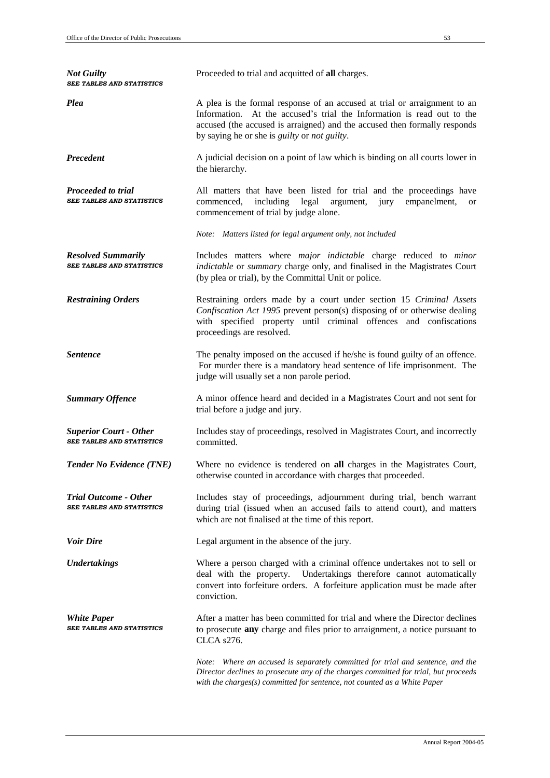| <b>Not Guilty</b><br><b>SEE TABLES AND STATISTICS</b>             | Proceeded to trial and acquitted of all charges.                                                                                                                                                                                                                                                |
|-------------------------------------------------------------------|-------------------------------------------------------------------------------------------------------------------------------------------------------------------------------------------------------------------------------------------------------------------------------------------------|
| <b>Plea</b>                                                       | A plea is the formal response of an accused at trial or arraignment to an<br>Information. At the accused's trial the Information is read out to the<br>accused (the accused is arraigned) and the accused then formally responds<br>by saying he or she is <i>guilty</i> or <i>not guilty</i> . |
| Precedent                                                         | A judicial decision on a point of law which is binding on all courts lower in<br>the hierarchy.                                                                                                                                                                                                 |
| Proceeded to trial<br><b>SEE TABLES AND STATISTICS</b>            | All matters that have been listed for trial and the proceedings have<br>including<br>legal<br>argument,<br>commenced,<br>jury<br>empanelment,<br><b>or</b><br>commencement of trial by judge alone.                                                                                             |
|                                                                   | Note: Matters listed for legal argument only, not included                                                                                                                                                                                                                                      |
| <b>Resolved Summarily</b><br><b>SEE TABLES AND STATISTICS</b>     | Includes matters where <i>major</i> indictable charge reduced to minor<br>indictable or summary charge only, and finalised in the Magistrates Court<br>(by plea or trial), by the Committal Unit or police.                                                                                     |
| <b>Restraining Orders</b>                                         | Restraining orders made by a court under section 15 Criminal Assets<br>Confiscation Act 1995 prevent person(s) disposing of or otherwise dealing<br>with specified property until criminal offences and confiscations<br>proceedings are resolved.                                              |
| <b>Sentence</b>                                                   | The penalty imposed on the accused if he/she is found guilty of an offence.<br>For murder there is a mandatory head sentence of life imprisonment. The<br>judge will usually set a non parole period.                                                                                           |
| <b>Summary Offence</b>                                            | A minor offence heard and decided in a Magistrates Court and not sent for<br>trial before a judge and jury.                                                                                                                                                                                     |
| <b>Superior Court - Other</b><br><b>SEE TABLES AND STATISTICS</b> | Includes stay of proceedings, resolved in Magistrates Court, and incorrectly<br>committed.                                                                                                                                                                                                      |
| <b>Tender No Evidence (TNE)</b>                                   | Where no evidence is tendered on all charges in the Magistrates Court,<br>otherwise counted in accordance with charges that proceeded.                                                                                                                                                          |
| <b>Trial Outcome - Other</b><br><b>SEE TABLES AND STATISTICS</b>  | Includes stay of proceedings, adjournment during trial, bench warrant<br>during trial (issued when an accused fails to attend court), and matters<br>which are not finalised at the time of this report.                                                                                        |
| <b>Voir Dire</b>                                                  | Legal argument in the absence of the jury.                                                                                                                                                                                                                                                      |
| <b>Undertakings</b>                                               | Where a person charged with a criminal offence undertakes not to sell or<br>deal with the property.<br>Undertakings therefore cannot automatically<br>convert into forfeiture orders. A forfeiture application must be made after<br>conviction.                                                |
| <b>White Paper</b><br>SEE TABLES AND STATISTICS                   | After a matter has been committed for trial and where the Director declines<br>to prosecute any charge and files prior to arraignment, a notice pursuant to<br>CLCA s276.                                                                                                                       |
|                                                                   | Note: Where an accused is separately committed for trial and sentence, and the<br>Director declines to prosecute any of the charges committed for trial, but proceeds<br>with the charges(s) committed for sentence, not counted as a White Paper                                               |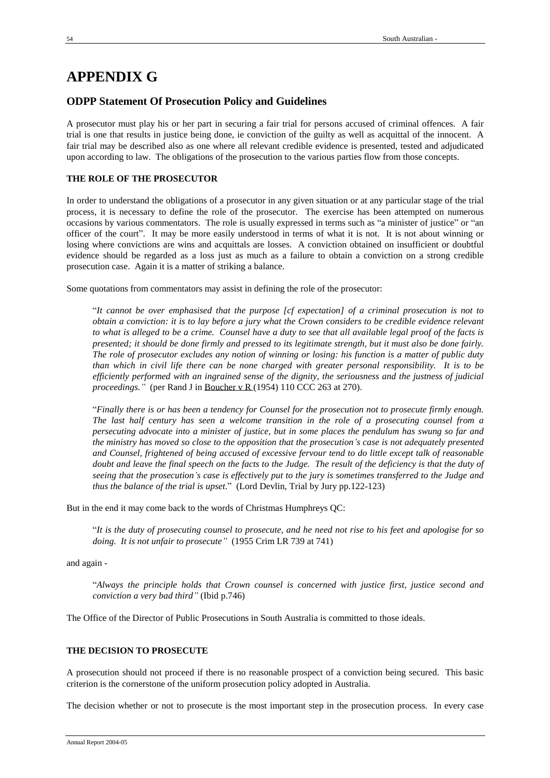# **APPENDIX G**

# **ODPP Statement Of Prosecution Policy and Guidelines**

A prosecutor must play his or her part in securing a fair trial for persons accused of criminal offences. A fair trial is one that results in justice being done, ie conviction of the guilty as well as acquittal of the innocent. A fair trial may be described also as one where all relevant credible evidence is presented, tested and adjudicated upon according to law. The obligations of the prosecution to the various parties flow from those concepts.

# **THE ROLE OF THE PROSECUTOR**

In order to understand the obligations of a prosecutor in any given situation or at any particular stage of the trial process, it is necessary to define the role of the prosecutor. The exercise has been attempted on numerous occasions by various commentators. The role is usually expressed in terms such as "a minister of justice" or "an officer of the court". It may be more easily understood in terms of what it is not. It is not about winning or losing where convictions are wins and acquittals are losses. A conviction obtained on insufficient or doubtful evidence should be regarded as a loss just as much as a failure to obtain a conviction on a strong credible prosecution case. Again it is a matter of striking a balance.

Some quotations from commentators may assist in defining the role of the prosecutor:

"*It cannot be over emphasised that the purpose [cf expectation] of a criminal prosecution is not to obtain a conviction: it is to lay before a jury what the Crown considers to be credible evidence relevant to what is alleged to be a crime. Counsel have a duty to see that all available legal proof of the facts is presented; it should be done firmly and pressed to its legitimate strength, but it must also be done fairly. The role of prosecutor excludes any notion of winning or losing: his function is a matter of public duty than which in civil life there can be none charged with greater personal responsibility. It is to be efficiently performed with an ingrained sense of the dignity, the seriousness and the justness of judicial proceedings."* (per Rand J in Boucher v R (1954) 110 CCC 263 at 270).

"*Finally there is or has been a tendency for Counsel for the prosecution not to prosecute firmly enough. The last half century has seen a welcome transition in the role of a prosecuting counsel from a persecuting advocate into a minister of justice, but in some places the pendulum has swung so far and the ministry has moved so close to the opposition that the prosecution's case is not adequately presented and Counsel, frightened of being accused of excessive fervour tend to do little except talk of reasonable doubt and leave the final speech on the facts to the Judge. The result of the deficiency is that the duty of seeing that the prosecution's case is effectively put to the jury is sometimes transferred to the Judge and thus the balance of the trial is upset*." (Lord Devlin, Trial by Jury pp.122-123)

But in the end it may come back to the words of Christmas Humphreys QC:

"*It is the duty of prosecuting counsel to prosecute, and he need not rise to his feet and apologise for so doing. It is not unfair to prosecute"* (1955 Crim LR 739 at 741)

and again -

"*Always the principle holds that Crown counsel is concerned with justice first, justice second and conviction a very bad third"* (Ibid p.746)

The Office of the Director of Public Prosecutions in South Australia is committed to those ideals.

### **THE DECISION TO PROSECUTE**

A prosecution should not proceed if there is no reasonable prospect of a conviction being secured. This basic criterion is the cornerstone of the uniform prosecution policy adopted in Australia.

The decision whether or not to prosecute is the most important step in the prosecution process. In every case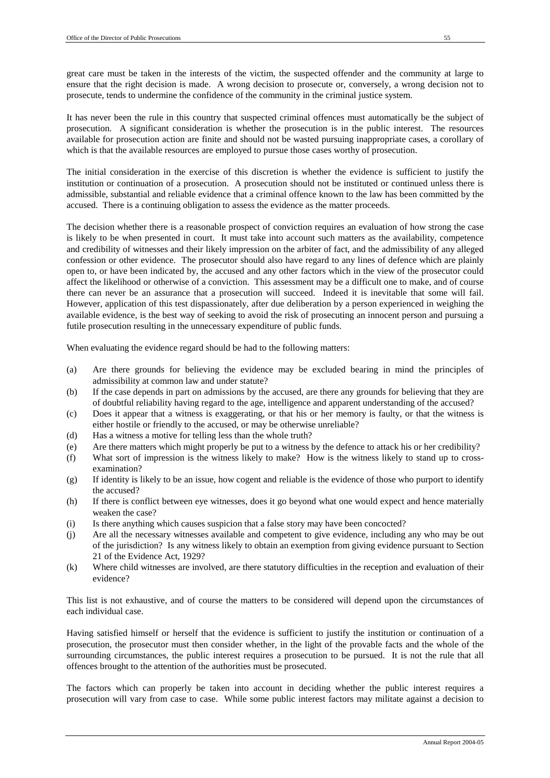great care must be taken in the interests of the victim, the suspected offender and the community at large to ensure that the right decision is made. A wrong decision to prosecute or, conversely, a wrong decision not to prosecute, tends to undermine the confidence of the community in the criminal justice system.

It has never been the rule in this country that suspected criminal offences must automatically be the subject of prosecution. A significant consideration is whether the prosecution is in the public interest. The resources available for prosecution action are finite and should not be wasted pursuing inappropriate cases, a corollary of which is that the available resources are employed to pursue those cases worthy of prosecution.

The initial consideration in the exercise of this discretion is whether the evidence is sufficient to justify the institution or continuation of a prosecution. A prosecution should not be instituted or continued unless there is admissible, substantial and reliable evidence that a criminal offence known to the law has been committed by the accused. There is a continuing obligation to assess the evidence as the matter proceeds.

The decision whether there is a reasonable prospect of conviction requires an evaluation of how strong the case is likely to be when presented in court. It must take into account such matters as the availability, competence and credibility of witnesses and their likely impression on the arbiter of fact, and the admissibility of any alleged confession or other evidence. The prosecutor should also have regard to any lines of defence which are plainly open to, or have been indicated by, the accused and any other factors which in the view of the prosecutor could affect the likelihood or otherwise of a conviction. This assessment may be a difficult one to make, and of course there can never be an assurance that a prosecution will succeed. Indeed it is inevitable that some will fail. However, application of this test dispassionately, after due deliberation by a person experienced in weighing the available evidence, is the best way of seeking to avoid the risk of prosecuting an innocent person and pursuing a futile prosecution resulting in the unnecessary expenditure of public funds.

When evaluating the evidence regard should be had to the following matters:

- (a) Are there grounds for believing the evidence may be excluded bearing in mind the principles of admissibility at common law and under statute?
- (b) If the case depends in part on admissions by the accused, are there any grounds for believing that they are of doubtful reliability having regard to the age, intelligence and apparent understanding of the accused?
- (c) Does it appear that a witness is exaggerating, or that his or her memory is faulty, or that the witness is either hostile or friendly to the accused, or may be otherwise unreliable?
- (d) Has a witness a motive for telling less than the whole truth?
- (e) Are there matters which might properly be put to a witness by the defence to attack his or her credibility?
- (f) What sort of impression is the witness likely to make? How is the witness likely to stand up to crossexamination?
- (g) If identity is likely to be an issue, how cogent and reliable is the evidence of those who purport to identify the accused?
- (h) If there is conflict between eye witnesses, does it go beyond what one would expect and hence materially weaken the case?
- (i) Is there anything which causes suspicion that a false story may have been concocted?
- (j) Are all the necessary witnesses available and competent to give evidence, including any who may be out of the jurisdiction? Is any witness likely to obtain an exemption from giving evidence pursuant to Section 21 of the Evidence Act, 1929?
- (k) Where child witnesses are involved, are there statutory difficulties in the reception and evaluation of their evidence?

This list is not exhaustive, and of course the matters to be considered will depend upon the circumstances of each individual case.

Having satisfied himself or herself that the evidence is sufficient to justify the institution or continuation of a prosecution, the prosecutor must then consider whether, in the light of the provable facts and the whole of the surrounding circumstances, the public interest requires a prosecution to be pursued. It is not the rule that all offences brought to the attention of the authorities must be prosecuted.

The factors which can properly be taken into account in deciding whether the public interest requires a prosecution will vary from case to case. While some public interest factors may militate against a decision to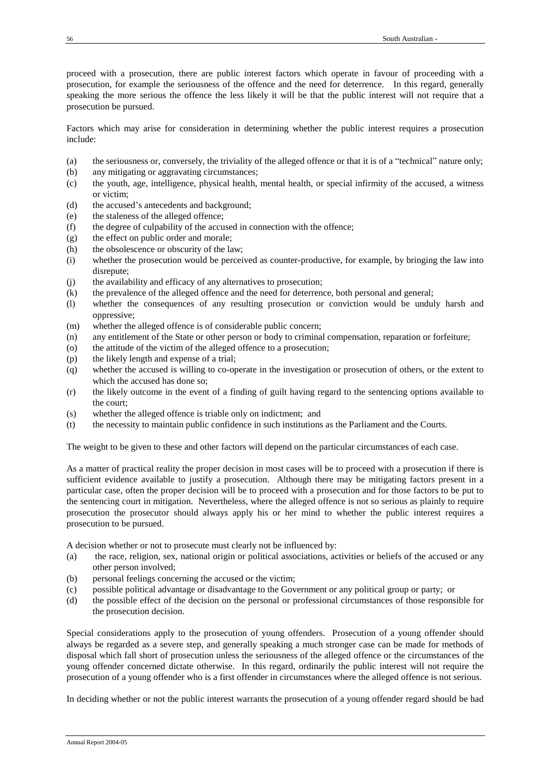proceed with a prosecution, there are public interest factors which operate in favour of proceeding with a prosecution, for example the seriousness of the offence and the need for deterrence. In this regard, generally speaking the more serious the offence the less likely it will be that the public interest will not require that a prosecution be pursued.

Factors which may arise for consideration in determining whether the public interest requires a prosecution include:

- (a) the seriousness or, conversely, the triviality of the alleged offence or that it is of a "technical" nature only;
- (b) any mitigating or aggravating circumstances;
- (c) the youth, age, intelligence, physical health, mental health, or special infirmity of the accused, a witness or victim;
- (d) the accused's antecedents and background;
- (e) the staleness of the alleged offence;
- (f) the degree of culpability of the accused in connection with the offence;
- (g) the effect on public order and morale;
- (h) the obsolescence or obscurity of the law:
- (i) whether the prosecution would be perceived as counter-productive, for example, by bringing the law into disrepute;
- (j) the availability and efficacy of any alternatives to prosecution;
- (k) the prevalence of the alleged offence and the need for deterrence, both personal and general;
- (l) whether the consequences of any resulting prosecution or conviction would be unduly harsh and oppressive;
- (m) whether the alleged offence is of considerable public concern;
- (n) any entitlement of the State or other person or body to criminal compensation, reparation or forfeiture;
- (o) the attitude of the victim of the alleged offence to a prosecution;
- (p) the likely length and expense of a trial;
- (q) whether the accused is willing to co-operate in the investigation or prosecution of others, or the extent to which the accused has done so;
- (r) the likely outcome in the event of a finding of guilt having regard to the sentencing options available to the court;
- (s) whether the alleged offence is triable only on indictment; and
- (t) the necessity to maintain public confidence in such institutions as the Parliament and the Courts.

The weight to be given to these and other factors will depend on the particular circumstances of each case.

As a matter of practical reality the proper decision in most cases will be to proceed with a prosecution if there is sufficient evidence available to justify a prosecution. Although there may be mitigating factors present in a particular case, often the proper decision will be to proceed with a prosecution and for those factors to be put to the sentencing court in mitigation. Nevertheless, where the alleged offence is not so serious as plainly to require prosecution the prosecutor should always apply his or her mind to whether the public interest requires a prosecution to be pursued.

A decision whether or not to prosecute must clearly not be influenced by:

- (a) the race, religion, sex, national origin or political associations, activities or beliefs of the accused or any other person involved;
- (b) personal feelings concerning the accused or the victim;
- (c) possible political advantage or disadvantage to the Government or any political group or party; or
- (d) the possible effect of the decision on the personal or professional circumstances of those responsible for the prosecution decision.

Special considerations apply to the prosecution of young offenders. Prosecution of a young offender should always be regarded as a severe step, and generally speaking a much stronger case can be made for methods of disposal which fall short of prosecution unless the seriousness of the alleged offence or the circumstances of the young offender concerned dictate otherwise. In this regard, ordinarily the public interest will not require the prosecution of a young offender who is a first offender in circumstances where the alleged offence is not serious.

In deciding whether or not the public interest warrants the prosecution of a young offender regard should be had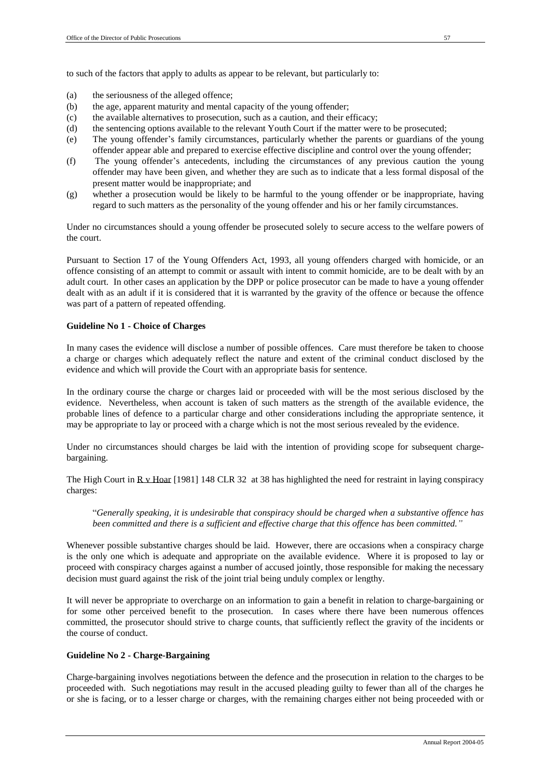to such of the factors that apply to adults as appear to be relevant, but particularly to:

- (a) the seriousness of the alleged offence;
- (b) the age, apparent maturity and mental capacity of the young offender;
- (c) the available alternatives to prosecution, such as a caution, and their efficacy;
- (d) the sentencing options available to the relevant Youth Court if the matter were to be prosecuted;
- (e) The young offender's family circumstances, particularly whether the parents or guardians of the young offender appear able and prepared to exercise effective discipline and control over the young offender;
- (f) The young offender's antecedents, including the circumstances of any previous caution the young offender may have been given, and whether they are such as to indicate that a less formal disposal of the present matter would be inappropriate; and
- (g) whether a prosecution would be likely to be harmful to the young offender or be inappropriate, having regard to such matters as the personality of the young offender and his or her family circumstances.

Under no circumstances should a young offender be prosecuted solely to secure access to the welfare powers of the court.

Pursuant to Section 17 of the Young Offenders Act, 1993, all young offenders charged with homicide, or an offence consisting of an attempt to commit or assault with intent to commit homicide, are to be dealt with by an adult court. In other cases an application by the DPP or police prosecutor can be made to have a young offender dealt with as an adult if it is considered that it is warranted by the gravity of the offence or because the offence was part of a pattern of repeated offending.

### **Guideline No 1 - Choice of Charges**

In many cases the evidence will disclose a number of possible offences. Care must therefore be taken to choose a charge or charges which adequately reflect the nature and extent of the criminal conduct disclosed by the evidence and which will provide the Court with an appropriate basis for sentence.

In the ordinary course the charge or charges laid or proceeded with will be the most serious disclosed by the evidence. Nevertheless, when account is taken of such matters as the strength of the available evidence, the probable lines of defence to a particular charge and other considerations including the appropriate sentence, it may be appropriate to lay or proceed with a charge which is not the most serious revealed by the evidence.

Under no circumstances should charges be laid with the intention of providing scope for subsequent chargebargaining.

The High Court in  $R_y$  Hoar [1981] 148 CLR 32 at 38 has highlighted the need for restraint in laying conspiracy charges:

"*Generally speaking, it is undesirable that conspiracy should be charged when a substantive offence has been committed and there is a sufficient and effective charge that this offence has been committed."*

Whenever possible substantive charges should be laid. However, there are occasions when a conspiracy charge is the only one which is adequate and appropriate on the available evidence. Where it is proposed to lay or proceed with conspiracy charges against a number of accused jointly, those responsible for making the necessary decision must guard against the risk of the joint trial being unduly complex or lengthy.

It will never be appropriate to overcharge on an information to gain a benefit in relation to charge-bargaining or for some other perceived benefit to the prosecution. In cases where there have been numerous offences committed, the prosecutor should strive to charge counts, that sufficiently reflect the gravity of the incidents or the course of conduct.

### **Guideline No 2 - Charge-Bargaining**

Charge-bargaining involves negotiations between the defence and the prosecution in relation to the charges to be proceeded with. Such negotiations may result in the accused pleading guilty to fewer than all of the charges he or she is facing, or to a lesser charge or charges, with the remaining charges either not being proceeded with or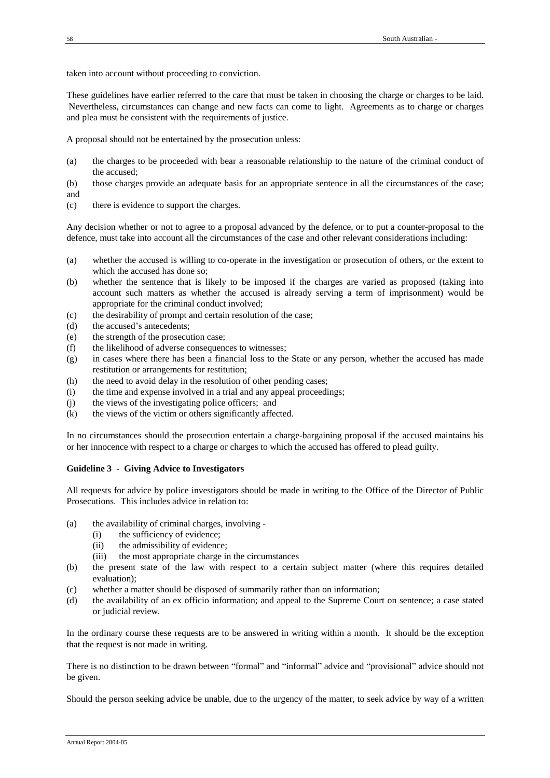taken into account without proceeding to conviction.

These guidelines have earlier referred to the care that must be taken in choosing the charge or charges to be laid. Nevertheless, circumstances can change and new facts can come to light. Agreements as to charge or charges and plea must be consistent with the requirements of justice.

A proposal should not be entertained by the prosecution unless:

- (a) the charges to be proceeded with bear a reasonable relationship to the nature of the criminal conduct of the accused;
- (b) those charges provide an adequate basis for an appropriate sentence in all the circumstances of the case; and
- (c) there is evidence to support the charges.

Any decision whether or not to agree to a proposal advanced by the defence, or to put a counter-proposal to the defence, must take into account all the circumstances of the case and other relevant considerations including:

- (a) whether the accused is willing to co-operate in the investigation or prosecution of others, or the extent to which the accused has done so;
- (b) whether the sentence that is likely to be imposed if the charges are varied as proposed (taking into account such matters as whether the accused is already serving a term of imprisonment) would be appropriate for the criminal conduct involved;
- (c) the desirability of prompt and certain resolution of the case;
- (d) the accused's antecedents;
- (e) the strength of the prosecution case;
- (f) the likelihood of adverse consequences to witnesses;
- (g) in cases where there has been a financial loss to the State or any person, whether the accused has made restitution or arrangements for restitution;
- (h) the need to avoid delay in the resolution of other pending cases;
- (i) the time and expense involved in a trial and any appeal proceedings;
- (j) the views of the investigating police officers; and
- (k) the views of the victim or others significantly affected.

In no circumstances should the prosecution entertain a charge-bargaining proposal if the accused maintains his or her innocence with respect to a charge or charges to which the accused has offered to plead guilty.

### **Guideline 3 - Giving Advice to Investigators**

All requests for advice by police investigators should be made in writing to the Office of the Director of Public Prosecutions. This includes advice in relation to:

- (a) the availability of criminal charges, involving
	- (i) the sufficiency of evidence;
	- (ii) the admissibility of evidence;
	- (iii) the most appropriate charge in the circumstances
- (b) the present state of the law with respect to a certain subject matter (where this requires detailed evaluation);
- (c) whether a matter should be disposed of summarily rather than on information;
- (d) the availability of an ex officio information; and appeal to the Supreme Court on sentence; a case stated or judicial review.

In the ordinary course these requests are to be answered in writing within a month. It should be the exception that the request is not made in writing.

There is no distinction to be drawn between "formal" and "informal" advice and "provisional" advice should not be given.

Should the person seeking advice be unable, due to the urgency of the matter, to seek advice by way of a written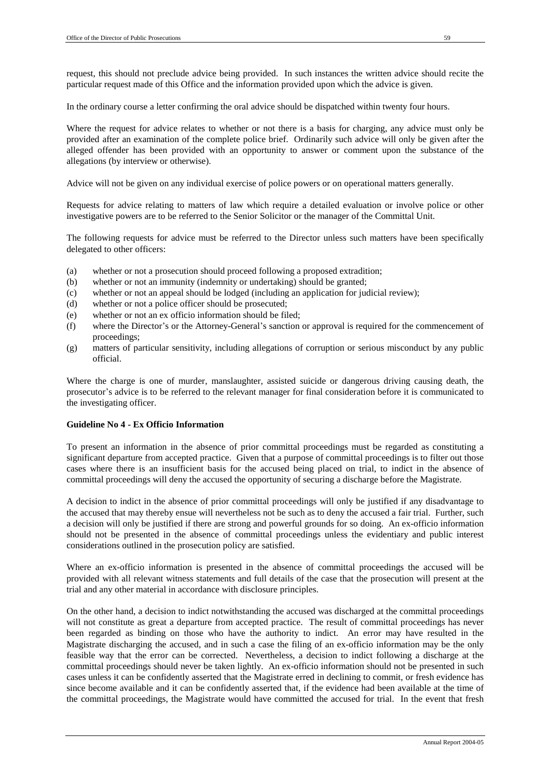request, this should not preclude advice being provided. In such instances the written advice should recite the particular request made of this Office and the information provided upon which the advice is given.

In the ordinary course a letter confirming the oral advice should be dispatched within twenty four hours.

Where the request for advice relates to whether or not there is a basis for charging, any advice must only be provided after an examination of the complete police brief. Ordinarily such advice will only be given after the alleged offender has been provided with an opportunity to answer or comment upon the substance of the allegations (by interview or otherwise).

Advice will not be given on any individual exercise of police powers or on operational matters generally.

Requests for advice relating to matters of law which require a detailed evaluation or involve police or other investigative powers are to be referred to the Senior Solicitor or the manager of the Committal Unit.

The following requests for advice must be referred to the Director unless such matters have been specifically delegated to other officers:

- (a) whether or not a prosecution should proceed following a proposed extradition;
- (b) whether or not an immunity (indemnity or undertaking) should be granted;
- (c) whether or not an appeal should be lodged (including an application for judicial review);
- (d) whether or not a police officer should be prosecuted;
- (e) whether or not an ex officio information should be filed;
- (f) where the Director's or the Attorney-General's sanction or approval is required for the commencement of proceedings;
- (g) matters of particular sensitivity, including allegations of corruption or serious misconduct by any public official.

Where the charge is one of murder, manslaughter, assisted suicide or dangerous driving causing death, the prosecutor's advice is to be referred to the relevant manager for final consideration before it is communicated to the investigating officer.

### **Guideline No 4 - Ex Officio Information**

To present an information in the absence of prior committal proceedings must be regarded as constituting a significant departure from accepted practice. Given that a purpose of committal proceedings is to filter out those cases where there is an insufficient basis for the accused being placed on trial, to indict in the absence of committal proceedings will deny the accused the opportunity of securing a discharge before the Magistrate.

A decision to indict in the absence of prior committal proceedings will only be justified if any disadvantage to the accused that may thereby ensue will nevertheless not be such as to deny the accused a fair trial. Further, such a decision will only be justified if there are strong and powerful grounds for so doing. An ex-officio information should not be presented in the absence of committal proceedings unless the evidentiary and public interest considerations outlined in the prosecution policy are satisfied.

Where an ex-officio information is presented in the absence of committal proceedings the accused will be provided with all relevant witness statements and full details of the case that the prosecution will present at the trial and any other material in accordance with disclosure principles.

On the other hand, a decision to indict notwithstanding the accused was discharged at the committal proceedings will not constitute as great a departure from accepted practice. The result of committal proceedings has never been regarded as binding on those who have the authority to indict. An error may have resulted in the Magistrate discharging the accused, and in such a case the filing of an ex-officio information may be the only feasible way that the error can be corrected. Nevertheless, a decision to indict following a discharge at the committal proceedings should never be taken lightly. An ex-officio information should not be presented in such cases unless it can be confidently asserted that the Magistrate erred in declining to commit, or fresh evidence has since become available and it can be confidently asserted that, if the evidence had been available at the time of the committal proceedings, the Magistrate would have committed the accused for trial. In the event that fresh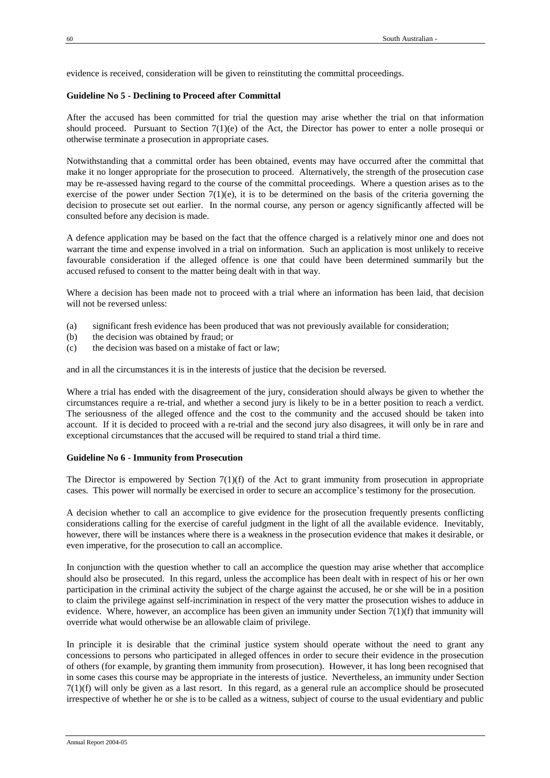evidence is received, consideration will be given to reinstituting the committal proceedings.

### **Guideline No 5 - Declining to Proceed after Committal**

After the accused has been committed for trial the question may arise whether the trial on that information should proceed. Pursuant to Section 7(1)(e) of the Act, the Director has power to enter a nolle prosequi or otherwise terminate a prosecution in appropriate cases.

Notwithstanding that a committal order has been obtained, events may have occurred after the committal that make it no longer appropriate for the prosecution to proceed. Alternatively, the strength of the prosecution case may be re-assessed having regard to the course of the committal proceedings. Where a question arises as to the exercise of the power under Section  $7(1)(e)$ , it is to be determined on the basis of the criteria governing the decision to prosecute set out earlier. In the normal course, any person or agency significantly affected will be consulted before any decision is made.

A defence application may be based on the fact that the offence charged is a relatively minor one and does not warrant the time and expense involved in a trial on information. Such an application is most unlikely to receive favourable consideration if the alleged offence is one that could have been determined summarily but the accused refused to consent to the matter being dealt with in that way.

Where a decision has been made not to proceed with a trial where an information has been laid, that decision will not be reversed unless:

- (a) significant fresh evidence has been produced that was not previously available for consideration;
- (b) the decision was obtained by fraud; or
- (c) the decision was based on a mistake of fact or law;

and in all the circumstances it is in the interests of justice that the decision be reversed.

Where a trial has ended with the disagreement of the jury, consideration should always be given to whether the circumstances require a re-trial, and whether a second jury is likely to be in a better position to reach a verdict. The seriousness of the alleged offence and the cost to the community and the accused should be taken into account. If it is decided to proceed with a re-trial and the second jury also disagrees, it will only be in rare and exceptional circumstances that the accused will be required to stand trial a third time.

### **Guideline No 6 - Immunity from Prosecution**

The Director is empowered by Section  $7(1)(f)$  of the Act to grant immunity from prosecution in appropriate cases. This power will normally be exercised in order to secure an accomplice's testimony for the prosecution.

A decision whether to call an accomplice to give evidence for the prosecution frequently presents conflicting considerations calling for the exercise of careful judgment in the light of all the available evidence. Inevitably, however, there will be instances where there is a weakness in the prosecution evidence that makes it desirable, or even imperative, for the prosecution to call an accomplice.

In conjunction with the question whether to call an accomplice the question may arise whether that accomplice should also be prosecuted. In this regard, unless the accomplice has been dealt with in respect of his or her own participation in the criminal activity the subject of the charge against the accused, he or she will be in a position to claim the privilege against self-incrimination in respect of the very matter the prosecution wishes to adduce in evidence. Where, however, an accomplice has been given an immunity under Section  $7(1)(f)$  that immunity will override what would otherwise be an allowable claim of privilege.

In principle it is desirable that the criminal justice system should operate without the need to grant any concessions to persons who participated in alleged offences in order to secure their evidence in the prosecution of others (for example, by granting them immunity from prosecution). However, it has long been recognised that in some cases this course may be appropriate in the interests of justice. Nevertheless, an immunity under Section 7(1)(f) will only be given as a last resort. In this regard, as a general rule an accomplice should be prosecuted irrespective of whether he or she is to be called as a witness, subject of course to the usual evidentiary and public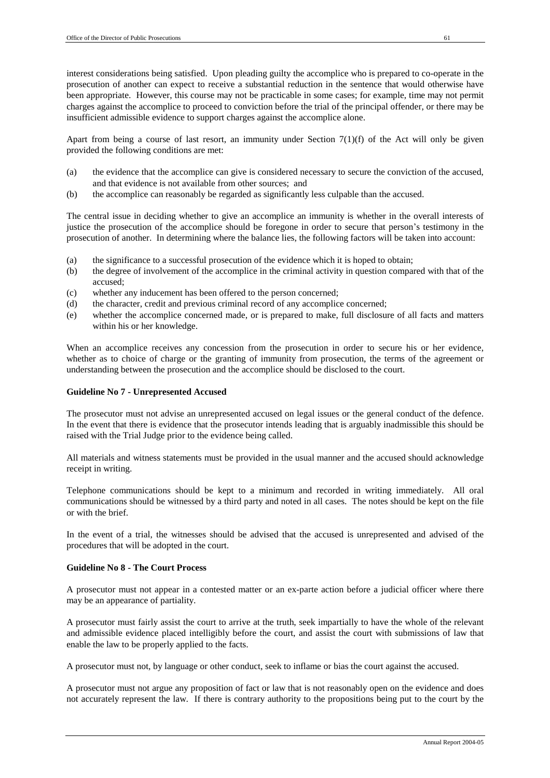interest considerations being satisfied. Upon pleading guilty the accomplice who is prepared to co-operate in the prosecution of another can expect to receive a substantial reduction in the sentence that would otherwise have been appropriate. However, this course may not be practicable in some cases; for example, time may not permit charges against the accomplice to proceed to conviction before the trial of the principal offender, or there may be insufficient admissible evidence to support charges against the accomplice alone.

Apart from being a course of last resort, an immunity under Section  $7(1)(f)$  of the Act will only be given provided the following conditions are met:

- (a) the evidence that the accomplice can give is considered necessary to secure the conviction of the accused, and that evidence is not available from other sources; and
- (b) the accomplice can reasonably be regarded as significantly less culpable than the accused.

The central issue in deciding whether to give an accomplice an immunity is whether in the overall interests of justice the prosecution of the accomplice should be foregone in order to secure that person's testimony in the prosecution of another. In determining where the balance lies, the following factors will be taken into account:

- (a) the significance to a successful prosecution of the evidence which it is hoped to obtain;
- (b) the degree of involvement of the accomplice in the criminal activity in question compared with that of the accused;
- (c) whether any inducement has been offered to the person concerned;
- (d) the character, credit and previous criminal record of any accomplice concerned;
- (e) whether the accomplice concerned made, or is prepared to make, full disclosure of all facts and matters within his or her knowledge.

When an accomplice receives any concession from the prosecution in order to secure his or her evidence, whether as to choice of charge or the granting of immunity from prosecution, the terms of the agreement or understanding between the prosecution and the accomplice should be disclosed to the court.

# **Guideline No 7 - Unrepresented Accused**

The prosecutor must not advise an unrepresented accused on legal issues or the general conduct of the defence. In the event that there is evidence that the prosecutor intends leading that is arguably inadmissible this should be raised with the Trial Judge prior to the evidence being called.

All materials and witness statements must be provided in the usual manner and the accused should acknowledge receipt in writing.

Telephone communications should be kept to a minimum and recorded in writing immediately. All oral communications should be witnessed by a third party and noted in all cases. The notes should be kept on the file or with the brief.

In the event of a trial, the witnesses should be advised that the accused is unrepresented and advised of the procedures that will be adopted in the court.

# **Guideline No 8 - The Court Process**

A prosecutor must not appear in a contested matter or an ex-parte action before a judicial officer where there may be an appearance of partiality.

A prosecutor must fairly assist the court to arrive at the truth, seek impartially to have the whole of the relevant and admissible evidence placed intelligibly before the court, and assist the court with submissions of law that enable the law to be properly applied to the facts.

A prosecutor must not, by language or other conduct, seek to inflame or bias the court against the accused.

A prosecutor must not argue any proposition of fact or law that is not reasonably open on the evidence and does not accurately represent the law. If there is contrary authority to the propositions being put to the court by the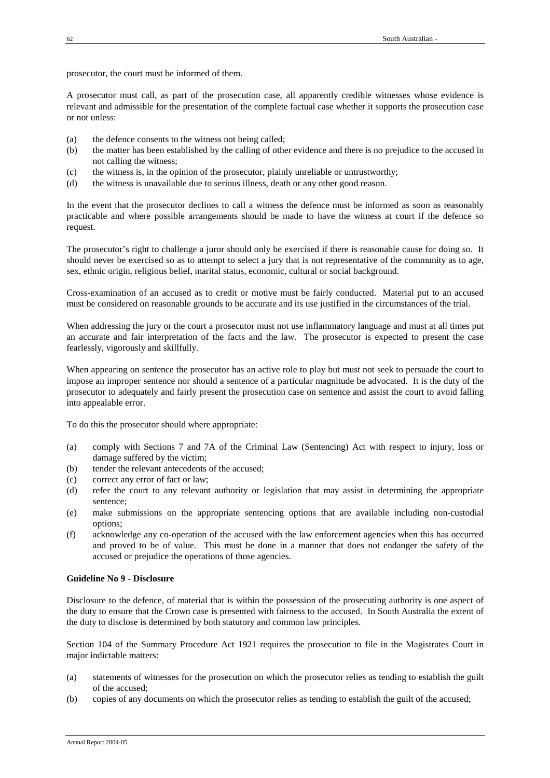prosecutor, the court must be informed of them.

A prosecutor must call, as part of the prosecution case, all apparently credible witnesses whose evidence is relevant and admissible for the presentation of the complete factual case whether it supports the prosecution case or not unless:

- (a) the defence consents to the witness not being called;
- (b) the matter has been established by the calling of other evidence and there is no prejudice to the accused in not calling the witness;
- (c) the witness is, in the opinion of the prosecutor, plainly unreliable or untrustworthy;
- (d) the witness is unavailable due to serious illness, death or any other good reason.

In the event that the prosecutor declines to call a witness the defence must be informed as soon as reasonably practicable and where possible arrangements should be made to have the witness at court if the defence so request.

The prosecutor's right to challenge a juror should only be exercised if there is reasonable cause for doing so. It should never be exercised so as to attempt to select a jury that is not representative of the community as to age, sex, ethnic origin, religious belief, marital status, economic, cultural or social background.

Cross-examination of an accused as to credit or motive must be fairly conducted. Material put to an accused must be considered on reasonable grounds to be accurate and its use justified in the circumstances of the trial.

When addressing the jury or the court a prosecutor must not use inflammatory language and must at all times put an accurate and fair interpretation of the facts and the law. The prosecutor is expected to present the case fearlessly, vigorously and skillfully.

When appearing on sentence the prosecutor has an active role to play but must not seek to persuade the court to impose an improper sentence nor should a sentence of a particular magnitude be advocated. It is the duty of the prosecutor to adequately and fairly present the prosecution case on sentence and assist the court to avoid falling into appealable error.

To do this the prosecutor should where appropriate:

- (a) comply with Sections 7 and 7A of the Criminal Law (Sentencing) Act with respect to injury, loss or damage suffered by the victim;
- (b) tender the relevant antecedents of the accused;
- (c) correct any error of fact or law;
- (d) refer the court to any relevant authority or legislation that may assist in determining the appropriate sentence;
- (e) make submissions on the appropriate sentencing options that are available including non-custodial options;
- (f) acknowledge any co-operation of the accused with the law enforcement agencies when this has occurred and proved to be of value. This must be done in a manner that does not endanger the safety of the accused or prejudice the operations of those agencies.

### **Guideline No 9 - Disclosure**

Disclosure to the defence, of material that is within the possession of the prosecuting authority is one aspect of the duty to ensure that the Crown case is presented with fairness to the accused. In South Australia the extent of the duty to disclose is determined by both statutory and common law principles.

Section 104 of the Summary Procedure Act 1921 requires the prosecution to file in the Magistrates Court in major indictable matters:

- (a) statements of witnesses for the prosecution on which the prosecutor relies as tending to establish the guilt of the accused;
- (b) copies of any documents on which the prosecutor relies as tending to establish the guilt of the accused;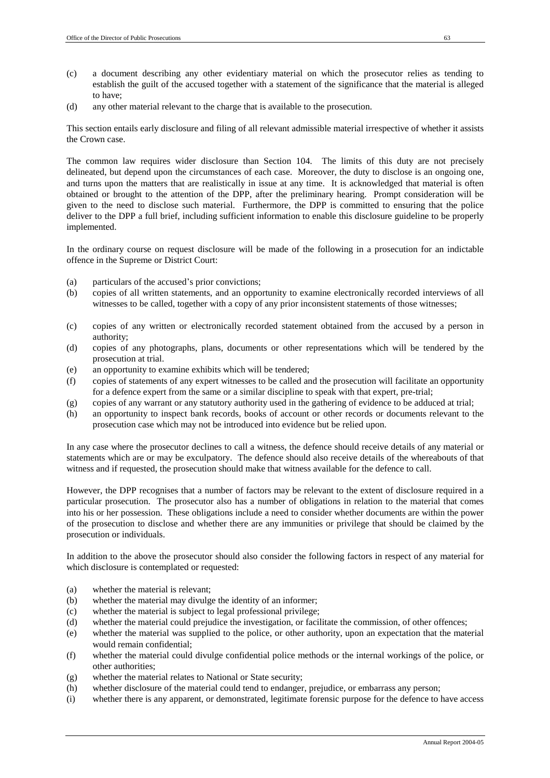- (c) a document describing any other evidentiary material on which the prosecutor relies as tending to establish the guilt of the accused together with a statement of the significance that the material is alleged to have;
- (d) any other material relevant to the charge that is available to the prosecution.

This section entails early disclosure and filing of all relevant admissible material irrespective of whether it assists the Crown case.

The common law requires wider disclosure than Section 104. The limits of this duty are not precisely delineated, but depend upon the circumstances of each case. Moreover, the duty to disclose is an ongoing one, and turns upon the matters that are realistically in issue at any time. It is acknowledged that material is often obtained or brought to the attention of the DPP, after the preliminary hearing. Prompt consideration will be given to the need to disclose such material. Furthermore, the DPP is committed to ensuring that the police deliver to the DPP a full brief, including sufficient information to enable this disclosure guideline to be properly implemented.

In the ordinary course on request disclosure will be made of the following in a prosecution for an indictable offence in the Supreme or District Court:

- (a) particulars of the accused's prior convictions;
- (b) copies of all written statements, and an opportunity to examine electronically recorded interviews of all witnesses to be called, together with a copy of any prior inconsistent statements of those witnesses;
- (c) copies of any written or electronically recorded statement obtained from the accused by a person in authority;
- (d) copies of any photographs, plans, documents or other representations which will be tendered by the prosecution at trial.
- (e) an opportunity to examine exhibits which will be tendered;
- (f) copies of statements of any expert witnesses to be called and the prosecution will facilitate an opportunity for a defence expert from the same or a similar discipline to speak with that expert, pre-trial;
- (g) copies of any warrant or any statutory authority used in the gathering of evidence to be adduced at trial;
- (h) an opportunity to inspect bank records, books of account or other records or documents relevant to the prosecution case which may not be introduced into evidence but be relied upon.

In any case where the prosecutor declines to call a witness, the defence should receive details of any material or statements which are or may be exculpatory. The defence should also receive details of the whereabouts of that witness and if requested, the prosecution should make that witness available for the defence to call.

However, the DPP recognises that a number of factors may be relevant to the extent of disclosure required in a particular prosecution. The prosecutor also has a number of obligations in relation to the material that comes into his or her possession. These obligations include a need to consider whether documents are within the power of the prosecution to disclose and whether there are any immunities or privilege that should be claimed by the prosecution or individuals.

In addition to the above the prosecutor should also consider the following factors in respect of any material for which disclosure is contemplated or requested:

- (a) whether the material is relevant;
- (b) whether the material may divulge the identity of an informer;
- (c) whether the material is subject to legal professional privilege;
- (d) whether the material could prejudice the investigation, or facilitate the commission, of other offences;
- (e) whether the material was supplied to the police, or other authority, upon an expectation that the material would remain confidential;
- (f) whether the material could divulge confidential police methods or the internal workings of the police, or other authorities;
- (g) whether the material relates to National or State security;
- (h) whether disclosure of the material could tend to endanger, prejudice, or embarrass any person;
- (i) whether there is any apparent, or demonstrated, legitimate forensic purpose for the defence to have access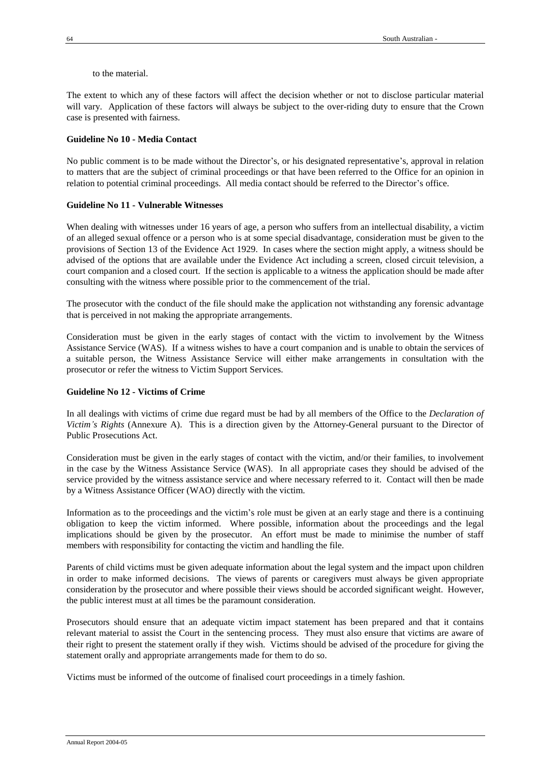to the material.

The extent to which any of these factors will affect the decision whether or not to disclose particular material will vary. Application of these factors will always be subject to the over-riding duty to ensure that the Crown case is presented with fairness.

### **Guideline No 10 - Media Contact**

No public comment is to be made without the Director's, or his designated representative's, approval in relation to matters that are the subject of criminal proceedings or that have been referred to the Office for an opinion in relation to potential criminal proceedings. All media contact should be referred to the Director's office.

### **Guideline No 11 - Vulnerable Witnesses**

When dealing with witnesses under 16 years of age, a person who suffers from an intellectual disability, a victim of an alleged sexual offence or a person who is at some special disadvantage, consideration must be given to the provisions of Section 13 of the Evidence Act 1929. In cases where the section might apply, a witness should be advised of the options that are available under the Evidence Act including a screen, closed circuit television, a court companion and a closed court. If the section is applicable to a witness the application should be made after consulting with the witness where possible prior to the commencement of the trial.

The prosecutor with the conduct of the file should make the application not withstanding any forensic advantage that is perceived in not making the appropriate arrangements.

Consideration must be given in the early stages of contact with the victim to involvement by the Witness Assistance Service (WAS). If a witness wishes to have a court companion and is unable to obtain the services of a suitable person, the Witness Assistance Service will either make arrangements in consultation with the prosecutor or refer the witness to Victim Support Services.

### **Guideline No 12 - Victims of Crime**

In all dealings with victims of crime due regard must be had by all members of the Office to the *Declaration of Victim's Rights* (Annexure A). This is a direction given by the Attorney-General pursuant to the Director of Public Prosecutions Act.

Consideration must be given in the early stages of contact with the victim, and/or their families, to involvement in the case by the Witness Assistance Service (WAS). In all appropriate cases they should be advised of the service provided by the witness assistance service and where necessary referred to it. Contact will then be made by a Witness Assistance Officer (WAO) directly with the victim.

Information as to the proceedings and the victim's role must be given at an early stage and there is a continuing obligation to keep the victim informed. Where possible, information about the proceedings and the legal implications should be given by the prosecutor. An effort must be made to minimise the number of staff members with responsibility for contacting the victim and handling the file.

Parents of child victims must be given adequate information about the legal system and the impact upon children in order to make informed decisions. The views of parents or caregivers must always be given appropriate consideration by the prosecutor and where possible their views should be accorded significant weight. However, the public interest must at all times be the paramount consideration.

Prosecutors should ensure that an adequate victim impact statement has been prepared and that it contains relevant material to assist the Court in the sentencing process. They must also ensure that victims are aware of their right to present the statement orally if they wish. Victims should be advised of the procedure for giving the statement orally and appropriate arrangements made for them to do so.

Victims must be informed of the outcome of finalised court proceedings in a timely fashion.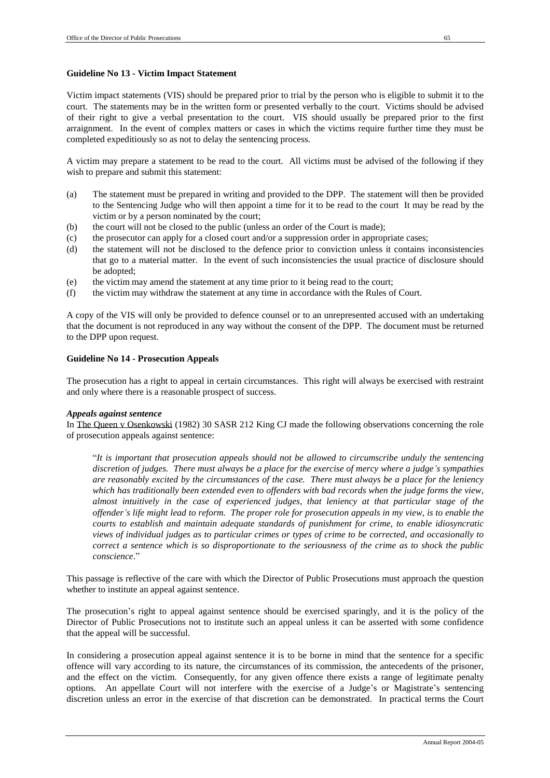### **Guideline No 13 - Victim Impact Statement**

Victim impact statements (VIS) should be prepared prior to trial by the person who is eligible to submit it to the court. The statements may be in the written form or presented verbally to the court. Victims should be advised of their right to give a verbal presentation to the court. VIS should usually be prepared prior to the first arraignment. In the event of complex matters or cases in which the victims require further time they must be completed expeditiously so as not to delay the sentencing process.

A victim may prepare a statement to be read to the court. All victims must be advised of the following if they wish to prepare and submit this statement:

- (a) The statement must be prepared in writing and provided to the DPP. The statement will then be provided to the Sentencing Judge who will then appoint a time for it to be read to the court It may be read by the victim or by a person nominated by the court;
- (b) the court will not be closed to the public (unless an order of the Court is made);
- (c) the prosecutor can apply for a closed court and/or a suppression order in appropriate cases;
- (d) the statement will not be disclosed to the defence prior to conviction unless it contains inconsistencies that go to a material matter. In the event of such inconsistencies the usual practice of disclosure should be adopted;
- (e) the victim may amend the statement at any time prior to it being read to the court;
- (f) the victim may withdraw the statement at any time in accordance with the Rules of Court.

A copy of the VIS will only be provided to defence counsel or to an unrepresented accused with an undertaking that the document is not reproduced in any way without the consent of the DPP. The document must be returned to the DPP upon request.

## **Guideline No 14 - Prosecution Appeals**

The prosecution has a right to appeal in certain circumstances. This right will always be exercised with restraint and only where there is a reasonable prospect of success.

### *Appeals against sentence*

In The Queen v Osenkowski (1982) 30 SASR 212 King CJ made the following observations concerning the role of prosecution appeals against sentence:

"*It is important that prosecution appeals should not be allowed to circumscribe unduly the sentencing discretion of judges. There must always be a place for the exercise of mercy where a judge's sympathies are reasonably excited by the circumstances of the case. There must always be a place for the leniency which has traditionally been extended even to offenders with bad records when the judge forms the view, almost intuitively in the case of experienced judges, that leniency at that particular stage of the offender's life might lead to reform. The proper role for prosecution appeals in my view, is to enable the courts to establish and maintain adequate standards of punishment for crime, to enable idiosyncratic views of individual judges as to particular crimes or types of crime to be corrected, and occasionally to correct a sentence which is so disproportionate to the seriousness of the crime as to shock the public conscience*."

This passage is reflective of the care with which the Director of Public Prosecutions must approach the question whether to institute an appeal against sentence.

The prosecution's right to appeal against sentence should be exercised sparingly, and it is the policy of the Director of Public Prosecutions not to institute such an appeal unless it can be asserted with some confidence that the appeal will be successful.

In considering a prosecution appeal against sentence it is to be borne in mind that the sentence for a specific offence will vary according to its nature, the circumstances of its commission, the antecedents of the prisoner, and the effect on the victim. Consequently, for any given offence there exists a range of legitimate penalty options. An appellate Court will not interfere with the exercise of a Judge's or Magistrate's sentencing discretion unless an error in the exercise of that discretion can be demonstrated. In practical terms the Court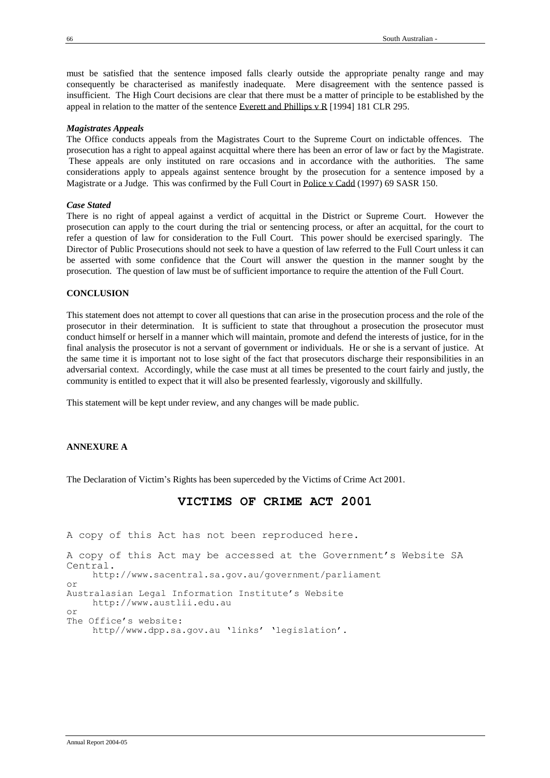must be satisfied that the sentence imposed falls clearly outside the appropriate penalty range and may consequently be characterised as manifestly inadequate. Mere disagreement with the sentence passed is insufficient. The High Court decisions are clear that there must be a matter of principle to be established by the appeal in relation to the matter of the sentence Everett and Phillips v R [1994] 181 CLR 295.

### *Magistrates Appeals*

The Office conducts appeals from the Magistrates Court to the Supreme Court on indictable offences. The prosecution has a right to appeal against acquittal where there has been an error of law or fact by the Magistrate. These appeals are only instituted on rare occasions and in accordance with the authorities. The same considerations apply to appeals against sentence brought by the prosecution for a sentence imposed by a Magistrate or a Judge. This was confirmed by the Full Court in Police v Cadd (1997) 69 SASR 150.

### *Case Stated*

There is no right of appeal against a verdict of acquittal in the District or Supreme Court. However the prosecution can apply to the court during the trial or sentencing process, or after an acquittal, for the court to refer a question of law for consideration to the Full Court. This power should be exercised sparingly. The Director of Public Prosecutions should not seek to have a question of law referred to the Full Court unless it can be asserted with some confidence that the Court will answer the question in the manner sought by the prosecution. The question of law must be of sufficient importance to require the attention of the Full Court.

### **CONCLUSION**

This statement does not attempt to cover all questions that can arise in the prosecution process and the role of the prosecutor in their determination. It is sufficient to state that throughout a prosecution the prosecutor must conduct himself or herself in a manner which will maintain, promote and defend the interests of justice, for in the final analysis the prosecutor is not a servant of government or individuals. He or she is a servant of justice. At the same time it is important not to lose sight of the fact that prosecutors discharge their responsibilities in an adversarial context. Accordingly, while the case must at all times be presented to the court fairly and justly, the community is entitled to expect that it will also be presented fearlessly, vigorously and skillfully.

This statement will be kept under review, and any changes will be made public.

### **ANNEXURE A**

The Declaration of Victim's Rights has been superceded by the Victims of Crime Act 2001.

# **VICTIMS OF CRIME ACT 2001**

A copy of this Act has not been reproduced here. A copy of this Act may be accessed at the Government's Website SA Central. http://www.sacentral.sa.gov.au/government/parliament or Australasian Legal Information Institute's Website http://www.austlii.edu.au or The Office's website: http//www.dpp.sa.gov.au 'links' 'legislation'.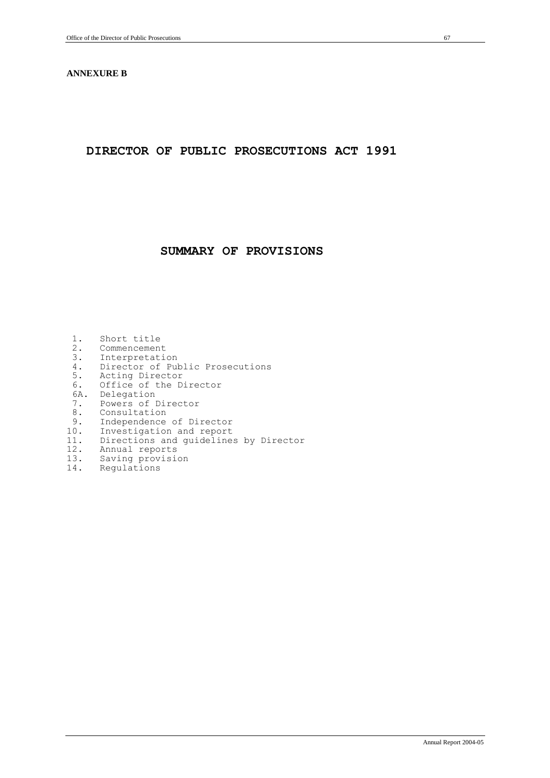### **ANNEXURE B**

# **DIRECTOR OF PUBLIC PROSECUTIONS ACT 1991**

# **SUMMARY OF PROVISIONS**

- 1. Short title<br>2. Commencemen 2. Commencement<br>3. Interpretation 3. Interpretation<br>4. Director of Pul 4. Director of Public Prosecutions<br>5. Acting Director Acting Director 6. Office of the Director 6A. Delegation 7. Powers of Director 8. Consultation<br>9. Independence 9. Independence of Director<br>10. Investigation and report 10. Investigation and report 11. Directions and guidelines by Director 11. Expression of the<br>12. Annual reports<br>13. Saving provisio Saving provision
- 14. Regulations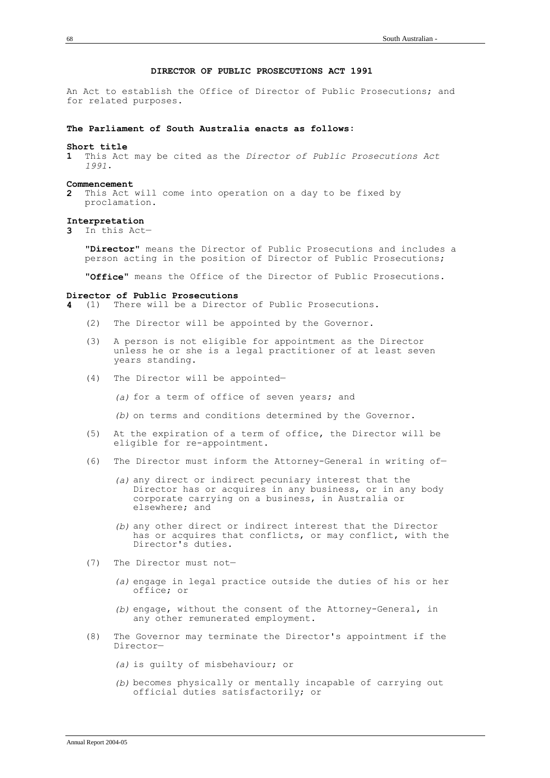### **DIRECTOR OF PUBLIC PROSECUTIONS ACT 1991**

An Act to establish the Office of Director of Public Prosecutions; and for related purposes.

### **The Parliament of South Australia enacts as follows**:

#### **Short title**

**1** This Act may be cited as the *Director of Public Prosecutions Act 1991*.

#### **Commencement**

**2** This Act will come into operation on a day to be fixed by proclamation.

### **Interpretation**

**3** In this Act—

"**Director**" means the Director of Public Prosecutions and includes a person acting in the position of Director of Public Prosecutions;

"**Office**" means the Office of the Director of Public Prosecutions.

### **Director of Public Prosecutions**

- **4** (1) There will be a Director of Public Prosecutions.
	- (2) The Director will be appointed by the Governor.
	- (3) A person is not eligible for appointment as the Director unless he or she is a legal practitioner of at least seven years standing.
	- (4) The Director will be appointed—

*(a)* for a term of office of seven years; and

*(b)* on terms and conditions determined by the Governor.

- (5) At the expiration of a term of office, the Director will be eligible for re-appointment.
- (6) The Director must inform the Attorney-General in writing of—
	- *(a)* any direct or indirect pecuniary interest that the Director has or acquires in any business, or in any body corporate carrying on a business, in Australia or elsewhere; and
	- *(b)* any other direct or indirect interest that the Director has or acquires that conflicts, or may conflict, with the Director's duties.
- (7) The Director must not—
	- *(a)* engage in legal practice outside the duties of his or her office; or
	- *(b)* engage, without the consent of the Attorney-General, in any other remunerated employment.
- (8) The Governor may terminate the Director's appointment if the Director—
	- *(a)* is guilty of misbehaviour; or
	- *(b)* becomes physically or mentally incapable of carrying out official duties satisfactorily; or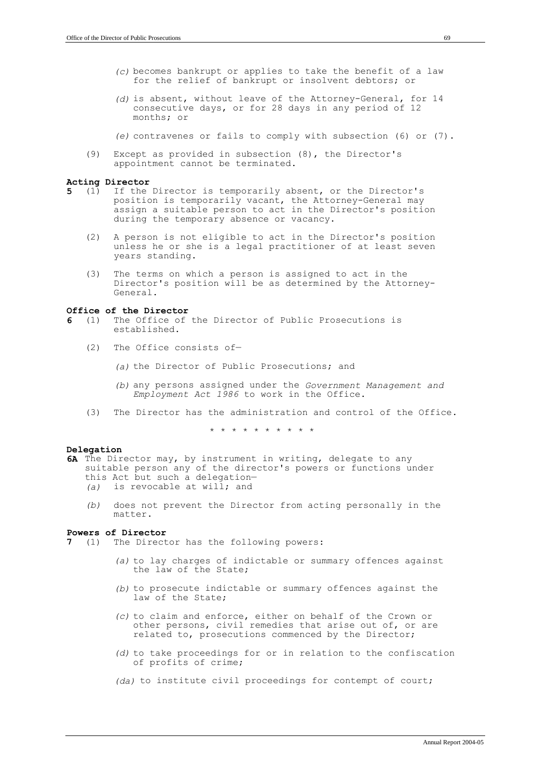- *(c)* becomes bankrupt or applies to take the benefit of a law for the relief of bankrupt or insolvent debtors; or
- *(d)* is absent, without leave of the Attorney-General, for 14 consecutive days, or for 28 days in any period of 12 months; or

*(e)* contravenes or fails to comply with subsection (6) or (7).

(9) Except as provided in subsection (8), the Director's appointment cannot be terminated.

# Acting Director<br>5 (1) If the

- **5** (1) If the Director is temporarily absent, or the Director's position is temporarily vacant, the Attorney-General may assign a suitable person to act in the Director's position during the temporary absence or vacancy.
	- (2) A person is not eligible to act in the Director's position unless he or she is a legal practitioner of at least seven years standing.
	- (3) The terms on which a person is assigned to act in the Director's position will be as determined by the Attorney-General.

#### **Office of the Director**

- **6** (1) The Office of the Director of Public Prosecutions is established.
	- (2) The Office consists of—
		- *(a)* the Director of Public Prosecutions; and
		- *(b)* any persons assigned under the *Government Management and Employment Act 1986* to work in the Office.
	- (3) The Director has the administration and control of the Office.

\* \* \* \* \* \* \* \* \* \*

### **Delegation**

- **6A** The Director may, by instrument in writing, delegate to any suitable person any of the director's powers or functions under this Act but such a delegation— *(a)* is revocable at will; and
	- *(b)* does not prevent the Director from acting personally in the matter.

# **Powers of Director**<br>**7** (1) The Direct

- The Director has the following powers:
	- *(a)* to lay charges of indictable or summary offences against the law of the State;
	- *(b)* to prosecute indictable or summary offences against the law of the State;
	- *(c)* to claim and enforce, either on behalf of the Crown or other persons, civil remedies that arise out of, or are related to, prosecutions commenced by the Director;
	- *(d)* to take proceedings for or in relation to the confiscation of profits of crime;
	- *(da)* to institute civil proceedings for contempt of court;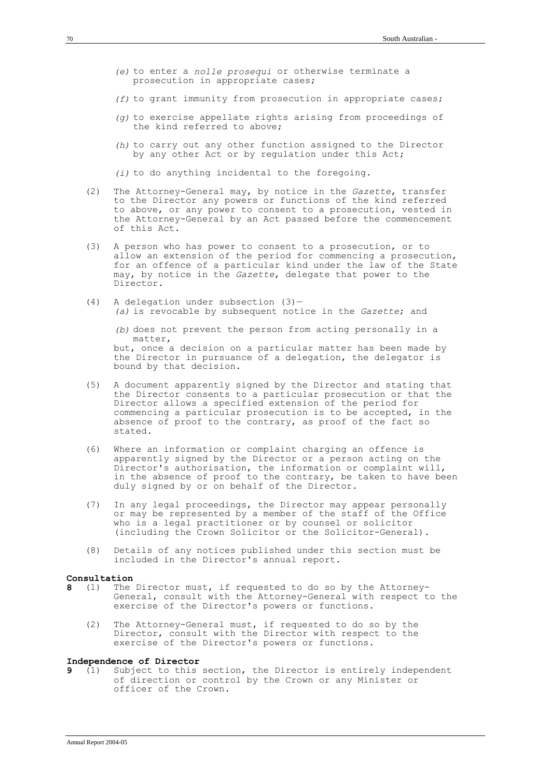- *(e)* to enter a *nolle prosequi* or otherwise terminate a prosecution in appropriate cases;
- *(f)* to grant immunity from prosecution in appropriate cases;
- *(g)* to exercise appellate rights arising from proceedings of the kind referred to above;
- *(h)* to carry out any other function assigned to the Director by any other Act or by regulation under this Act;
- *(i)* to do anything incidental to the foregoing.
- (2) The Attorney-General may, by notice in the *Gazette*, transfer to the Director any powers or functions of the kind referred to above, or any power to consent to a prosecution, vested in the Attorney-General by an Act passed before the commencement of this Act.
- (3) A person who has power to consent to a prosecution, or to allow an extension of the period for commencing a prosecution, for an offence of a particular kind under the law of the State may, by notice in the *Gazette*, delegate that power to the Director.
- (4) A delegation under subsection (3)— *(a)* is revocable by subsequent notice in the *Gazette*; and

*(b)* does not prevent the person from acting personally in a matter, but, once a decision on a particular matter has been made by the Director in pursuance of a delegation, the delegator is bound by that decision.

- (5) A document apparently signed by the Director and stating that the Director consents to a particular prosecution or that the Director allows a specified extension of the period for commencing a particular prosecution is to be accepted, in the absence of proof to the contrary, as proof of the fact so stated.
- (6) Where an information or complaint charging an offence is apparently signed by the Director or a person acting on the Director's authorisation, the information or complaint will, in the absence of proof to the contrary, be taken to have been duly signed by or on behalf of the Director.
- (7) In any legal proceedings, the Director may appear personally or may be represented by a member of the staff of the Office who is a legal practitioner or by counsel or solicitor (including the Crown Solicitor or the Solicitor-General).
- (8) Details of any notices published under this section must be included in the Director's annual report.

# **Consultation**<br>8 (1) The

- **8** (1) The Director must, if requested to do so by the Attorney-General, consult with the Attorney-General with respect to the exercise of the Director's powers or functions.
	- (2) The Attorney-General must, if requested to do so by the Director, consult with the Director with respect to the exercise of the Director's powers or functions.

# **Independence of Director**<br>**9** (1) Subject to this

**9** (1) Subject to this section, the Director is entirely independent of direction or control by the Crown or any Minister or officer of the Crown.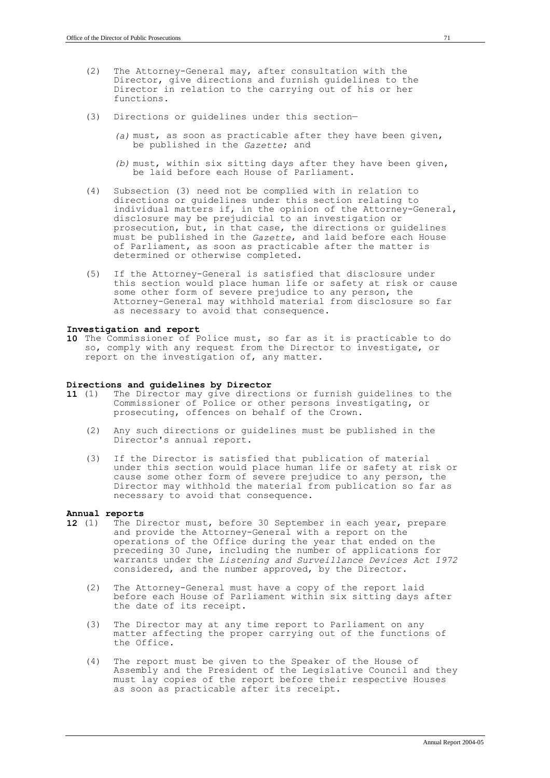- (2) The Attorney-General may, after consultation with the Director, give directions and furnish guidelines to the Director in relation to the carrying out of his or her functions.
- (3) Directions or guidelines under this section—
	- *(a)* must, as soon as practicable after they have been given, be published in the *Gazette*; and
	- *(b)* must, within six sitting days after they have been given, be laid before each House of Parliament.
- (4) Subsection (3) need not be complied with in relation to directions or guidelines under this section relating to individual matters if, in the opinion of the Attorney-General, disclosure may be prejudicial to an investigation or prosecution, but, in that case, the directions or guidelines must be published in the *Gazette*, and laid before each House of Parliament, as soon as practicable after the matter is determined or otherwise completed.
- (5) If the Attorney-General is satisfied that disclosure under this section would place human life or safety at risk or cause some other form of severe prejudice to any person, the Attorney-General may withhold material from disclosure so far as necessary to avoid that consequence.

#### **Investigation and report**

**10** The Commissioner of Police must, so far as it is practicable to do so, comply with any request from the Director to investigate, or report on the investigation of, any matter.

## **Directions and guidelines by Director**

- The Director may give directions or furnish guidelines to the Commissioner of Police or other persons investigating, or prosecuting, offences on behalf of the Crown.
	- (2) Any such directions or guidelines must be published in the Director's annual report.
	- (3) If the Director is satisfied that publication of material under this section would place human life or safety at risk or cause some other form of severe prejudice to any person, the Director may withhold the material from publication so far as necessary to avoid that consequence.

### **Annual reports**

- The Director must, before 30 September in each year, prepare and provide the Attorney-General with a report on the operations of the Office during the year that ended on the preceding 30 June, including the number of applications for warrants under the *Listening and Surveillance Devices Act 1972* considered, and the number approved, by the Director.
	- (2) The Attorney-General must have a copy of the report laid before each House of Parliament within six sitting days after the date of its receipt.
	- (3) The Director may at any time report to Parliament on any matter affecting the proper carrying out of the functions of the Office.
	- (4) The report must be given to the Speaker of the House of Assembly and the President of the Legislative Council and they must lay copies of the report before their respective Houses as soon as practicable after its receipt.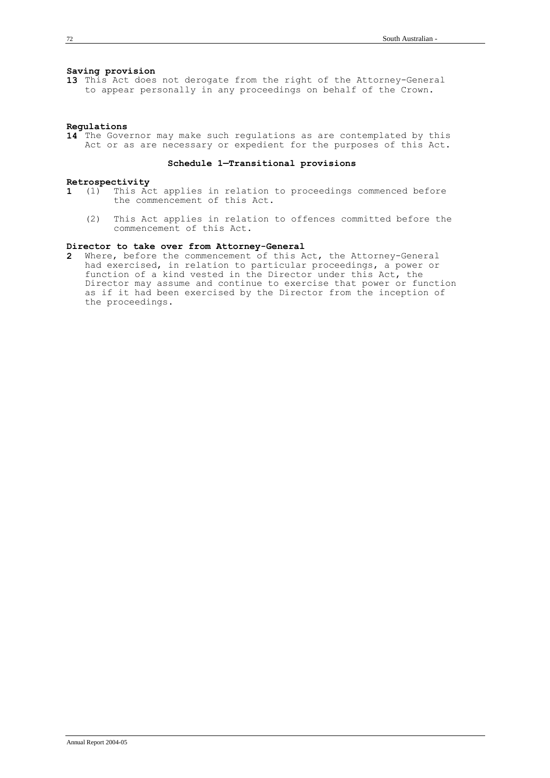#### **Saving provision**

**13** This Act does not derogate from the right of the Attorney-General to appear personally in any proceedings on behalf of the Crown.

#### **Regulations**

**14** The Governor may make such regulations as are contemplated by this Act or as are necessary or expedient for the purposes of this Act.

### **Schedule 1—Transitional provisions**

## **Retrospectivity**<br>**1** (1) This Ac

- This Act applies in relation to proceedings commenced before the commencement of this Act.
	- (2) This Act applies in relation to offences committed before the commencement of this Act.

### **Director to take over from Attorney-General**

**2** Where, before the commencement of this Act, the Attorney-General had exercised, in relation to particular proceedings, a power or function of a kind vested in the Director under this Act, the Director may assume and continue to exercise that power or function as if it had been exercised by the Director from the inception of the proceedings.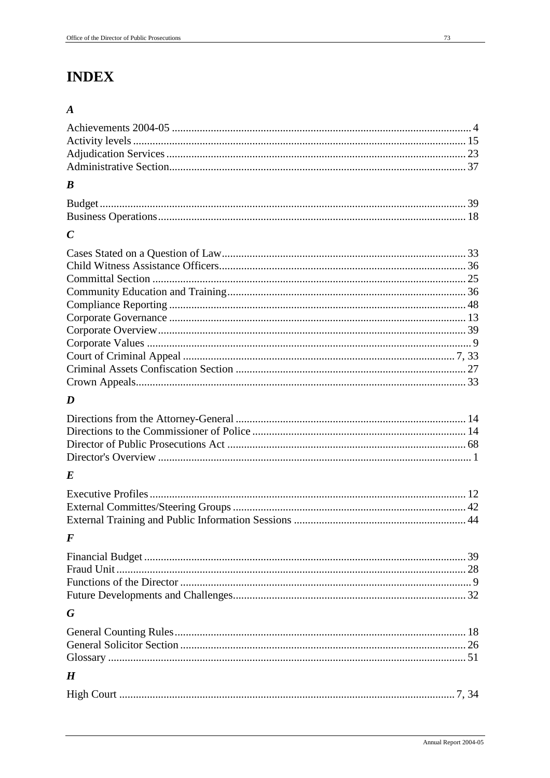# **INDEX**

### $\boldsymbol{A}$

| $\boldsymbol{B}$ |  |
|------------------|--|
|                  |  |
|                  |  |
| $\mathcal{C}$    |  |
|                  |  |
|                  |  |
|                  |  |
|                  |  |
|                  |  |
|                  |  |
|                  |  |
|                  |  |
|                  |  |
|                  |  |
|                  |  |
| D                |  |
|                  |  |
|                  |  |
|                  |  |
|                  |  |
| E                |  |
|                  |  |
|                  |  |
|                  |  |
| F                |  |
|                  |  |
|                  |  |
|                  |  |
|                  |  |
| G                |  |
|                  |  |
|                  |  |
|                  |  |
| $\boldsymbol{H}$ |  |
|                  |  |
|                  |  |